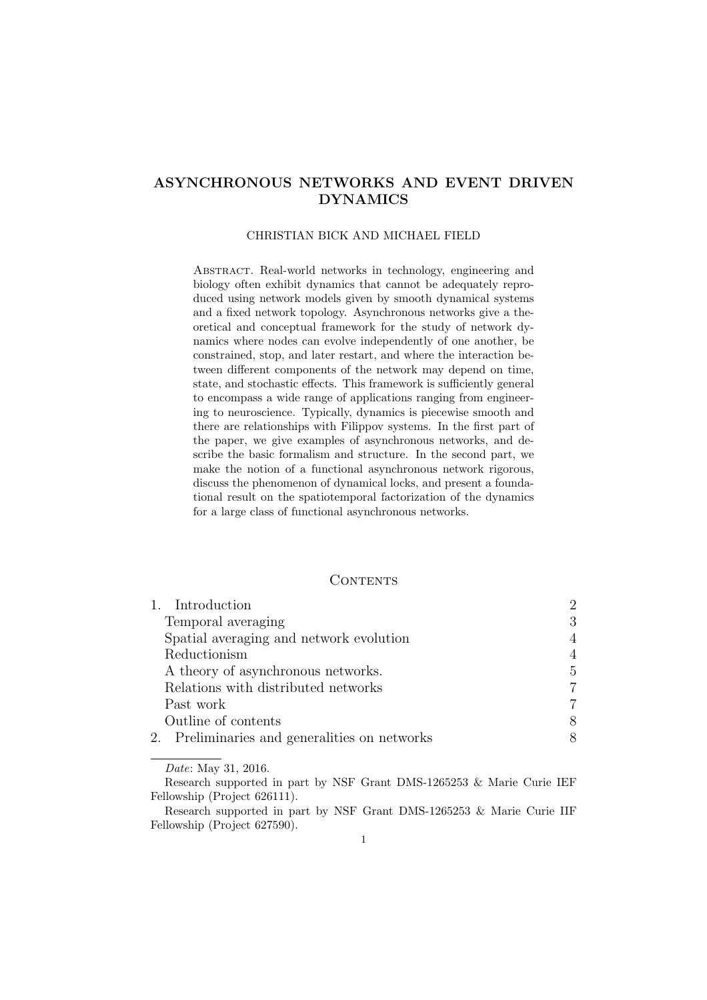# ASYNCHRONOUS NETWORKS AND EVENT DRIVEN DYNAMICS

#### CHRISTIAN BICK AND MICHAEL FIELD

Abstract. Real-world networks in technology, engineering and biology often exhibit dynamics that cannot be adequately reproduced using network models given by smooth dynamical systems and a fixed network topology. Asynchronous networks give a theoretical and conceptual framework for the study of network dynamics where nodes can evolve independently of one another, be constrained, stop, and later restart, and where the interaction between different components of the network may depend on time, state, and stochastic effects. This framework is sufficiently general to encompass a wide range of applications ranging from engineering to neuroscience. Typically, dynamics is piecewise smooth and there are relationships with Filippov systems. In the first part of the paper, we give examples of asynchronous networks, and describe the basic formalism and structure. In the second part, we make the notion of a functional asynchronous network rigorous, discuss the phenomenon of dynamical locks, and present a foundational result on the spatiotemporal factorization of the dynamics for a large class of functional asynchronous networks.

## CONTENTS

| 1. Introduction                               |                |
|-----------------------------------------------|----------------|
| Temporal averaging                            | 3              |
| Spatial averaging and network evolution       | 4              |
| Reductionism                                  | 4              |
| A theory of asynchronous networks.            | $\mathbf{5}$   |
| Relations with distributed networks           | 7              |
| Past work                                     | $\overline{7}$ |
| Outline of contents                           | 8              |
| 2. Preliminaries and generalities on networks |                |
|                                               |                |

Date: May 31, 2016.

Research supported in part by NSF Grant DMS-1265253 & Marie Curie IEF Fellowship (Project 626111).

Research supported in part by NSF Grant DMS-1265253 & Marie Curie IIF Fellowship (Project 627590).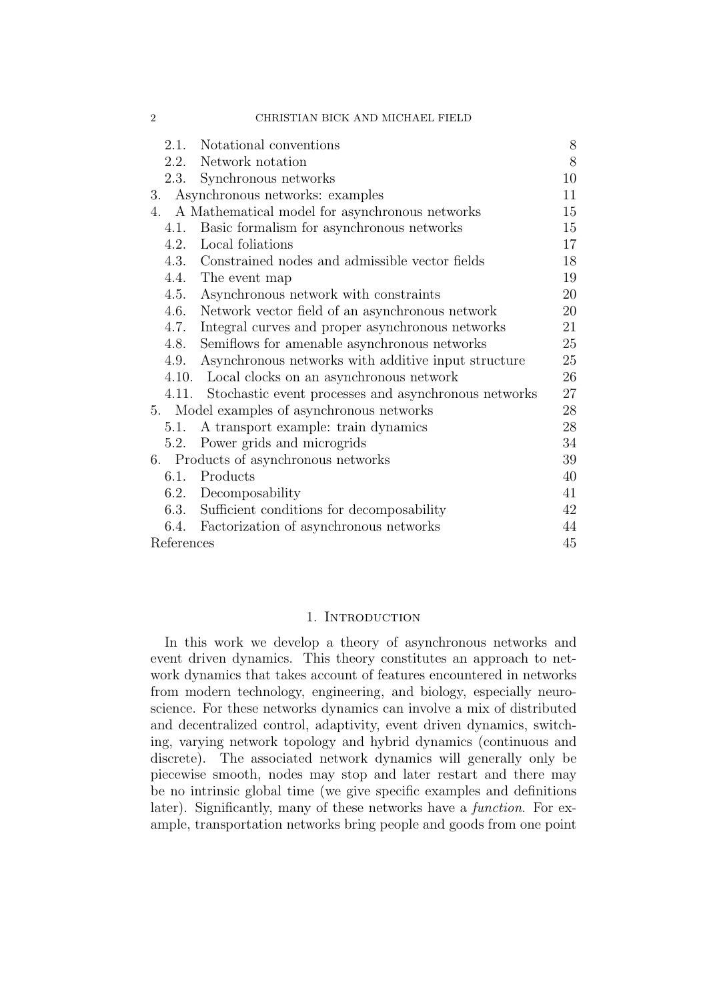| 2.1.       | Notational conventions                                     | 8  |
|------------|------------------------------------------------------------|----|
| 2.2.       | Network notation                                           | 8  |
| 2.3.       | Synchronous networks                                       | 10 |
| 3.         | Asynchronous networks: examples                            | 11 |
| 4.         | A Mathematical model for asynchronous networks             | 15 |
| 4.1.       | Basic formalism for asynchronous networks                  | 15 |
| 4.2.       | Local foliations                                           | 17 |
|            | 4.3. Constrained nodes and admissible vector fields        | 18 |
|            | 4.4. The event map                                         | 19 |
| 4.5.       | Asynchronous network with constraints                      | 20 |
| 4.6.       | Network vector field of an asynchronous network            | 20 |
| 4.7.       | Integral curves and proper asynchronous networks           | 21 |
| 4.8.       | Semiflows for amenable asynchronous networks               | 25 |
| 4.9.       | Asynchronous networks with additive input structure        | 25 |
|            | 4.10. Local clocks on an asynchronous network              | 26 |
|            | 4.11. Stochastic event processes and asynchronous networks | 27 |
|            | 5. Model examples of asynchronous networks                 | 28 |
| 5.1.       | A transport example: train dynamics                        | 28 |
| 5.2.       | Power grids and microgrids                                 | 34 |
| 6.         | Products of asynchronous networks                          | 39 |
| 6.1.       | Products                                                   | 40 |
| 6.2.       | Decomposability                                            | 41 |
|            | 6.3. Sufficient conditions for decomposability             | 42 |
| 6.4.       | Factorization of asynchronous networks                     | 44 |
| References |                                                            | 45 |

### 1. INTRODUCTION

In this work we develop a theory of asynchronous networks and event driven dynamics. This theory constitutes an approach to network dynamics that takes account of features encountered in networks from modern technology, engineering, and biology, especially neuroscience. For these networks dynamics can involve a mix of distributed and decentralized control, adaptivity, event driven dynamics, switching, varying network topology and hybrid dynamics (continuous and discrete). The associated network dynamics will generally only be piecewise smooth, nodes may stop and later restart and there may be no intrinsic global time (we give specific examples and definitions later). Significantly, many of these networks have a *function*. For example, transportation networks bring people and goods from one point

| I<br>٦<br>٦ |
|-------------|
|             |
|             |
|             |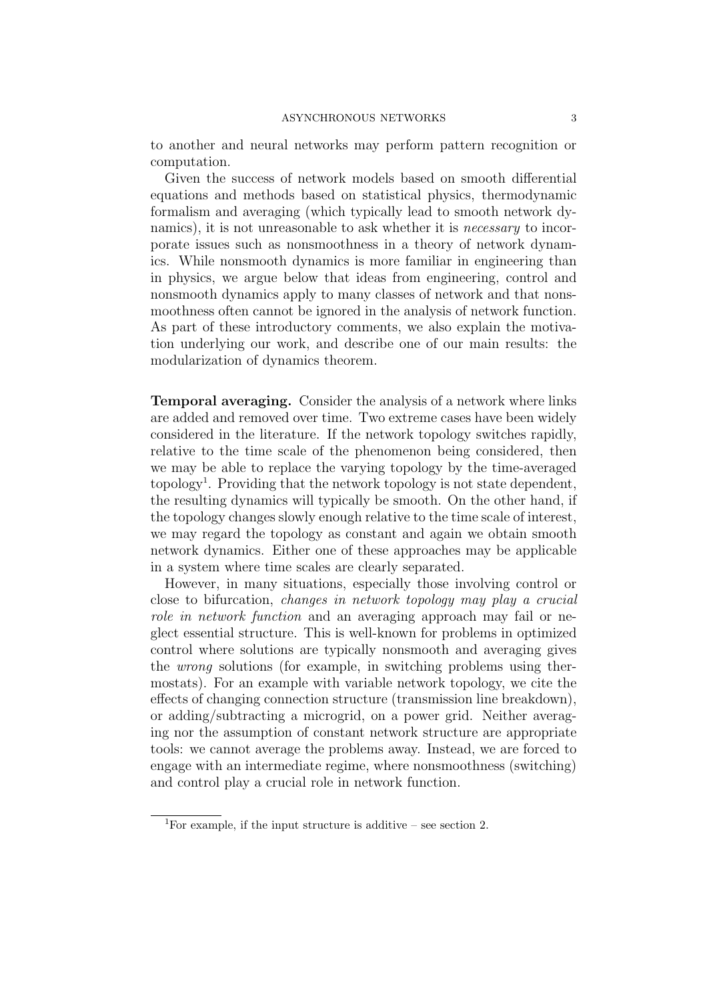to another and neural networks may perform pattern recognition or computation.

Given the success of network models based on smooth differential equations and methods based on statistical physics, thermodynamic formalism and averaging (which typically lead to smooth network dynamics), it is not unreasonable to ask whether it is *necessary* to incorporate issues such as nonsmoothness in a theory of network dynamics. While nonsmooth dynamics is more familiar in engineering than in physics, we argue below that ideas from engineering, control and nonsmooth dynamics apply to many classes of network and that nonsmoothness often cannot be ignored in the analysis of network function. As part of these introductory comments, we also explain the motivation underlying our work, and describe one of our main results: the modularization of dynamics theorem.

Temporal averaging. Consider the analysis of a network where links are added and removed over time. Two extreme cases have been widely considered in the literature. If the network topology switches rapidly, relative to the time scale of the phenomenon being considered, then we may be able to replace the varying topology by the time-averaged topology<sup>1</sup>. Providing that the network topology is not state dependent, the resulting dynamics will typically be smooth. On the other hand, if the topology changes slowly enough relative to the time scale of interest, we may regard the topology as constant and again we obtain smooth network dynamics. Either one of these approaches may be applicable in a system where time scales are clearly separated.

However, in many situations, especially those involving control or close to bifurcation, changes in network topology may play a crucial role in network function and an averaging approach may fail or neglect essential structure. This is well-known for problems in optimized control where solutions are typically nonsmooth and averaging gives the wrong solutions (for example, in switching problems using thermostats). For an example with variable network topology, we cite the effects of changing connection structure (transmission line breakdown), or adding/subtracting a microgrid, on a power grid. Neither averaging nor the assumption of constant network structure are appropriate tools: we cannot average the problems away. Instead, we are forced to engage with an intermediate regime, where nonsmoothness (switching) and control play a crucial role in network function.

<sup>&</sup>lt;sup>1</sup>For example, if the input structure is additive – see section 2.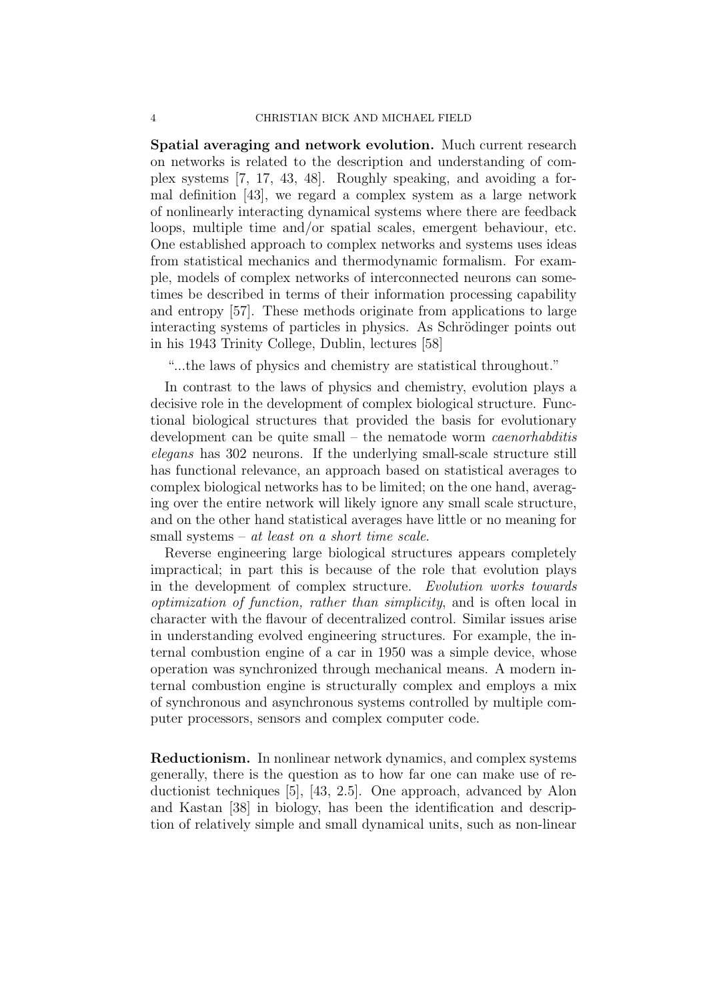Spatial averaging and network evolution. Much current research on networks is related to the description and understanding of complex systems [7, 17, 43, 48]. Roughly speaking, and avoiding a formal definition [43], we regard a complex system as a large network of nonlinearly interacting dynamical systems where there are feedback loops, multiple time and/or spatial scales, emergent behaviour, etc. One established approach to complex networks and systems uses ideas from statistical mechanics and thermodynamic formalism. For example, models of complex networks of interconnected neurons can sometimes be described in terms of their information processing capability and entropy [57]. These methods originate from applications to large interacting systems of particles in physics. As Schrödinger points out in his 1943 Trinity College, Dublin, lectures [58]

"...the laws of physics and chemistry are statistical throughout."

In contrast to the laws of physics and chemistry, evolution plays a decisive role in the development of complex biological structure. Functional biological structures that provided the basis for evolutionary development can be quite small – the nematode worm caenorhabditis elegans has 302 neurons. If the underlying small-scale structure still has functional relevance, an approach based on statistical averages to complex biological networks has to be limited; on the one hand, averaging over the entire network will likely ignore any small scale structure, and on the other hand statistical averages have little or no meaning for small systems – at least on a short time scale.

Reverse engineering large biological structures appears completely impractical; in part this is because of the role that evolution plays in the development of complex structure. Evolution works towards optimization of function, rather than simplicity, and is often local in character with the flavour of decentralized control. Similar issues arise in understanding evolved engineering structures. For example, the internal combustion engine of a car in 1950 was a simple device, whose operation was synchronized through mechanical means. A modern internal combustion engine is structurally complex and employs a mix of synchronous and asynchronous systems controlled by multiple computer processors, sensors and complex computer code.

Reductionism. In nonlinear network dynamics, and complex systems generally, there is the question as to how far one can make use of reductionist techniques [5], [43, 2.5]. One approach, advanced by Alon and Kastan [38] in biology, has been the identification and description of relatively simple and small dynamical units, such as non-linear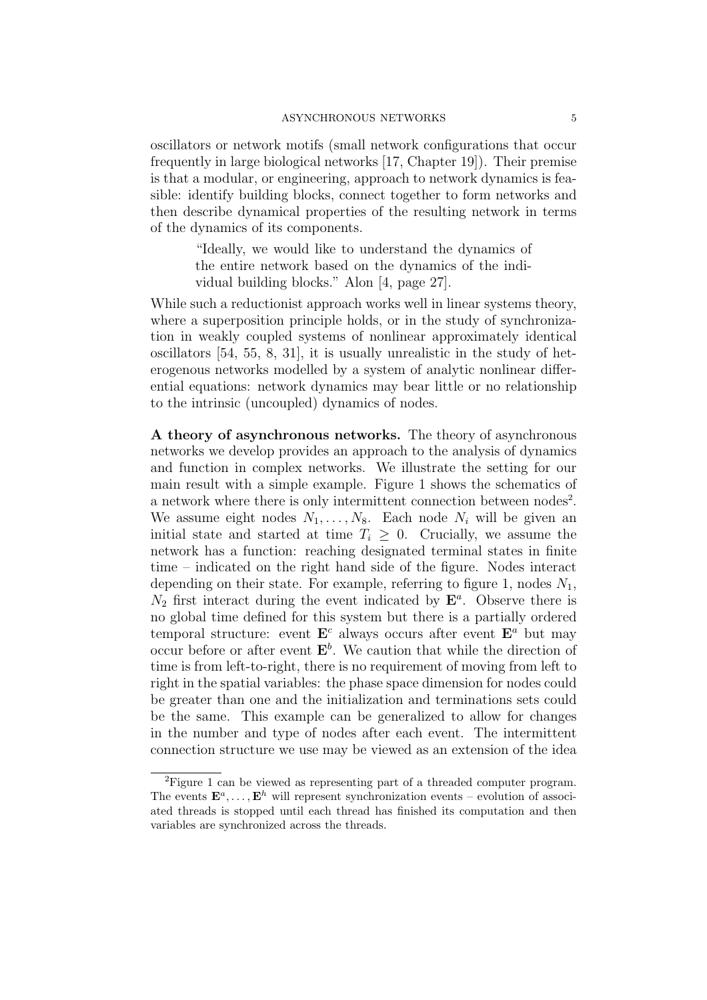oscillators or network motifs (small network configurations that occur frequently in large biological networks [17, Chapter 19]). Their premise is that a modular, or engineering, approach to network dynamics is feasible: identify building blocks, connect together to form networks and then describe dynamical properties of the resulting network in terms of the dynamics of its components.

> "Ideally, we would like to understand the dynamics of the entire network based on the dynamics of the individual building blocks." Alon [4, page 27].

While such a reductionist approach works well in linear systems theory, where a superposition principle holds, or in the study of synchronization in weakly coupled systems of nonlinear approximately identical oscillators [54, 55, 8, 31], it is usually unrealistic in the study of heterogenous networks modelled by a system of analytic nonlinear differential equations: network dynamics may bear little or no relationship to the intrinsic (uncoupled) dynamics of nodes.

A theory of asynchronous networks. The theory of asynchronous networks we develop provides an approach to the analysis of dynamics and function in complex networks. We illustrate the setting for our main result with a simple example. Figure 1 shows the schematics of a network where there is only intermittent connection between nodes<sup>2</sup>. We assume eight nodes  $N_1, \ldots, N_8$ . Each node  $N_i$  will be given an initial state and started at time  $T_i \geq 0$ . Crucially, we assume the network has a function: reaching designated terminal states in finite time – indicated on the right hand side of the figure. Nodes interact depending on their state. For example, referring to figure 1, nodes  $N_1$ ,  $N_2$  first interact during the event indicated by  $\mathbf{E}^a$ . Observe there is no global time defined for this system but there is a partially ordered temporal structure: event  $\mathbf{E}^c$  always occurs after event  $\mathbf{E}^a$  but may occur before or after event  $\mathbf{E}^b$ . We caution that while the direction of time is from left-to-right, there is no requirement of moving from left to right in the spatial variables: the phase space dimension for nodes could be greater than one and the initialization and terminations sets could be the same. This example can be generalized to allow for changes in the number and type of nodes after each event. The intermittent connection structure we use may be viewed as an extension of the idea

<sup>&</sup>lt;sup>2</sup>Figure 1 can be viewed as representing part of a threaded computer program. The events  $\mathbf{E}^a, \ldots, \mathbf{E}^h$  will represent synchronization events – evolution of associated threads is stopped until each thread has finished its computation and then variables are synchronized across the threads.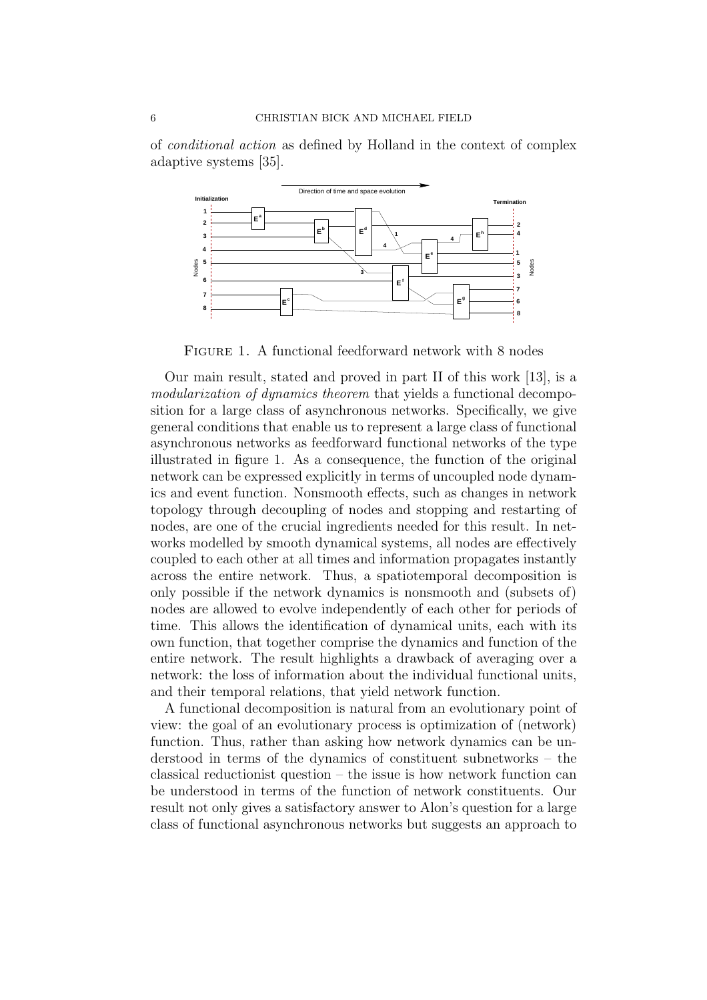of conditional action as defined by Holland in the context of complex adaptive systems [35].



FIGURE 1. A functional feedforward network with 8 nodes

Our main result, stated and proved in part II of this work [13], is a modularization of dynamics theorem that yields a functional decomposition for a large class of asynchronous networks. Specifically, we give general conditions that enable us to represent a large class of functional asynchronous networks as feedforward functional networks of the type illustrated in figure 1. As a consequence, the function of the original network can be expressed explicitly in terms of uncoupled node dynamics and event function. Nonsmooth effects, such as changes in network topology through decoupling of nodes and stopping and restarting of nodes, are one of the crucial ingredients needed for this result. In networks modelled by smooth dynamical systems, all nodes are effectively coupled to each other at all times and information propagates instantly across the entire network. Thus, a spatiotemporal decomposition is only possible if the network dynamics is nonsmooth and (subsets of) nodes are allowed to evolve independently of each other for periods of time. This allows the identification of dynamical units, each with its own function, that together comprise the dynamics and function of the entire network. The result highlights a drawback of averaging over a network: the loss of information about the individual functional units, and their temporal relations, that yield network function.

A functional decomposition is natural from an evolutionary point of view: the goal of an evolutionary process is optimization of (network) function. Thus, rather than asking how network dynamics can be understood in terms of the dynamics of constituent subnetworks – the classical reductionist question – the issue is how network function can be understood in terms of the function of network constituents. Our result not only gives a satisfactory answer to Alon's question for a large class of functional asynchronous networks but suggests an approach to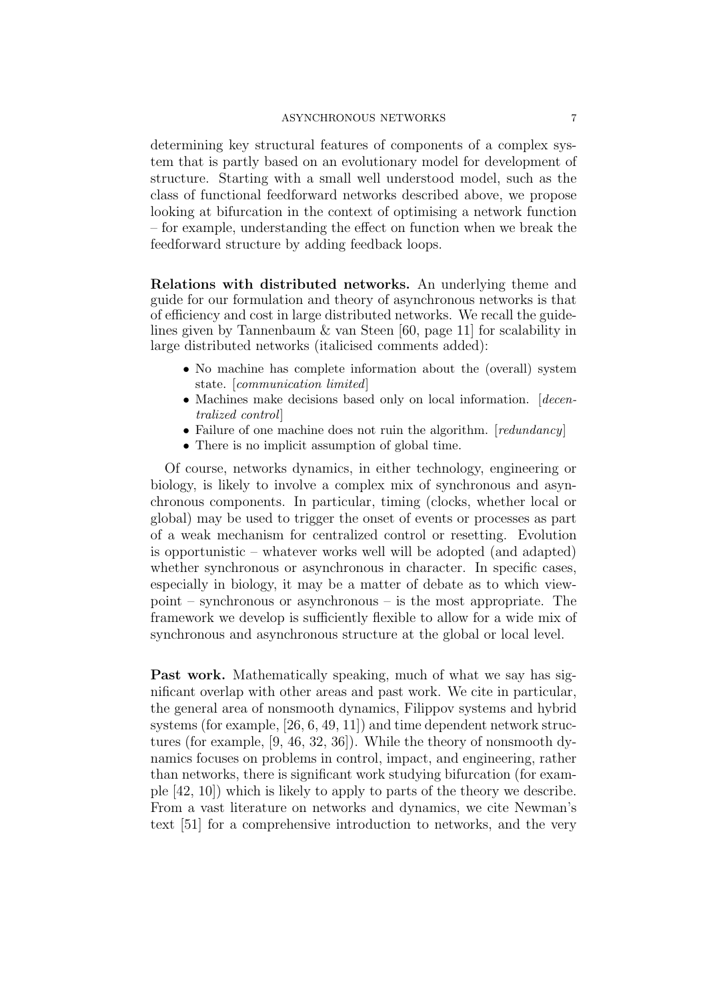#### ASYNCHRONOUS NETWORKS 7

determining key structural features of components of a complex system that is partly based on an evolutionary model for development of structure. Starting with a small well understood model, such as the class of functional feedforward networks described above, we propose looking at bifurcation in the context of optimising a network function – for example, understanding the effect on function when we break the feedforward structure by adding feedback loops.

Relations with distributed networks. An underlying theme and guide for our formulation and theory of asynchronous networks is that of efficiency and cost in large distributed networks. We recall the guidelines given by Tannenbaum & van Steen [60, page 11] for scalability in large distributed networks (italicised comments added):

- No machine has complete information about the (overall) system state. [communication limited]
- Machines make decisions based only on local information. [decentralized control]
- Failure of one machine does not ruin the algorithm. [redundancy]
- There is no implicit assumption of global time.

Of course, networks dynamics, in either technology, engineering or biology, is likely to involve a complex mix of synchronous and asynchronous components. In particular, timing (clocks, whether local or global) may be used to trigger the onset of events or processes as part of a weak mechanism for centralized control or resetting. Evolution is opportunistic – whatever works well will be adopted (and adapted) whether synchronous or asynchronous in character. In specific cases, especially in biology, it may be a matter of debate as to which viewpoint – synchronous or asynchronous – is the most appropriate. The framework we develop is sufficiently flexible to allow for a wide mix of synchronous and asynchronous structure at the global or local level.

Past work. Mathematically speaking, much of what we say has significant overlap with other areas and past work. We cite in particular, the general area of nonsmooth dynamics, Filippov systems and hybrid systems (for example, [26, 6, 49, 11]) and time dependent network structures (for example, [9, 46, 32, 36]). While the theory of nonsmooth dynamics focuses on problems in control, impact, and engineering, rather than networks, there is significant work studying bifurcation (for example [42, 10]) which is likely to apply to parts of the theory we describe. From a vast literature on networks and dynamics, we cite Newman's text [51] for a comprehensive introduction to networks, and the very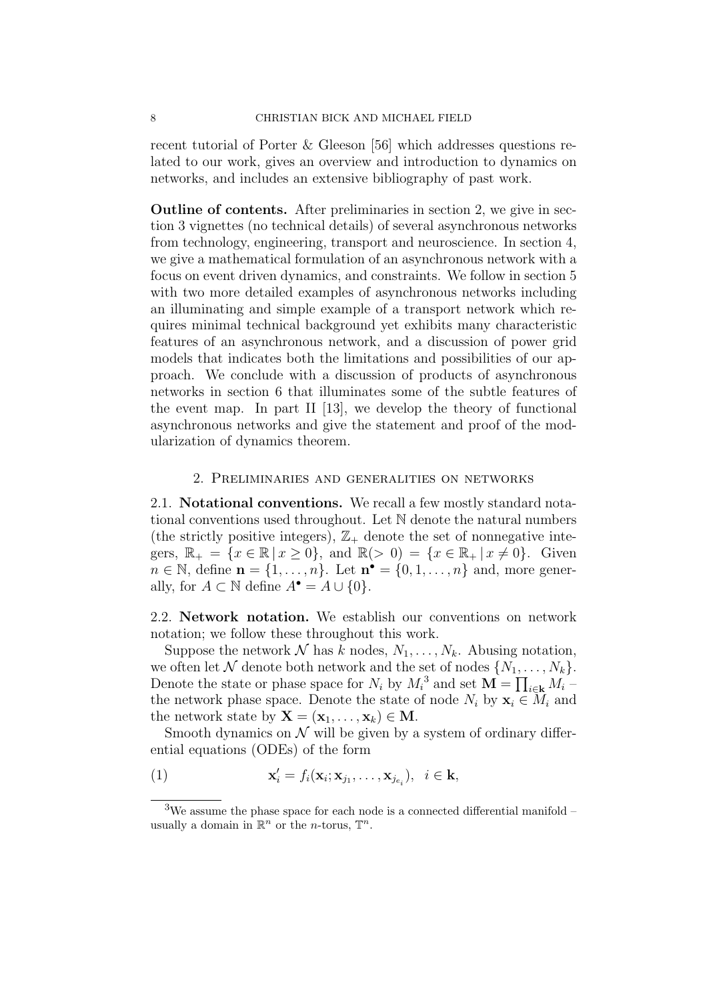recent tutorial of Porter & Gleeson [56] which addresses questions related to our work, gives an overview and introduction to dynamics on networks, and includes an extensive bibliography of past work.

Outline of contents. After preliminaries in section 2, we give in section 3 vignettes (no technical details) of several asynchronous networks from technology, engineering, transport and neuroscience. In section 4, we give a mathematical formulation of an asynchronous network with a focus on event driven dynamics, and constraints. We follow in section 5 with two more detailed examples of asynchronous networks including an illuminating and simple example of a transport network which requires minimal technical background yet exhibits many characteristic features of an asynchronous network, and a discussion of power grid models that indicates both the limitations and possibilities of our approach. We conclude with a discussion of products of asynchronous networks in section 6 that illuminates some of the subtle features of the event map. In part II [13], we develop the theory of functional asynchronous networks and give the statement and proof of the modularization of dynamics theorem.

### 2. Preliminaries and generalities on networks

2.1. Notational conventions. We recall a few mostly standard notational conventions used throughout. Let N denote the natural numbers (the strictly positive integers),  $\mathbb{Z}_+$  denote the set of nonnegative integers,  $\mathbb{R}_+ = \{x \in \mathbb{R} \mid x \geq 0\}$ , and  $\mathbb{R}(> 0) = \{x \in \mathbb{R}_+ \mid x \neq 0\}$ . Given  $n \in \mathbb{N}$ , define  $\mathbf{n} = \{1, \ldots, n\}$ . Let  $\mathbf{n}^{\bullet} = \{0, 1, \ldots, n\}$  and, more generally, for  $A \subset \mathbb{N}$  define  $A^{\bullet} = A \cup \{0\}.$ 

2.2. Network notation. We establish our conventions on network notation; we follow these throughout this work.

Suppose the network  $\mathcal N$  has k nodes,  $N_1, \ldots, N_k$ . Abusing notation, we often let N denote both network and the set of nodes  $\{N_1, \ldots, N_k\}$ . Denote the state or phase space for  $N_i$  by  $M_i^3$  and set  $\mathbf{M} = \prod_{i \in \mathbf{k}} M_i$ . the network phase space. Denote the state of node  $N_i$  by  $\mathbf{x}_i \in M_i$  and the network state by  $\mathbf{X} = (\mathbf{x}_1, \dots, \mathbf{x}_k) \in \mathbf{M}$ .

Smooth dynamics on  $\mathcal N$  will be given by a system of ordinary differential equations (ODEs) of the form

(1) 
$$
\mathbf{x}'_i = f_i(\mathbf{x}_i; \mathbf{x}_{j_1}, \dots, \mathbf{x}_{j_{e_i}}), \ \ i \in \mathbf{k},
$$

 $3\text{We assume the phase space for each node is a connected differential manifold }$ usually a domain in  $\mathbb{R}^n$  or the *n*-torus,  $\mathbb{T}^n$ .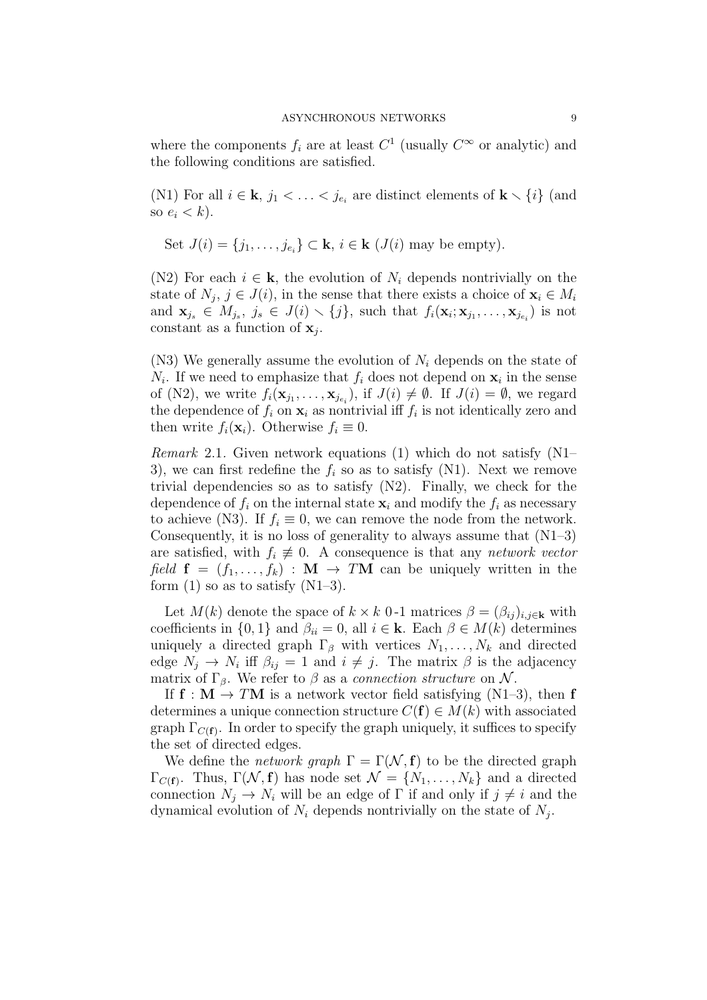where the components  $f_i$  are at least  $C^1$  (usually  $C^{\infty}$  or analytic) and the following conditions are satisfied.

(N1) For all  $i \in \mathbf{k}, j_1 < \ldots < j_{e_i}$  are distinct elements of  $\mathbf{k} \setminus \{i\}$  (and so  $e_i < k$ ).

Set 
$$
J(i) = \{j_1, \ldots, j_{e_i}\} \subset \mathbf{k}, i \in \mathbf{k}
$$
 ( $J(i)$  may be empty).

(N2) For each  $i \in \mathbf{k}$ , the evolution of  $N_i$  depends nontrivially on the state of  $N_j$ ,  $j \in J(i)$ , in the sense that there exists a choice of  $\mathbf{x}_i \in M_i$ and  $\mathbf{x}_{j_s} \in M_{j_s}, j_s \in J(i) \setminus \{j\}$ , such that  $f_i(\mathbf{x}_i; \mathbf{x}_{j_1}, \ldots, \mathbf{x}_{j_{e_i}})$  is not constant as a function of  $x_j$ .

(N3) We generally assume the evolution of  $N_i$  depends on the state of  $N_i$ . If we need to emphasize that  $f_i$  does not depend on  $\mathbf{x}_i$  in the sense of (N2), we write  $f_i(\mathbf{x}_{j_1},..., \mathbf{x}_{j_{e_i}})$ , if  $J(i) \neq \emptyset$ . If  $J(i) = \emptyset$ , we regard the dependence of  $f_i$  on  $\mathbf{x}_i$  as nontrivial iff  $f_i$  is not identically zero and then write  $f_i(\mathbf{x}_i)$ . Otherwise  $f_i \equiv 0$ .

Remark 2.1. Given network equations (1) which do not satisfy (N1– 3), we can first redefine the  $f_i$  so as to satisfy (N1). Next we remove trivial dependencies so as to satisfy (N2). Finally, we check for the dependence of  $f_i$  on the internal state  $\mathbf{x}_i$  and modify the  $f_i$  as necessary to achieve (N3). If  $f_i \equiv 0$ , we can remove the node from the network. Consequently, it is no loss of generality to always assume that  $(N1–3)$ are satisfied, with  $f_i \neq 0$ . A consequence is that any network vector field  $f = (f_1, \ldots, f_k) : \mathbf{M} \to T\mathbf{M}$  can be uniquely written in the form  $(1)$  so as to satisfy  $(N1-3)$ .

Let  $M(k)$  denote the space of  $k \times k$  0-1 matrices  $\beta = (\beta_{ij})_{i,j \in \mathbf{k}}$  with coefficients in  $\{0,1\}$  and  $\beta_{ii} = 0$ , all  $i \in \mathbf{k}$ . Each  $\beta \in M(k)$  determines uniquely a directed graph  $\Gamma_{\beta}$  with vertices  $N_1, \ldots, N_k$  and directed edge  $N_j \to N_i$  iff  $\beta_{ij} = 1$  and  $i \neq j$ . The matrix  $\beta$  is the adjacency matrix of  $\Gamma_{\beta}$ . We refer to  $\beta$  as a *connection structure* on N.

If  $f : M \to TM$  is a network vector field satisfying (N1–3), then f determines a unique connection structure  $C(f) \in M(k)$  with associated graph  $\Gamma_{C(f)}$ . In order to specify the graph uniquely, it suffices to specify the set of directed edges.

We define the *network* graph  $\Gamma = \Gamma(\mathcal{N}, \mathbf{f})$  to be the directed graph  $\Gamma_{C(\mathbf{f})}$ . Thus,  $\Gamma(\mathcal{N}, \mathbf{f})$  has node set  $\mathcal{N} = \{N_1, \ldots, N_k\}$  and a directed connection  $N_j \to N_i$  will be an edge of  $\Gamma$  if and only if  $j \neq i$  and the dynamical evolution of  $N_i$  depends nontrivially on the state of  $N_j$ .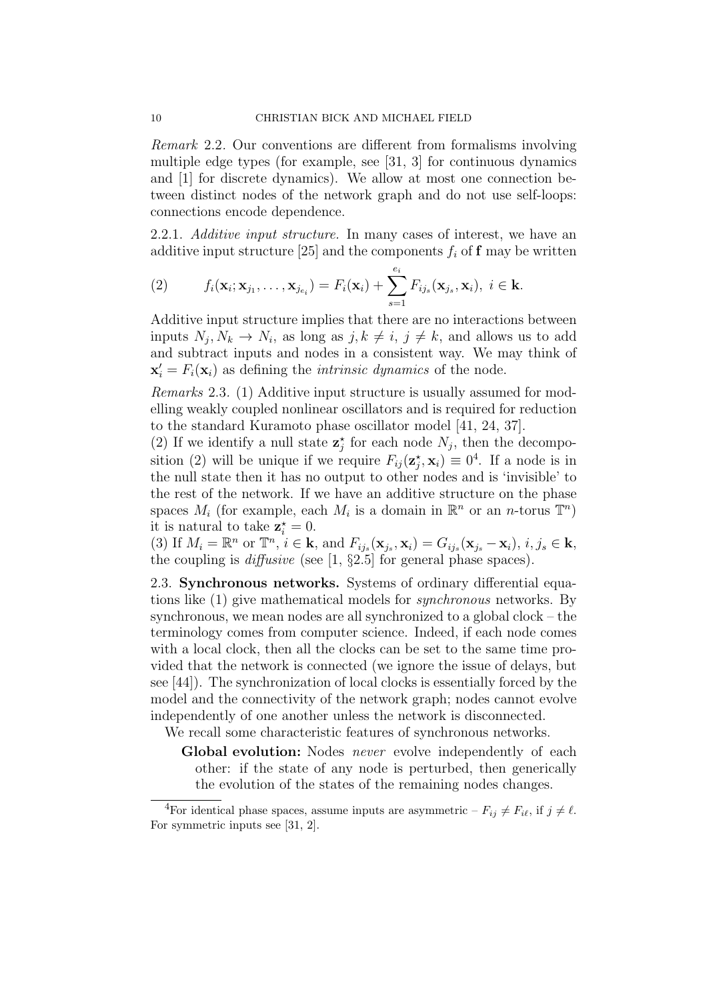Remark 2.2. Our conventions are different from formalisms involving multiple edge types (for example, see [31, 3] for continuous dynamics and [1] for discrete dynamics). We allow at most one connection between distinct nodes of the network graph and do not use self-loops: connections encode dependence.

2.2.1. Additive input structure. In many cases of interest, we have an additive input structure [25] and the components  $f_i$  of f may be written

(2) 
$$
f_i(\mathbf{x}_i; \mathbf{x}_{j_1}, \dots, \mathbf{x}_{j_{e_i}}) = F_i(\mathbf{x}_i) + \sum_{s=1}^{e_i} F_{i j_s}(\mathbf{x}_{j_s}, \mathbf{x}_i), \ i \in \mathbf{k}.
$$

Additive input structure implies that there are no interactions between inputs  $N_j, N_k \to N_i$ , as long as  $j, k \neq i, j \neq k$ , and allows us to add and subtract inputs and nodes in a consistent way. We may think of  $\mathbf{x}'_i = F_i(\mathbf{x}_i)$  as defining the *intrinsic dynamics* of the node.

Remarks 2.3. (1) Additive input structure is usually assumed for modelling weakly coupled nonlinear oscillators and is required for reduction to the standard Kuramoto phase oscillator model [41, 24, 37].

(2) If we identify a null state  $\mathbf{z}_j^*$  for each node  $N_j$ , then the decomposition (2) will be unique if we require  $F_{ij}(\mathbf{z}_j^*, \mathbf{x}_i) \equiv 0^4$ . If a node is in the null state then it has no output to other nodes and is 'invisible' to the rest of the network. If we have an additive structure on the phase spaces  $M_i$  (for example, each  $M_i$  is a domain in  $\mathbb{R}^n$  or an *n*-torus  $\mathbb{T}^n$ ) it is natural to take  $z_i^* = 0$ .

(3) If  $M_i = \mathbb{R}^n$  or  $\mathbb{T}^n$ ,  $i \in \mathbf{k}$ , and  $F_{ij_s}(\mathbf{x}_{j_s}, \mathbf{x}_i) = G_{ij_s}(\mathbf{x}_{j_s} - \mathbf{x}_i)$ ,  $i, j_s \in \mathbf{k}$ , the coupling is *diffusive* (see  $\left[1, \S 2.5\right]$  for general phase spaces).

2.3. Synchronous networks. Systems of ordinary differential equations like (1) give mathematical models for synchronous networks. By synchronous, we mean nodes are all synchronized to a global clock – the terminology comes from computer science. Indeed, if each node comes with a local clock, then all the clocks can be set to the same time provided that the network is connected (we ignore the issue of delays, but see [44]). The synchronization of local clocks is essentially forced by the model and the connectivity of the network graph; nodes cannot evolve independently of one another unless the network is disconnected.

We recall some characteristic features of synchronous networks.

Global evolution: Nodes *never* evolve independently of each other: if the state of any node is perturbed, then generically the evolution of the states of the remaining nodes changes.

<sup>&</sup>lt;sup>4</sup>For identical phase spaces, assume inputs are asymmetric –  $F_{ij} \neq F_{i\ell}$ , if  $j \neq \ell$ . For symmetric inputs see [31, 2].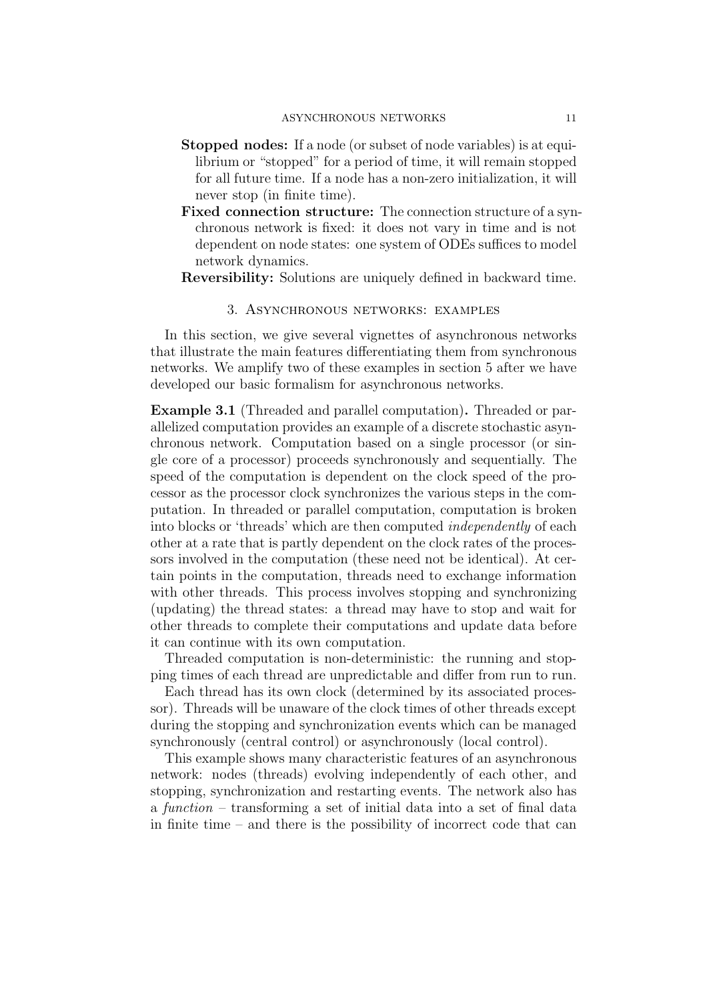- Stopped nodes: If a node (or subset of node variables) is at equilibrium or "stopped" for a period of time, it will remain stopped for all future time. If a node has a non-zero initialization, it will never stop (in finite time).
- Fixed connection structure: The connection structure of a synchronous network is fixed: it does not vary in time and is not dependent on node states: one system of ODEs suffices to model network dynamics.
- Reversibility: Solutions are uniquely defined in backward time.

#### 3. Asynchronous networks: examples

In this section, we give several vignettes of asynchronous networks that illustrate the main features differentiating them from synchronous networks. We amplify two of these examples in section 5 after we have developed our basic formalism for asynchronous networks.

Example 3.1 (Threaded and parallel computation). Threaded or parallelized computation provides an example of a discrete stochastic asynchronous network. Computation based on a single processor (or single core of a processor) proceeds synchronously and sequentially. The speed of the computation is dependent on the clock speed of the processor as the processor clock synchronizes the various steps in the computation. In threaded or parallel computation, computation is broken into blocks or 'threads' which are then computed independently of each other at a rate that is partly dependent on the clock rates of the processors involved in the computation (these need not be identical). At certain points in the computation, threads need to exchange information with other threads. This process involves stopping and synchronizing (updating) the thread states: a thread may have to stop and wait for other threads to complete their computations and update data before it can continue with its own computation.

Threaded computation is non-deterministic: the running and stopping times of each thread are unpredictable and differ from run to run.

Each thread has its own clock (determined by its associated processor). Threads will be unaware of the clock times of other threads except during the stopping and synchronization events which can be managed synchronously (central control) or asynchronously (local control).

This example shows many characteristic features of an asynchronous network: nodes (threads) evolving independently of each other, and stopping, synchronization and restarting events. The network also has a function – transforming a set of initial data into a set of final data in finite time – and there is the possibility of incorrect code that can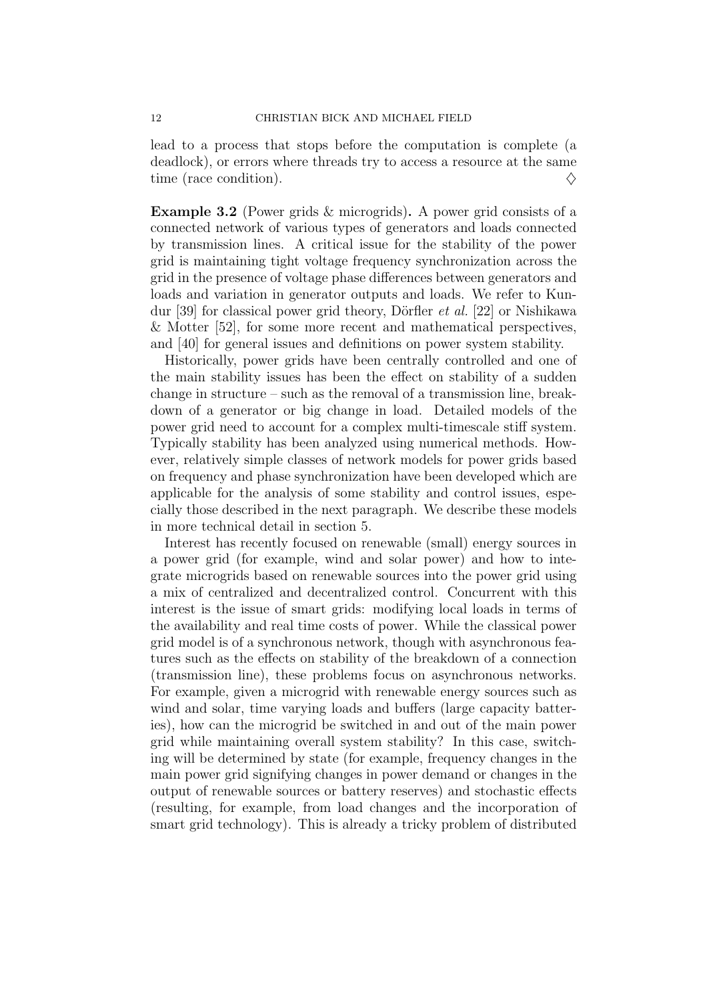lead to a process that stops before the computation is complete (a deadlock), or errors where threads try to access a resource at the same time (race condition).  $\Diamond$ 

**Example 3.2** (Power grids  $\&$  microgrids). A power grid consists of a connected network of various types of generators and loads connected by transmission lines. A critical issue for the stability of the power grid is maintaining tight voltage frequency synchronization across the grid in the presence of voltage phase differences between generators and loads and variation in generator outputs and loads. We refer to Kundur [39] for classical power grid theory, Dörfler *et al.* [22] or Nishikawa & Motter [52], for some more recent and mathematical perspectives, and [40] for general issues and definitions on power system stability.

Historically, power grids have been centrally controlled and one of the main stability issues has been the effect on stability of a sudden change in structure – such as the removal of a transmission line, breakdown of a generator or big change in load. Detailed models of the power grid need to account for a complex multi-timescale stiff system. Typically stability has been analyzed using numerical methods. However, relatively simple classes of network models for power grids based on frequency and phase synchronization have been developed which are applicable for the analysis of some stability and control issues, especially those described in the next paragraph. We describe these models in more technical detail in section 5.

Interest has recently focused on renewable (small) energy sources in a power grid (for example, wind and solar power) and how to integrate microgrids based on renewable sources into the power grid using a mix of centralized and decentralized control. Concurrent with this interest is the issue of smart grids: modifying local loads in terms of the availability and real time costs of power. While the classical power grid model is of a synchronous network, though with asynchronous features such as the effects on stability of the breakdown of a connection (transmission line), these problems focus on asynchronous networks. For example, given a microgrid with renewable energy sources such as wind and solar, time varying loads and buffers (large capacity batteries), how can the microgrid be switched in and out of the main power grid while maintaining overall system stability? In this case, switching will be determined by state (for example, frequency changes in the main power grid signifying changes in power demand or changes in the output of renewable sources or battery reserves) and stochastic effects (resulting, for example, from load changes and the incorporation of smart grid technology). This is already a tricky problem of distributed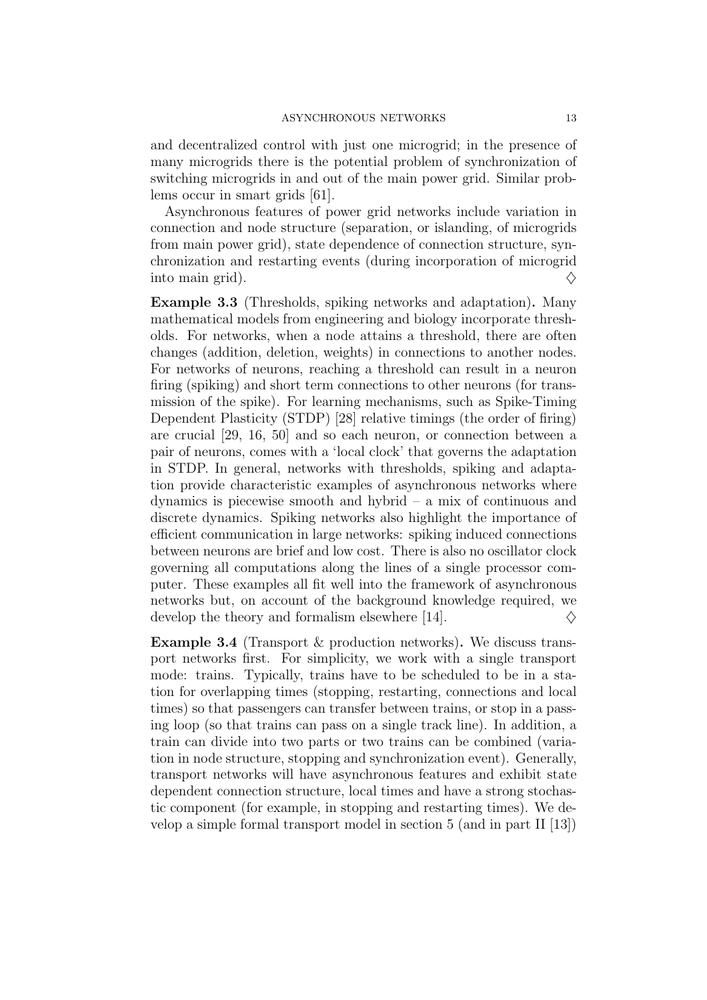and decentralized control with just one microgrid; in the presence of many microgrids there is the potential problem of synchronization of switching microgrids in and out of the main power grid. Similar problems occur in smart grids [61].

Asynchronous features of power grid networks include variation in connection and node structure (separation, or islanding, of microgrids from main power grid), state dependence of connection structure, synchronization and restarting events (during incorporation of microgrid into main grid).  $\diamondsuit$ 

Example 3.3 (Thresholds, spiking networks and adaptation). Many mathematical models from engineering and biology incorporate thresholds. For networks, when a node attains a threshold, there are often changes (addition, deletion, weights) in connections to another nodes. For networks of neurons, reaching a threshold can result in a neuron firing (spiking) and short term connections to other neurons (for transmission of the spike). For learning mechanisms, such as Spike-Timing Dependent Plasticity (STDP) [28] relative timings (the order of firing) are crucial [29, 16, 50] and so each neuron, or connection between a pair of neurons, comes with a 'local clock' that governs the adaptation in STDP. In general, networks with thresholds, spiking and adaptation provide characteristic examples of asynchronous networks where dynamics is piecewise smooth and hybrid – a mix of continuous and discrete dynamics. Spiking networks also highlight the importance of efficient communication in large networks: spiking induced connections between neurons are brief and low cost. There is also no oscillator clock governing all computations along the lines of a single processor computer. These examples all fit well into the framework of asynchronous networks but, on account of the background knowledge required, we develop the theory and formalism elsewhere [14].  $\diamond$ 

Example 3.4 (Transport & production networks). We discuss transport networks first. For simplicity, we work with a single transport mode: trains. Typically, trains have to be scheduled to be in a station for overlapping times (stopping, restarting, connections and local times) so that passengers can transfer between trains, or stop in a passing loop (so that trains can pass on a single track line). In addition, a train can divide into two parts or two trains can be combined (variation in node structure, stopping and synchronization event). Generally, transport networks will have asynchronous features and exhibit state dependent connection structure, local times and have a strong stochastic component (for example, in stopping and restarting times). We develop a simple formal transport model in section 5 (and in part II [13])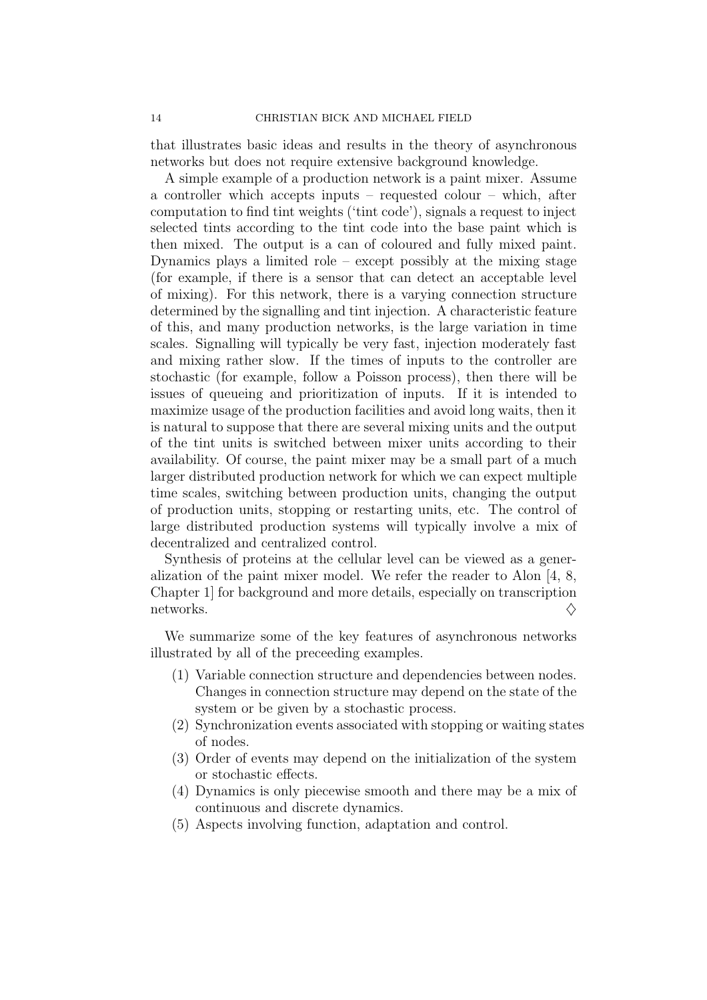that illustrates basic ideas and results in the theory of asynchronous networks but does not require extensive background knowledge.

A simple example of a production network is a paint mixer. Assume a controller which accepts inputs – requested colour – which, after computation to find tint weights ('tint code'), signals a request to inject selected tints according to the tint code into the base paint which is then mixed. The output is a can of coloured and fully mixed paint. Dynamics plays a limited role – except possibly at the mixing stage (for example, if there is a sensor that can detect an acceptable level of mixing). For this network, there is a varying connection structure determined by the signalling and tint injection. A characteristic feature of this, and many production networks, is the large variation in time scales. Signalling will typically be very fast, injection moderately fast and mixing rather slow. If the times of inputs to the controller are stochastic (for example, follow a Poisson process), then there will be issues of queueing and prioritization of inputs. If it is intended to maximize usage of the production facilities and avoid long waits, then it is natural to suppose that there are several mixing units and the output of the tint units is switched between mixer units according to their availability. Of course, the paint mixer may be a small part of a much larger distributed production network for which we can expect multiple time scales, switching between production units, changing the output of production units, stopping or restarting units, etc. The control of large distributed production systems will typically involve a mix of decentralized and centralized control.

Synthesis of proteins at the cellular level can be viewed as a generalization of the paint mixer model. We refer the reader to Alon [4, 8, Chapter 1] for background and more details, especially on transcription networks.  $\Diamond$ 

We summarize some of the key features of asynchronous networks illustrated by all of the preceeding examples.

- (1) Variable connection structure and dependencies between nodes. Changes in connection structure may depend on the state of the system or be given by a stochastic process.
- (2) Synchronization events associated with stopping or waiting states of nodes.
- (3) Order of events may depend on the initialization of the system or stochastic effects.
- (4) Dynamics is only piecewise smooth and there may be a mix of continuous and discrete dynamics.
- (5) Aspects involving function, adaptation and control.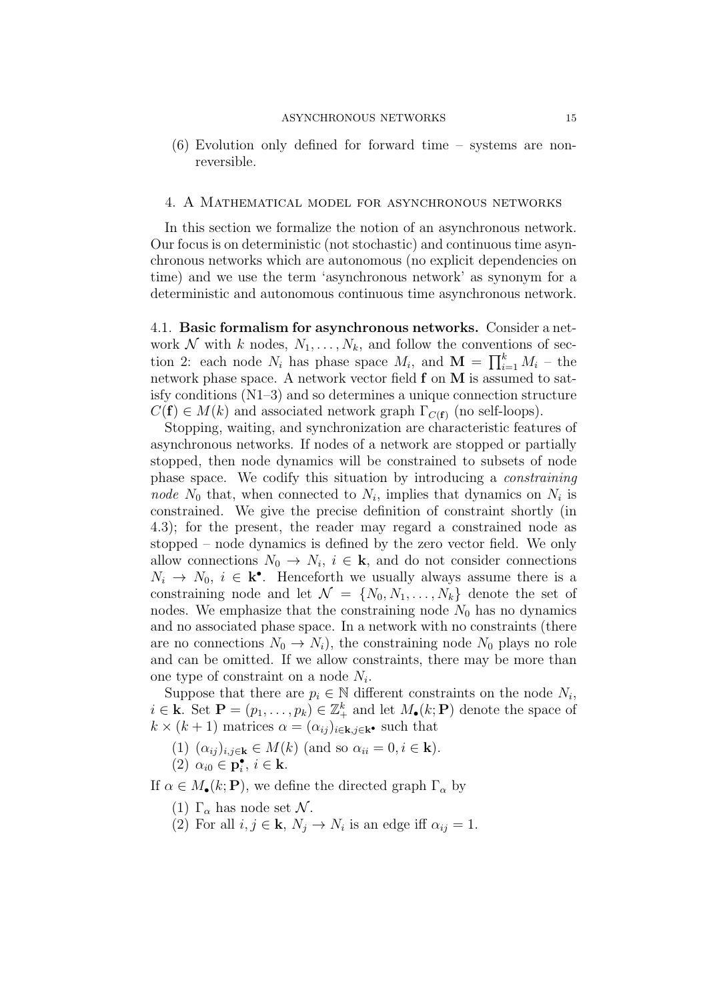#### ASYNCHRONOUS NETWORKS 15

(6) Evolution only defined for forward time – systems are nonreversible.

### 4. A Mathematical model for asynchronous networks

In this section we formalize the notion of an asynchronous network. Our focus is on deterministic (not stochastic) and continuous time asynchronous networks which are autonomous (no explicit dependencies on time) and we use the term 'asynchronous network' as synonym for a deterministic and autonomous continuous time asynchronous network.

4.1. Basic formalism for asynchronous networks. Consider a network N with k nodes,  $N_1, \ldots, N_k$ , and follow the conventions of section 2: each node  $N_i$  has phase space  $M_i$ , and  $\mathbf{M} = \prod_{i=1}^k M_i$  - the network phase space. A network vector field  $f$  on  $M$  is assumed to satisfy conditions (N1–3) and so determines a unique connection structure  $C(f) \in M(k)$  and associated network graph  $\Gamma_{C(f)}$  (no self-loops).

Stopping, waiting, and synchronization are characteristic features of asynchronous networks. If nodes of a network are stopped or partially stopped, then node dynamics will be constrained to subsets of node phase space. We codify this situation by introducing a constraining *node*  $N_0$  that, when connected to  $N_i$ , implies that dynamics on  $N_i$  is constrained. We give the precise definition of constraint shortly (in 4.3); for the present, the reader may regard a constrained node as stopped – node dynamics is defined by the zero vector field. We only allow connections  $N_0 \to N_i$ ,  $i \in \mathbf{k}$ , and do not consider connections  $N_i \rightarrow N_0, i \in \mathbf{k}^{\bullet}$ . Henceforth we usually always assume there is a constraining node and let  $\mathcal{N} = \{N_0, N_1, \ldots, N_k\}$  denote the set of nodes. We emphasize that the constraining node  $N_0$  has no dynamics and no associated phase space. In a network with no constraints (there are no connections  $N_0 \to N_i$ , the constraining node  $N_0$  plays no role and can be omitted. If we allow constraints, there may be more than one type of constraint on a node  $N_i$ .

Suppose that there are  $p_i \in \mathbb{N}$  different constraints on the node  $N_i$ ,  $i \in \mathbf{k}$ . Set  $\mathbf{P} = (p_1, \ldots, p_k) \in \mathbb{Z}_+^k$  and let  $M_{\bullet}(k; \mathbf{P})$  denote the space of  $k \times (k+1)$  matrices  $\alpha = (\alpha_{ij})_{i \in \mathbf{k}, j \in \mathbf{k}^{\bullet}}$  such that

- (1)  $(\alpha_{ij})_{i,j\in\mathbf{k}} \in M(k)$  (and so  $\alpha_{ii} = 0, i \in \mathbf{k}$ ).
- (2)  $\alpha_{i0} \in \mathbf{p}_i^{\bullet}, i \in \mathbf{k}$ .

If  $\alpha \in M_{\bullet}(k; \mathbf{P})$ , we define the directed graph  $\Gamma_{\alpha}$  by

- (1)  $\Gamma_{\alpha}$  has node set N.
- (2) For all  $i, j \in \mathbf{k}, N_j \to N_i$  is an edge iff  $\alpha_{ij} = 1$ .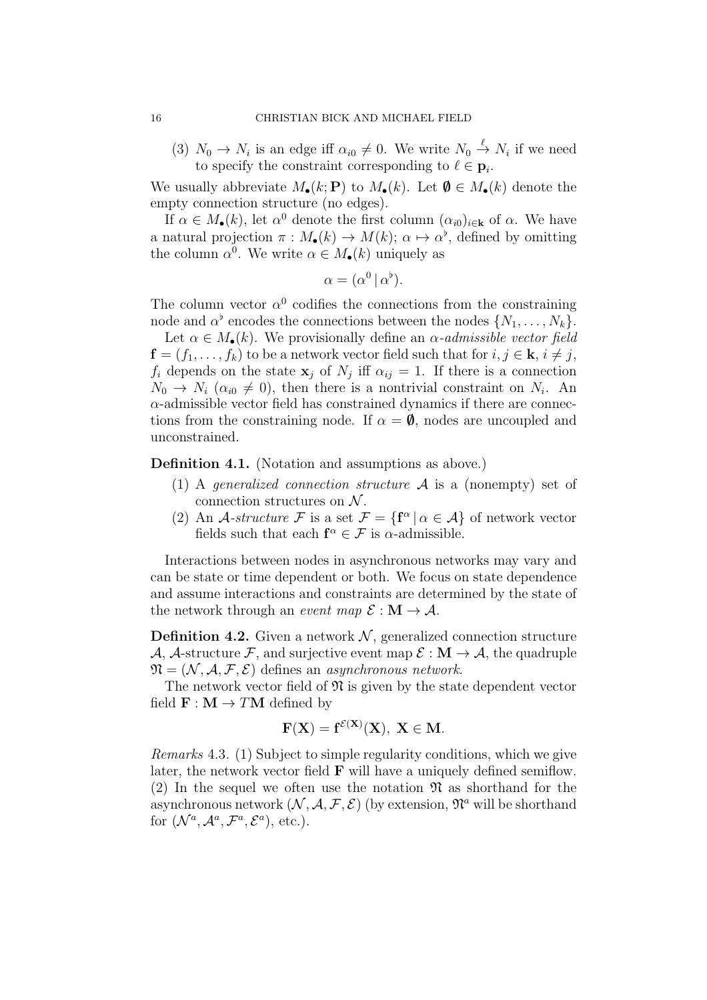(3)  $N_0 \to N_i$  is an edge iff  $\alpha_{i0} \neq 0$ . We write  $N_0 \stackrel{\ell}{\to} N_i$  if we need to specify the constraint corresponding to  $\ell \in \mathbf{p}_i$ .

We usually abbreviate  $M_{\bullet}(k; \mathbf{P})$  to  $M_{\bullet}(k)$ . Let  $\emptyset \in M_{\bullet}(k)$  denote the empty connection structure (no edges).

If  $\alpha \in M_{\bullet}(k)$ , let  $\alpha^{0}$  denote the first column  $(\alpha_{i0})_{i\in\mathbf{k}}$  of  $\alpha$ . We have a natural projection  $\pi : M_{\bullet}(k) \to M(k)$ ;  $\alpha \mapsto \alpha^{\flat}$ , defined by omitting the column  $\alpha^0$ . We write  $\alpha \in M_{\bullet}(k)$  uniquely as

$$
\alpha = (\alpha^0 \, | \, \alpha^\flat).
$$

The column vector  $\alpha^0$  codifies the connections from the constraining node and  $\alpha^{\flat}$  encodes the connections between the nodes  $\{N_1, \ldots, N_k\}.$ 

Let  $\alpha \in M_{\bullet}(k)$ . We provisionally define an  $\alpha$ -admissible vector field  $f = (f_1, \ldots, f_k)$  to be a network vector field such that for  $i, j \in \mathbf{k}, i \neq j$ ,  $f_i$  depends on the state  $\mathbf{x}_j$  of  $N_j$  iff  $\alpha_{ij} = 1$ . If there is a connection  $N_0 \to N_i \; (\alpha_{i0} \neq 0)$ , then there is a nontrivial constraint on  $N_i$ . An  $\alpha$ -admissible vector field has constrained dynamics if there are connections from the constraining node. If  $\alpha = \emptyset$ , nodes are uncoupled and unconstrained.

Definition 4.1. (Notation and assumptions as above.)

- (1) A generalized connection structure  $A$  is a (nonempty) set of connection structures on  $\mathcal{N}$ .
- (2) An A-structure F is a set  $\mathcal{F} = {\mathbf{f}^{\alpha} | \alpha \in \mathcal{A}}$  of network vector fields such that each  $f^{\alpha} \in \mathcal{F}$  is  $\alpha$ -admissible.

Interactions between nodes in asynchronous networks may vary and can be state or time dependent or both. We focus on state dependence and assume interactions and constraints are determined by the state of the network through an event map  $\mathcal{E}: \mathbf{M} \to \mathcal{A}$ .

**Definition 4.2.** Given a network  $N$ , generalized connection structure A, A-structure F, and surjective event map  $\mathcal{E}: M \to \mathcal{A}$ , the quadruple  $\mathfrak{N} = (\mathcal{N}, \mathcal{A}, \mathcal{F}, \mathcal{E})$  defines an *asynchronous network*.

The network vector field of  $\mathfrak N$  is given by the state dependent vector field  $\mathbf{F} : \mathbf{M} \to T\mathbf{M}$  defined by

$$
\mathbf{F}(\mathbf{X}) = \mathbf{f}^{\mathcal{E}(\mathbf{X})}(\mathbf{X}), \ \mathbf{X} \in \mathbf{M}.
$$

Remarks 4.3. (1) Subject to simple regularity conditions, which we give later, the network vector field  $\bf{F}$  will have a uniquely defined semiflow. (2) In the sequel we often use the notation  $\mathfrak{N}$  as shorthand for the asynchronous network  $(N, \mathcal{A}, \mathcal{F}, \mathcal{E})$  (by extension,  $\mathfrak{N}^a$  will be shorthand for  $(\mathcal{N}^a, \mathcal{A}^a, \mathcal{F}^a, \mathcal{E}^a)$ , etc.).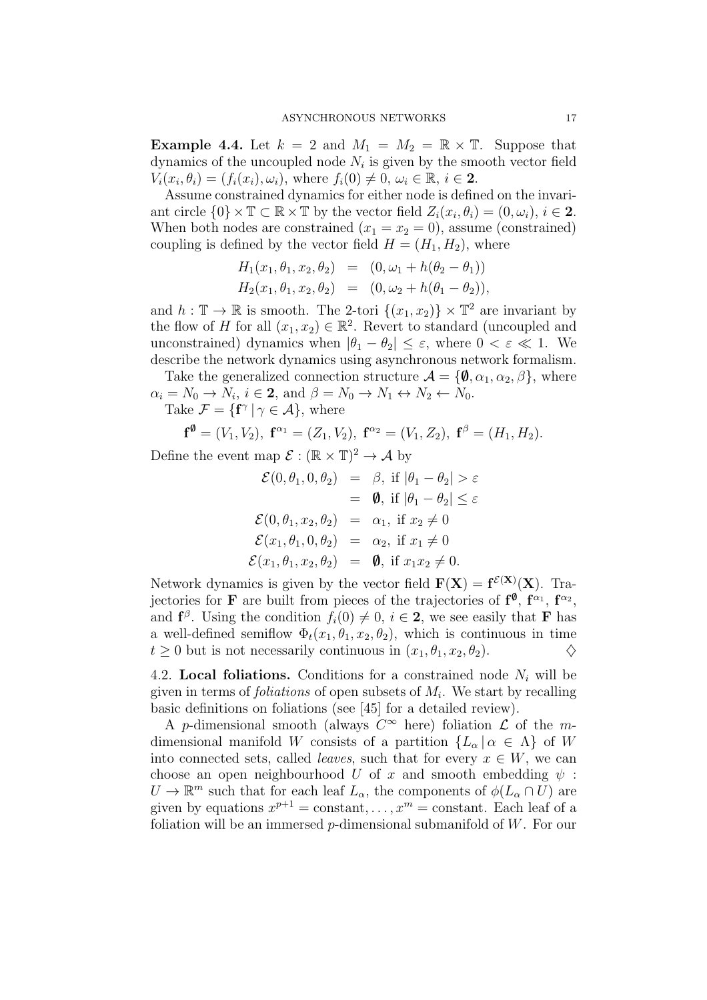**Example 4.4.** Let  $k = 2$  and  $M_1 = M_2 = \mathbb{R} \times \mathbb{T}$ . Suppose that dynamics of the uncoupled node  $N_i$  is given by the smooth vector field  $V_i(x_i, \theta_i) = (f_i(x_i), \omega_i)$ , where  $f_i(0) \neq 0$ ,  $\omega_i \in \mathbb{R}, i \in \mathbb{2}$ .

Assume constrained dynamics for either node is defined on the invariant circle  $\{0\} \times \mathbb{T} \subset \mathbb{R} \times \mathbb{T}$  by the vector field  $Z_i(x_i, \theta_i) = (0, \omega_i), i \in \mathbf{2}$ . When both nodes are constrained  $(x_1 = x_2 = 0)$ , assume (constrained) coupling is defined by the vector field  $H = (H_1, H_2)$ , where

$$
H_1(x_1, \theta_1, x_2, \theta_2) = (0, \omega_1 + h(\theta_2 - \theta_1))
$$
  
\n
$$
H_2(x_1, \theta_1, x_2, \theta_2) = (0, \omega_2 + h(\theta_1 - \theta_2)),
$$

and  $h: \mathbb{T} \to \mathbb{R}$  is smooth. The 2-tori  $\{(x_1, x_2)\} \times \mathbb{T}^2$  are invariant by the flow of H for all  $(x_1, x_2) \in \mathbb{R}^2$ . Revert to standard (uncoupled and unconstrained) dynamics when  $|\theta_1 - \theta_2| \leq \varepsilon$ , where  $0 < \varepsilon \ll 1$ . We describe the network dynamics using asynchronous network formalism.

Take the generalized connection structure  $\mathcal{A} = \{\emptyset, \alpha_1, \alpha_2, \beta\}$ , where  $\alpha_i = N_0 \to N_i$ ,  $i \in \mathbf{2}$ , and  $\beta = N_0 \to N_1 \leftrightarrow N_2 \leftarrow N_0$ .

Take  $\mathcal{F} = {\{\mathbf{f}^\gamma \mid \gamma \in \mathcal{A}\},\text{ where}}$ 

 ${\bf f}^{\emptyset}=(V_1,V_2),\; {\bf f}^{\alpha_1}=(Z_1,V_2),\; {\bf f}^{\alpha_2}=(V_1,Z_2),\; {\bf f}^{\beta}=(H_1,H_2).$ 

Define the event map  $\mathcal{E} : (\mathbb{R} \times \mathbb{T})^2 \to \mathcal{A}$  by

$$
\mathcal{E}(0, \theta_1, 0, \theta_2) = \beta, \text{ if } |\theta_1 - \theta_2| > \varepsilon
$$
  
\n
$$
= \emptyset, \text{ if } |\theta_1 - \theta_2| \le \varepsilon
$$
  
\n
$$
\mathcal{E}(0, \theta_1, x_2, \theta_2) = \alpha_1, \text{ if } x_2 \neq 0
$$
  
\n
$$
\mathcal{E}(x_1, \theta_1, 0, \theta_2) = \alpha_2, \text{ if } x_1 \neq 0
$$
  
\n
$$
\mathcal{E}(x_1, \theta_1, x_2, \theta_2) = \emptyset, \text{ if } x_1 x_2 \neq 0.
$$

Network dynamics is given by the vector field  $F(X) = f^{\mathcal{E}(X)}(X)$ . Trajectories for **F** are built from pieces of the trajectories of  $f^{\emptyset}$ ,  $f^{\alpha_1}$ ,  $f^{\alpha_2}$ , and  $f^{\beta}$ . Using the condition  $f_i(0) \neq 0, i \in \mathbf{2}$ , we see easily that **F** has a well-defined semiflow  $\Phi_t(x_1, \theta_1, x_2, \theta_2)$ , which is continuous in time  $t \geq 0$  but is not necessarily continuous in  $(x_1, \theta_1, x_2, \theta_2)$ .

4.2. Local foliations. Conditions for a constrained node  $N_i$  will be given in terms of *foliations* of open subsets of  $M_i$ . We start by recalling basic definitions on foliations (see [45] for a detailed review).

A p-dimensional smooth (always  $C^{\infty}$  here) foliation  $\mathcal L$  of the mdimensional manifold W consists of a partition  ${L_{\alpha} | \alpha \in \Lambda}$  of W into connected sets, called *leaves*, such that for every  $x \in W$ , we can choose an open neighbourhood U of x and smooth embedding  $\psi$ :  $U \to \mathbb{R}^m$  such that for each leaf  $L_\alpha$ , the components of  $\phi(L_\alpha \cap U)$  are given by equations  $x^{p+1} = \text{constant}, \ldots, x^m = \text{constant}$ . Each leaf of a foliation will be an immersed  $p$ -dimensional submanifold of  $W$ . For our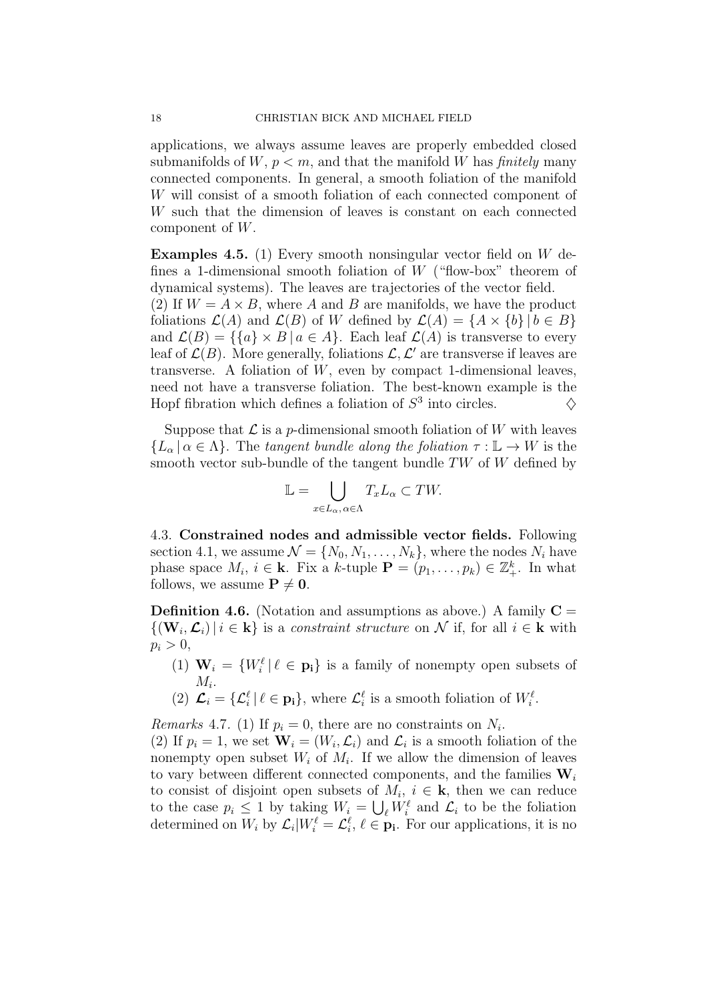applications, we always assume leaves are properly embedded closed submanifolds of  $W, p < m$ , and that the manifold W has finitely many connected components. In general, a smooth foliation of the manifold W will consist of a smooth foliation of each connected component of W such that the dimension of leaves is constant on each connected component of W.

**Examples 4.5.** (1) Every smooth nonsingular vector field on  $W$  defines a 1-dimensional smooth foliation of  $W$  ("flow-box" theorem of dynamical systems). The leaves are trajectories of the vector field.

(2) If  $W = A \times B$ , where A and B are manifolds, we have the product foliations  $\mathcal{L}(A)$  and  $\mathcal{L}(B)$  of W defined by  $\mathcal{L}(A) = \{A \times \{b\} | b \in B\}$ and  $\mathcal{L}(B) = \{ \{a\} \times B \mid a \in A \}.$  Each leaf  $\mathcal{L}(A)$  is transverse to every leaf of  $\mathcal{L}(B)$ . More generally, foliations  $\mathcal{L}, \mathcal{L}'$  are transverse if leaves are transverse. A foliation of  $W$ , even by compact 1-dimensional leaves, need not have a transverse foliation. The best-known example is the Hopf fibration which defines a foliation of  $S^3$  into circles.  $\diamond$ 

Suppose that  $\mathcal L$  is a p-dimensional smooth foliation of W with leaves  ${L_{\alpha} \mid \alpha \in \Lambda}$ . The tangent bundle along the foliation  $\tau : \mathbb{L} \to W$  is the smooth vector sub-bundle of the tangent bundle  $TW$  of  $W$  defined by

$$
\mathbb{L} = \bigcup_{x \in L_{\alpha}, \alpha \in \Lambda} T_x L_{\alpha} \subset TW.
$$

4.3. Constrained nodes and admissible vector fields. Following section 4.1, we assume  $\mathcal{N} = \{N_0, N_1, \ldots, N_k\}$ , where the nodes  $N_i$  have phase space  $M_i$ ,  $i \in \mathbf{k}$ . Fix a k-tuple  $\mathbf{P} = (p_1, \ldots, p_k) \in \mathbb{Z}_+^k$ . In what follows, we assume  $P \neq 0$ .

**Definition 4.6.** (Notation and assumptions as above.) A family  $C =$  $\{(\mathbf{W}_i, \mathcal{L}_i) | i \in \mathbf{k}\}\$ is a constraint structure on  $\mathcal N$  if, for all  $i \in \mathbf{k}$  with  $p_i > 0$ ,

- (1)  $\mathbf{W}_i = \{W_i^{\ell} | \ell \in \mathbf{p_i}\}\$ is a family of nonempty open subsets of  $M_i$ .
- (2)  $\mathcal{L}_i = {\{\mathcal{L}_i^{\ell} | \ell \in \mathbf{p_i}\}},$  where  $\mathcal{L}_i^{\ell}$  is a smooth foliation of  $W_i^{\ell}$ .

*Remarks* 4.7. (1) If  $p_i = 0$ , there are no constraints on  $N_i$ .

(2) If  $p_i = 1$ , we set  $\mathbf{W}_i = (W_i, \mathcal{L}_i)$  and  $\mathcal{L}_i$  is a smooth foliation of the nonempty open subset  $W_i$  of  $M_i$ . If we allow the dimension of leaves to vary between different connected components, and the families  $W_i$ to consist of disjoint open subsets of  $M_i$ ,  $i \in \mathbf{k}$ , then we can reduce to the case  $p_i \leq 1$  by taking  $W_i = \bigcup_{\ell} W_i^{\ell}$  and  $\mathcal{L}_i$  to be the foliation determined on  $W_i$  by  $\mathcal{L}_i|W_i^{\ell} = \mathcal{L}_i^{\ell}, \ell \in \mathbf{p_i}$ . For our applications, it is no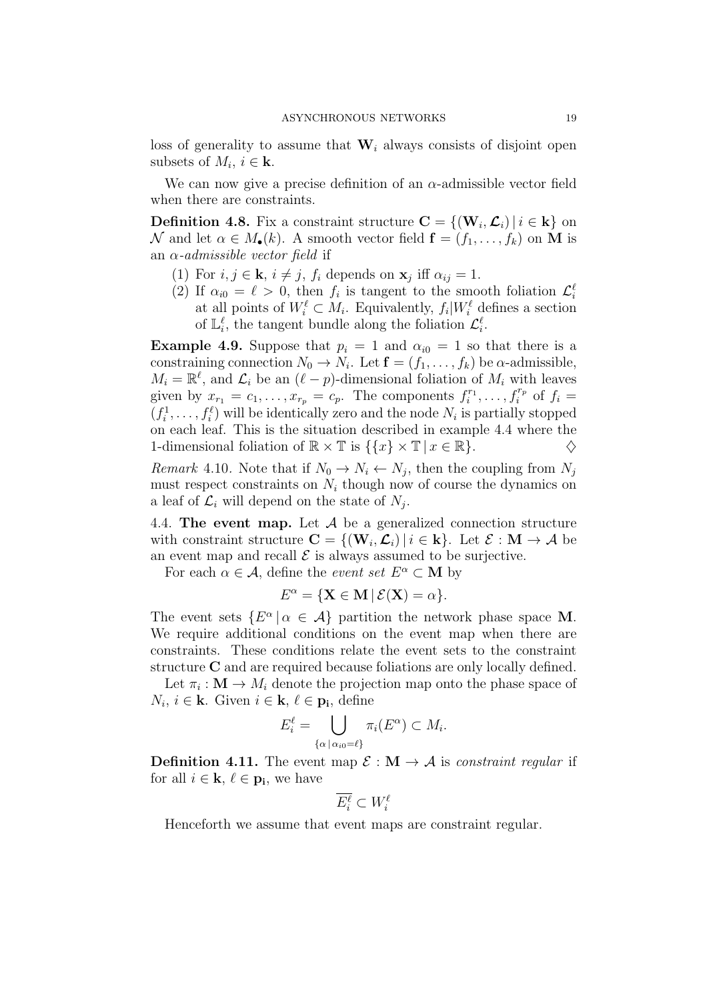loss of generality to assume that  $W_i$  always consists of disjoint open subsets of  $M_i$ ,  $i \in \mathbf{k}$ .

We can now give a precise definition of an  $\alpha$ -admissible vector field when there are constraints.

**Definition 4.8.** Fix a constraint structure  $\mathbf{C} = \{(\mathbf{W}_i, \mathcal{L}_i) | i \in \mathbf{k}\}\$  on N and let  $\alpha \in M_{\bullet}(k)$ . A smooth vector field  $\mathbf{f} = (f_1, \ldots, f_k)$  on M is an  $\alpha$ -admissible vector field if

- (1) For  $i, j \in \mathbf{k}, i \neq j, f_i$  depends on  $\mathbf{x}_j$  iff  $\alpha_{ij} = 1$ .
- (2) If  $\alpha_{i0} = \ell > 0$ , then  $f_i$  is tangent to the smooth foliation  $\mathcal{L}_i^{\ell}$ at all points of  $W_i^{\ell} \subset M_i$ . Equivalently,  $f_i|W_i^{\ell}$  defines a section of  $\mathbb{L}_i^{\ell}$ , the tangent bundle along the foliation  $\mathcal{L}_i^{\ell}$ .

Example 4.9. Suppose that  $p_i = 1$  and  $\alpha_{i0} = 1$  so that there is a constraining connection  $N_0 \to N_i$ . Let  $\mathbf{f} = (f_1, \ldots, f_k)$  be  $\alpha$ -admissible,  $M_i = \mathbb{R}^{\ell}$ , and  $\mathcal{L}_i$  be an  $(\ell - p)$ -dimensional foliation of  $M_i$  with leaves given by  $x_{r_1} = c_1, \ldots, x_{r_p} = c_p$ . The components  $f_i^{r_1}$  $i^{r_1}, \ldots, f_i^{r_p}$  of  $f_i =$  $(f_i^1, \ldots, f_i^{\ell})$  will be identically zero and the node  $N_i$  is partially stopped on each leaf. This is the situation described in example 4.4 where the 1-dimensional foliation of  $\mathbb{R} \times \mathbb{T}$  is  $\{\{x\} \times \mathbb{T} \mid x \in \mathbb{R}\}.$ 

*Remark* 4.10. Note that if  $N_0 \to N_i \leftarrow N_j$ , then the coupling from  $N_j$ must respect constraints on  $N_i$  though now of course the dynamics on a leaf of  $\mathcal{L}_i$  will depend on the state of  $N_j$ .

4.4. The event map. Let  $A$  be a generalized connection structure with constraint structure  $\mathbf{C} = \{(\mathbf{W}_i, \mathcal{L}_i) | i \in \mathbf{k}\}\.$  Let  $\mathcal{E}: \mathbf{M} \to \mathcal{A}$  be an event map and recall  $\mathcal E$  is always assumed to be surjective.

For each  $\alpha \in \mathcal{A}$ , define the *event set*  $E^{\alpha} \subset \mathbf{M}$  by

$$
E^{\alpha} = \{ \mathbf{X} \in \mathbf{M} \, | \, \mathcal{E}(\mathbf{X}) = \alpha \}.
$$

The event sets  $\{E^{\alpha} | \alpha \in \mathcal{A}\}$  partition the network phase space M. We require additional conditions on the event map when there are constraints. These conditions relate the event sets to the constraint structure C and are required because foliations are only locally defined.

Let  $\pi_i : \mathbf{M} \to M_i$  denote the projection map onto the phase space of  $N_i, i \in \mathbf{k}$ . Given  $i \in \mathbf{k}, \ell \in \mathbf{p_i}$ , define

$$
E_i^{\ell} = \bigcup_{\{\alpha \,|\, \alpha_{i0} = \ell\}} \pi_i(E^{\alpha}) \subset M_i.
$$

**Definition 4.11.** The event map  $\mathcal{E}: \mathbf{M} \to \mathcal{A}$  is constraint regular if for all  $i \in \mathbf{k}, \ell \in \mathbf{p_i}$ , we have

$$
\overline{E_i^{\ell}} \subset W_i^{\ell}
$$

Henceforth we assume that event maps are constraint regular.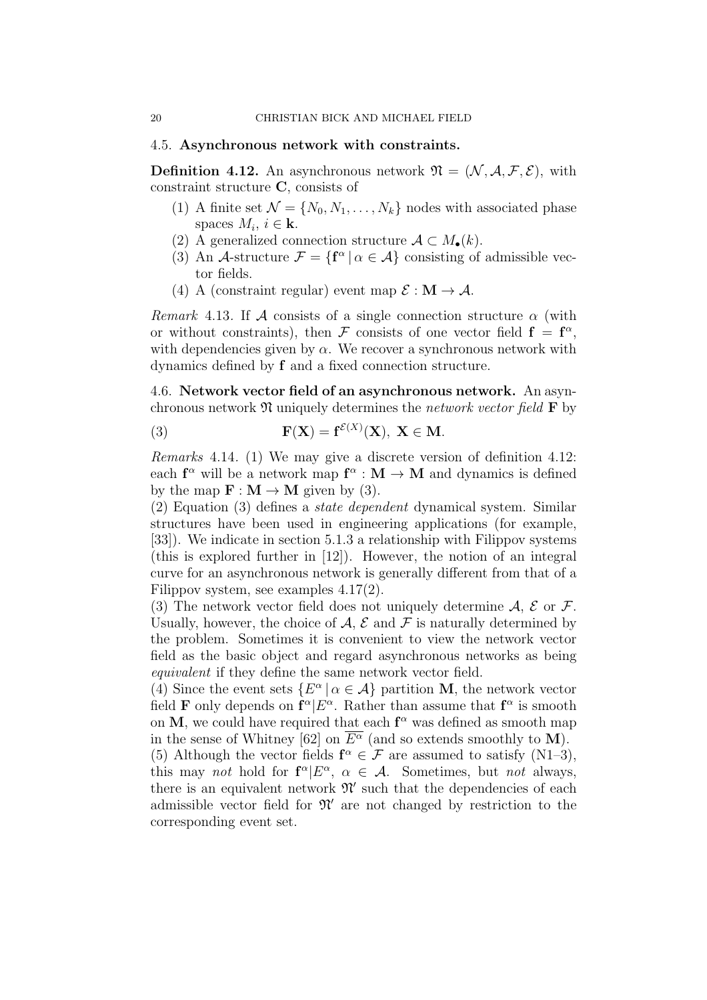#### 4.5. Asynchronous network with constraints.

**Definition 4.12.** An asynchronous network  $\mathfrak{N} = (\mathcal{N}, \mathcal{A}, \mathcal{F}, \mathcal{E})$ , with constraint structure C, consists of

- (1) A finite set  $\mathcal{N} = \{N_0, N_1, \ldots, N_k\}$  nodes with associated phase spaces  $M_i$ ,  $i \in \mathbf{k}$ .
- (2) A generalized connection structure  $\mathcal{A} \subset M_{\bullet}(k)$ .
- (3) An A-structure  $\mathcal{F} = \{ \mathbf{f}^{\alpha} \mid \alpha \in \mathcal{A} \}$  consisting of admissible vector fields.
- (4) A (constraint regular) event map  $\mathcal{E}: \mathbf{M} \to \mathcal{A}$ .

Remark 4.13. If A consists of a single connection structure  $\alpha$  (with or without constraints), then F consists of one vector field  $f = f^{\alpha}$ , with dependencies given by  $\alpha$ . We recover a synchronous network with dynamics defined by f and a fixed connection structure.

4.6. Network vector field of an asynchronous network. An asynchronous network  $\mathfrak N$  uniquely determines the *network vector field*  $\mathbf F$  by

(3) 
$$
\mathbf{F}(\mathbf{X}) = \mathbf{f}^{\mathcal{E}(X)}(\mathbf{X}), \mathbf{X} \in \mathbf{M}.
$$

Remarks 4.14. (1) We may give a discrete version of definition 4.12: each  $f^{\alpha}$  will be a network map  $f^{\alpha}: M \to M$  and dynamics is defined by the map  $\mathbf{F} : \mathbf{M} \to \mathbf{M}$  given by (3).

(2) Equation (3) defines a state dependent dynamical system. Similar structures have been used in engineering applications (for example, [33]). We indicate in section 5.1.3 a relationship with Filippov systems (this is explored further in [12]). However, the notion of an integral curve for an asynchronous network is generally different from that of a Filippov system, see examples 4.17(2).

(3) The network vector field does not uniquely determine  $A, \mathcal{E}$  or  $\mathcal{F}$ . Usually, however, the choice of  $A, \mathcal{E}$  and  $\mathcal{F}$  is naturally determined by the problem. Sometimes it is convenient to view the network vector field as the basic object and regard asynchronous networks as being equivalent if they define the same network vector field.

(4) Since the event sets  $\{E^{\alpha} | \alpha \in \mathcal{A}\}$  partition **M**, the network vector field **F** only depends on  $f^{\alpha}$   $E^{\alpha}$ . Rather than assume that  $f^{\alpha}$  is smooth on M, we could have required that each  $f^{\alpha}$  was defined as smooth map in the sense of Whitney [62] on  $\overline{E^{\alpha}}$  (and so extends smoothly to **M**). (5) Although the vector fields  $f^{\alpha} \in \mathcal{F}$  are assumed to satisfy (N1-3), this may not hold for  $f^{\alpha}$   $\big| E^{\alpha}$ ,  $\alpha \in \mathcal{A}$ . Sometimes, but not always, there is an equivalent network  $\mathfrak{N}'$  such that the dependencies of each admissible vector field for  $\mathfrak{N}'$  are not changed by restriction to the corresponding event set.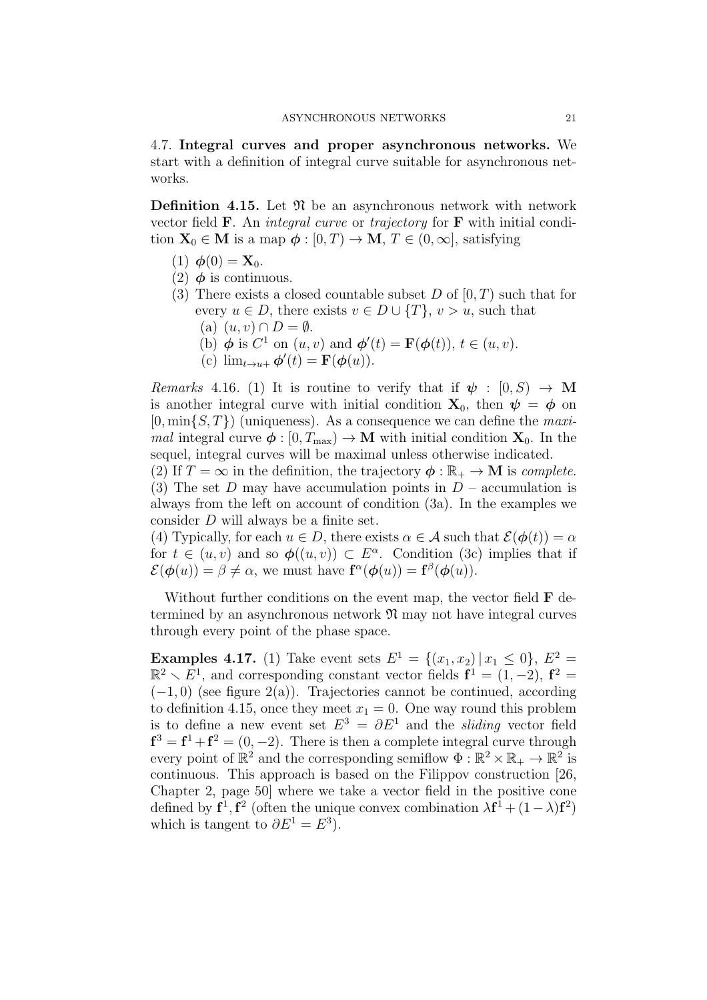4.7. Integral curves and proper asynchronous networks. We start with a definition of integral curve suitable for asynchronous networks.

**Definition 4.15.** Let  $\mathfrak{N}$  be an asynchronous network with network vector field  $\bf{F}$ . An *integral curve* or *trajectory* for  $\bf{F}$  with initial condition  $X_0 \in M$  is a map  $\phi : [0, T] \to M$ ,  $T \in (0, \infty]$ , satisfying

- (1)  $\phi(0) = X_0$ .
- (2)  $\phi$  is continuous.
- (3) There exists a closed countable subset  $D$  of  $[0, T)$  such that for every  $u \in D$ , there exists  $v \in D \cup \{T\}$ ,  $v > u$ , such that
	- (a)  $(u, v) \cap D = \emptyset$ .
	- (b)  $\phi$  is  $C^1$  on  $(u, v)$  and  $\phi'(t) = \mathbf{F}(\phi(t)), t \in (u, v)$ .
	- (c)  $\lim_{t\to u^+} \boldsymbol{\phi}'(t) = \mathbf{F}(\boldsymbol{\phi}(u)).$

Remarks 4.16. (1) It is routine to verify that if  $\psi : [0, S] \rightarrow M$ is another integral curve with initial condition  $X_0$ , then  $\psi = \phi$  on  $[0, \min\{S, T\})$  (uniqueness). As a consequence we can define the *maxi*mal integral curve  $\phi : [0, T_{\text{max}}) \to M$  with initial condition  $X_0$ . In the sequel, integral curves will be maximal unless otherwise indicated.

(2) If  $T = \infty$  in the definition, the trajectory  $\phi : \mathbb{R}_+ \to \mathbb{M}$  is complete. (3) The set D may have accumulation points in  $D$  – accumulation is always from the left on account of condition (3a). In the examples we consider D will always be a finite set.

(4) Typically, for each  $u \in D$ , there exists  $\alpha \in \mathcal{A}$  such that  $\mathcal{E}(\boldsymbol{\phi}(t)) = \alpha$ for  $t \in (u, v)$  and so  $\phi((u, v)) \subset E^{\alpha}$ . Condition (3c) implies that if  $\mathcal{E}(\boldsymbol{\phi}(u)) = \beta \neq \alpha$ , we must have  $\mathbf{f}^{\alpha}(\boldsymbol{\phi}(u)) = \mathbf{f}^{\beta}(\boldsymbol{\phi}(u)).$ 

Without further conditions on the event map, the vector field **F** determined by an asynchronous network  $\mathfrak{N}$  may not have integral curves through every point of the phase space.

**Examples 4.17.** (1) Take event sets  $E^1 = \{(x_1, x_2) | x_1 \leq 0\}, E^2 =$  $\mathbb{R}^2 \setminus E^1$ , and corresponding constant vector fields  $f^1 = (1, -2)$ ,  $f^2 =$  $(-1, 0)$  (see figure 2(a)). Trajectories cannot be continued, according to definition 4.15, once they meet  $x_1 = 0$ . One way round this problem is to define a new event set  $E^3 = \partial E^1$  and the *sliding* vector field  $f^3 = f^1 + f^2 = (0, -2)$ . There is then a complete integral curve through every point of  $\mathbb{R}^2$  and the corresponding semiflow  $\Phi : \mathbb{R}^2 \times \mathbb{R}_+ \to \mathbb{R}^2$  is continuous. This approach is based on the Filippov construction [26, Chapter 2, page 50] where we take a vector field in the positive cone defined by  $f^1, f^2$  (often the unique convex combination  $\lambda f^1 + (1 - \lambda)f^2$ ) which is tangent to  $\partial E^1 = E^3$ .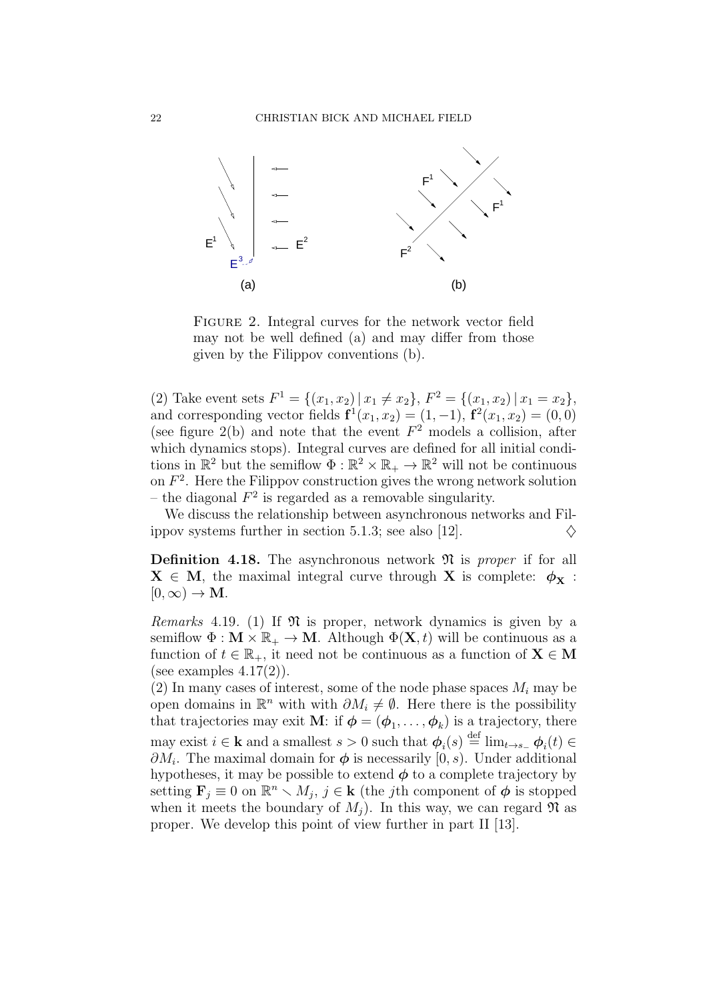

Figure 2. Integral curves for the network vector field may not be well defined (a) and may differ from those given by the Filippov conventions (b).

(2) Take event sets  $F^1 = \{(x_1, x_2) | x_1 \neq x_2\}, F^2 = \{(x_1, x_2) | x_1 = x_2\},$ and corresponding vector fields  $f^1(x_1, x_2) = (1, -1), f^2(x_1, x_2) = (0, 0)$ (see figure 2(b) and note that the event  $F^2$  models a collision, after which dynamics stops). Integral curves are defined for all initial conditions in  $\mathbb{R}^2$  but the semiflow  $\Phi : \mathbb{R}^2 \times \mathbb{R}_+ \to \mathbb{R}^2$  will not be continuous on  $F<sup>2</sup>$ . Here the Filippov construction gives the wrong network solution – the diagonal  $F^2$  is regarded as a removable singularity.

We discuss the relationship between asynchronous networks and Filippov systems further in section 5.1.3; see also [12].  $\diamondsuit$ 

**Definition 4.18.** The asynchronous network  $\mathfrak{N}$  is proper if for all  $X \in M$ , the maximal integral curve through X is complete:  $\phi_X$ :  $[0, \infty) \rightarrow M$ .

*Remarks* 4.19. (1) If  $\mathfrak N$  is proper, network dynamics is given by a semiflow  $\Phi : \mathbf{M} \times \mathbb{R}_+ \to \mathbf{M}$ . Although  $\Phi(\mathbf{X}, t)$  will be continuous as a function of  $t \in \mathbb{R}_+$ , it need not be continuous as a function of  $X \in M$ (see examples  $4.17(2)$ ).

(2) In many cases of interest, some of the node phase spaces  $M_i$  may be open domains in  $\mathbb{R}^n$  with with  $\partial M_i \neq \emptyset$ . Here there is the possibility that trajectories may exit **M**: if  $\boldsymbol{\phi} = (\phi_1, \dots, \phi_k)$  is a trajectory, there may exist  $i \in \mathbf{k}$  and a smallest  $s > 0$  such that  $\phi_i(s) \stackrel{\text{def}}{=} \lim_{t \to s_-} \phi_i(t) \in$  $\partial M_i$ . The maximal domain for  $\phi$  is necessarily [0, s). Under additional hypotheses, it may be possible to extend  $\phi$  to a complete trajectory by setting  $\mathbf{F}_j \equiv 0$  on  $\mathbb{R}^n \setminus M_j$ ,  $j \in \mathbf{k}$  (the *j*th component of  $\boldsymbol{\phi}$  is stopped when it meets the boundary of  $M_i$ ). In this way, we can regard  $\mathfrak{N}$  as proper. We develop this point of view further in part II [13].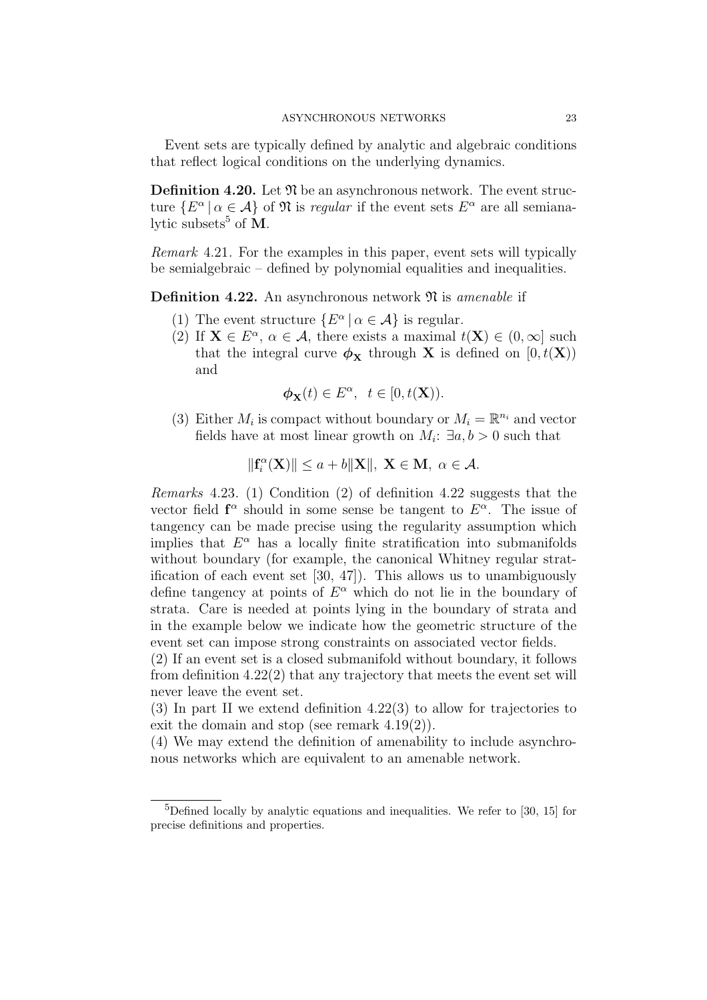Event sets are typically defined by analytic and algebraic conditions that reflect logical conditions on the underlying dynamics.

**Definition 4.20.** Let  $\mathfrak{N}$  be an asynchronous network. The event structure  $\{E^{\alpha} | \alpha \in \mathcal{A}\}$  of  $\mathfrak{N}$  is *regular* if the event sets  $E^{\alpha}$  are all semianalytic subsets<sup>5</sup> of  $M$ .

Remark 4.21. For the examples in this paper, event sets will typically be semialgebraic – defined by polynomial equalities and inequalities.

**Definition 4.22.** An asynchronous network  $\mathfrak{N}$  is amenable if

- (1) The event structure  $\{E^{\alpha} | \alpha \in \mathcal{A}\}\$ is regular.
- (2) If  $\mathbf{X} \in E^{\alpha}$ ,  $\alpha \in \mathcal{A}$ , there exists a maximal  $t(\mathbf{X}) \in (0, \infty]$  such that the integral curve  $\phi_{\mathbf{X}}$  through **X** is defined on  $[0, t(\mathbf{X}))$ and

$$
\boldsymbol{\phi}_{\mathbf{X}}(t) \in E^{\alpha}, \ \ t \in [0, t(\mathbf{X})).
$$

(3) Either  $M_i$  is compact without boundary or  $M_i = \mathbb{R}^{n_i}$  and vector fields have at most linear growth on  $M_i$ :  $\exists a, b > 0$  such that

$$
\|\mathbf{f}^{\alpha}_i(\mathbf{X})\| \leq a + b \|\mathbf{X}\|, \ \mathbf{X} \in \mathbf{M}, \ \alpha \in \mathcal{A}.
$$

Remarks 4.23. (1) Condition (2) of definition 4.22 suggests that the vector field  $f^{\alpha}$  should in some sense be tangent to  $E^{\alpha}$ . The issue of tangency can be made precise using the regularity assumption which implies that  $E^{\alpha}$  has a locally finite stratification into submanifolds without boundary (for example, the canonical Whitney regular stratification of each event set [30, 47]). This allows us to unambiguously define tangency at points of  $E^{\alpha}$  which do not lie in the boundary of strata. Care is needed at points lying in the boundary of strata and in the example below we indicate how the geometric structure of the event set can impose strong constraints on associated vector fields.

(2) If an event set is a closed submanifold without boundary, it follows from definition 4.22(2) that any trajectory that meets the event set will never leave the event set.

(3) In part II we extend definition 4.22(3) to allow for trajectories to exit the domain and stop (see remark 4.19(2)).

(4) We may extend the definition of amenability to include asynchronous networks which are equivalent to an amenable network.

<sup>5</sup>Defined locally by analytic equations and inequalities. We refer to [30, 15] for precise definitions and properties.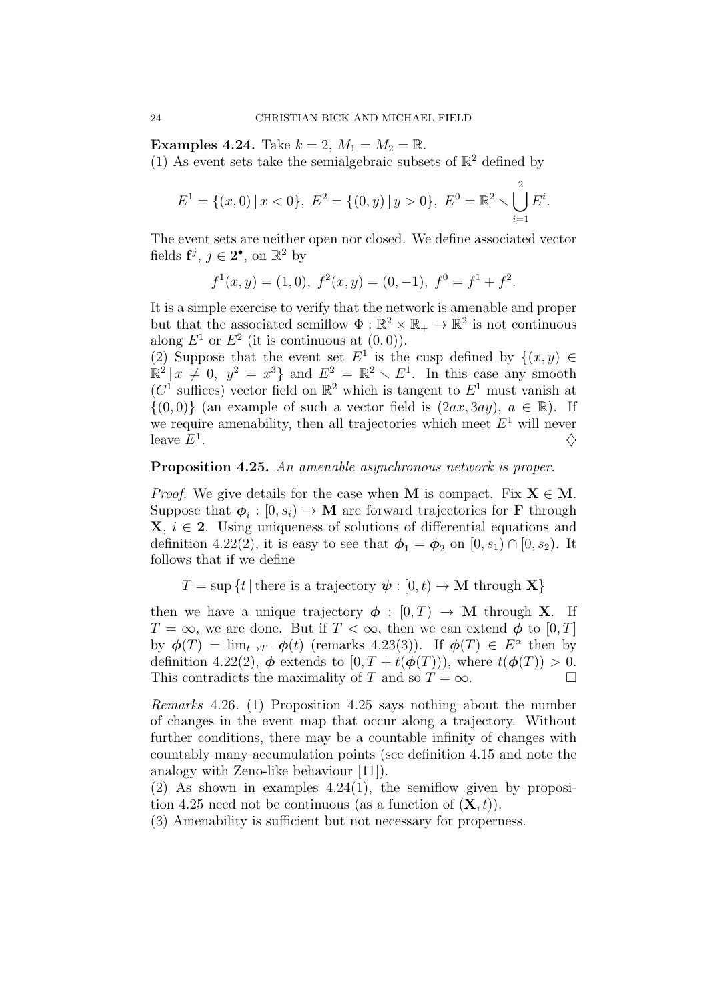**Examples 4.24.** Take  $k = 2$ ,  $M_1 = M_2 = \mathbb{R}$ . (1) As event sets take the semialgebraic subsets of  $\mathbb{R}^2$  defined by

$$
E^{1} = \{(x, 0) | x < 0\}, E^{2} = \{(0, y) | y > 0\}, E^{0} = \mathbb{R}^{2} \setminus \bigcup_{i=1}^{2} E^{i}.
$$

The event sets are neither open nor closed. We define associated vector fields  $f^j$ ,  $j \in 2^{\bullet}$ , on  $\mathbb{R}^2$  by

$$
f^1(x, y) = (1, 0), f^2(x, y) = (0, -1), f^0 = f^1 + f^2.
$$

It is a simple exercise to verify that the network is amenable and proper but that the associated semiflow  $\Phi : \mathbb{R}^2 \times \mathbb{R}_+ \to \mathbb{R}^2$  is not continuous along  $E^1$  or  $E^2$  (it is continuous at  $(0,0)$ ).

(2) Suppose that the event set  $E^1$  is the cusp defined by  $\{(x, y) \in$  $\mathbb{R}^2 | x \neq 0, y^2 = x^3$  and  $E^2 = \mathbb{R}^2 \setminus E^1$ . In this case any smooth  $(C^1$  suffices) vector field on  $\mathbb{R}^2$  which is tangent to  $E^1$  must vanish at  $\{(0,0)\}\$  (an example of such a vector field is  $(2ax, 3ay)$ ,  $a \in \mathbb{R}$ ). If we require amenability, then all trajectories which meet  $E<sup>1</sup>$  will never leave  $E^1$ . And the contract of the contract of the contract of  $\Diamond$ 

### Proposition 4.25. An amenable asynchronous network is proper.

*Proof.* We give details for the case when M is compact. Fix  $X \in M$ . Suppose that  $\phi_i : [0, s_i) \to \mathbf{M}$  are forward trajectories for **F** through  $X, i \in 2$ . Using uniqueness of solutions of differential equations and definition 4.22(2), it is easy to see that  $\phi_1 = \phi_2$  on  $[0, s_1) \cap [0, s_2)$ . It follows that if we define

$$
T = \sup \{ t \mid \text{there is a trajectory } \psi : [0, t) \to \mathbf{M} \text{ through } \mathbf{X} \}
$$

then we have a unique trajectory  $\phi : [0, T) \rightarrow M$  through X. If  $T = \infty$ , we are done. But if  $T < \infty$ , then we can extend  $\phi$  to [0, T] by  $\phi(T) = \lim_{t \to T^-} \phi(t)$  (remarks 4.23(3)). If  $\phi(T) \in E^{\alpha}$  then by definition 4.22(2),  $\phi$  extends to  $[0, T + t(\phi(T))$ , where  $t(\phi(T)) > 0$ . This contradicts the maximality of T and so  $T = \infty$ .

Remarks 4.26. (1) Proposition 4.25 says nothing about the number of changes in the event map that occur along a trajectory. Without further conditions, there may be a countable infinity of changes with countably many accumulation points (see definition 4.15 and note the analogy with Zeno-like behaviour [11]).

 $(2)$  As shown in examples 4.24 $(1)$ , the semiflow given by proposition 4.25 need not be continuous (as a function of  $(\mathbf{X}, t)$ ).

(3) Amenability is sufficient but not necessary for properness.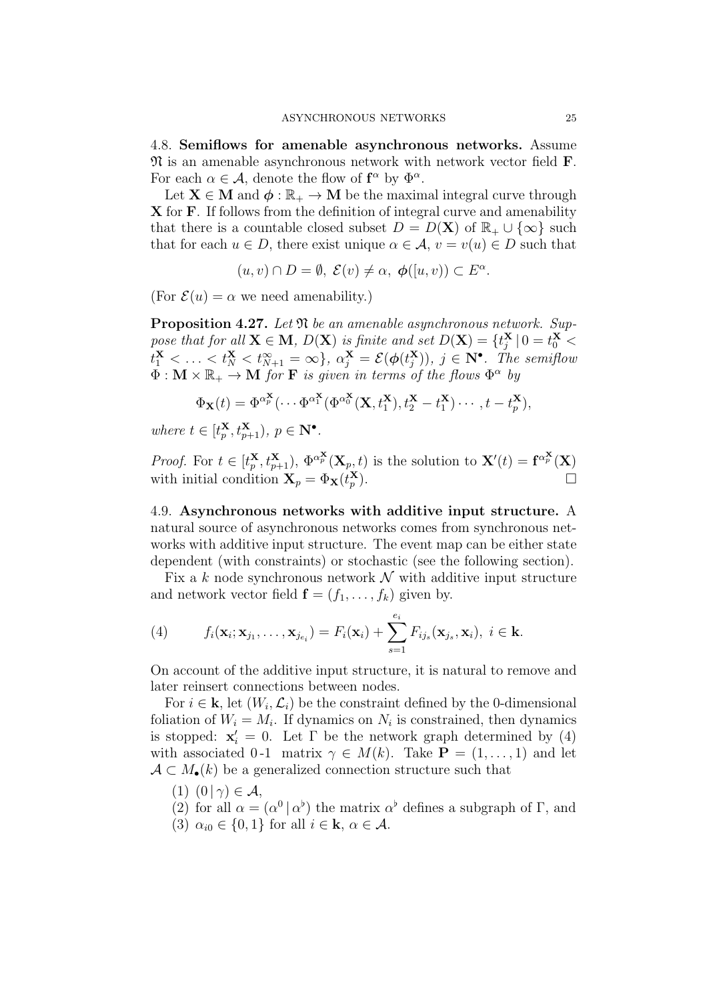4.8. Semiflows for amenable asynchronous networks. Assume  $\mathfrak N$  is an amenable asynchronous network with network vector field **F**. For each  $\alpha \in \mathcal{A}$ , denote the flow of  $f^{\alpha}$  by  $\Phi^{\alpha}$ .

Let  $X \in M$  and  $\phi : \mathbb{R}_+ \to M$  be the maximal integral curve through X for F. If follows from the definition of integral curve and amenability that there is a countable closed subset  $D = D(\mathbf{X})$  of  $\mathbb{R}_+ \cup \{\infty\}$  such that for each  $u \in D$ , there exist unique  $\alpha \in \mathcal{A}$ ,  $v = v(u) \in D$  such that

 $(u, v) \cap D = \emptyset$ ,  $\mathcal{E}(v) \neq \alpha$ ,  $\boldsymbol{\phi}([u, v)) \subset E^{\alpha}$ .

(For  $\mathcal{E}(u) = \alpha$  we need amenability.)

Proposition 4.27. Let  $\mathfrak N$  be an amenable asynchronous network. Suppose that for all  $X \in M$ ,  $D(X)$  is finite and set  $D(X) = \{t_j^X | 0 = t_0^X <$  $t_1^{\mathbf{X}} < \ldots < t_N^{\mathbf{X}} < t_{N+1}^{\infty} = \infty$ ,  $\alpha_j^{\mathbf{X}} = \mathcal{E}(\boldsymbol{\phi}(t_j^{\mathbf{X}}))$ ,  $j \in \mathbf{N}^{\bullet}$ . The semiflow  $\overline{\Phi}: \mathbf{M} \times \mathbb{R}_+ \to \mathbf{M}$  for **F** is given in terms of the flows  $\Phi^{\alpha}$  by

$$
\Phi_{\mathbf{X}}(t) = \Phi^{\alpha_p^{\mathbf{X}}}(\cdots \Phi^{\alpha_1^{\mathbf{X}}}(\Phi^{\alpha_0^{\mathbf{X}}}(\mathbf{X}, t_1^{\mathbf{X}}), t_2^{\mathbf{X}} - t_1^{\mathbf{X}})\cdots, t - t_p^{\mathbf{X}}),
$$

where  $t \in [t_p^{\mathbf{X}}, t_{p+1}^{\mathbf{X}}), p \in \mathbb{N}^{\bullet}$ .

*Proof.* For  $t \in [t_p^{\mathbf{X}}, t_{p+1}^{\mathbf{X}}), \Phi^{\alpha_p^{\mathbf{X}}}(\mathbf{X}_p, t)$  is the solution to  $\mathbf{X}'(t) = \mathbf{f}^{\alpha_p^{\mathbf{X}}}(\mathbf{X})$ with initial condition  $\mathbf{X}_p = \Phi_{\mathbf{X}}(t_p^{\mathbf{X}})$ .

4.9. Asynchronous networks with additive input structure. A natural source of asynchronous networks comes from synchronous networks with additive input structure. The event map can be either state dependent (with constraints) or stochastic (see the following section).

Fix a k node synchronous network  $\mathcal N$  with additive input structure and network vector field  $f = (f_1, \ldots, f_k)$  given by.

(4) 
$$
f_i(\mathbf{x}_i; \mathbf{x}_{j_1}, \dots, \mathbf{x}_{j_{e_i}}) = F_i(\mathbf{x}_i) + \sum_{s=1}^{e_i} F_{ij_s}(\mathbf{x}_{j_s}, \mathbf{x}_i), \ i \in \mathbf{k}.
$$

On account of the additive input structure, it is natural to remove and later reinsert connections between nodes.

For  $i \in \mathbf{k}$ , let  $(W_i, \mathcal{L}_i)$  be the constraint defined by the 0-dimensional foliation of  $W_i = M_i$ . If dynamics on  $N_i$  is constrained, then dynamics is stopped:  $\mathbf{x}'_i = 0$ . Let  $\Gamma$  be the network graph determined by (4) with associated 0-1 matrix  $\gamma \in M(k)$ . Take  $\mathbf{P} = (1, \ldots, 1)$  and let  $A \subset M_{\bullet}(k)$  be a generalized connection structure such that

- (1)  $(0 | \gamma) \in \mathcal{A}$ ,
- (2) for all  $\alpha = (\alpha^0 | \alpha^{\flat})$  the matrix  $\alpha^{\flat}$  defines a subgraph of  $\Gamma$ , and
- (3)  $\alpha_{i0} \in \{0, 1\}$  for all  $i \in \mathbf{k}, \alpha \in \mathcal{A}$ .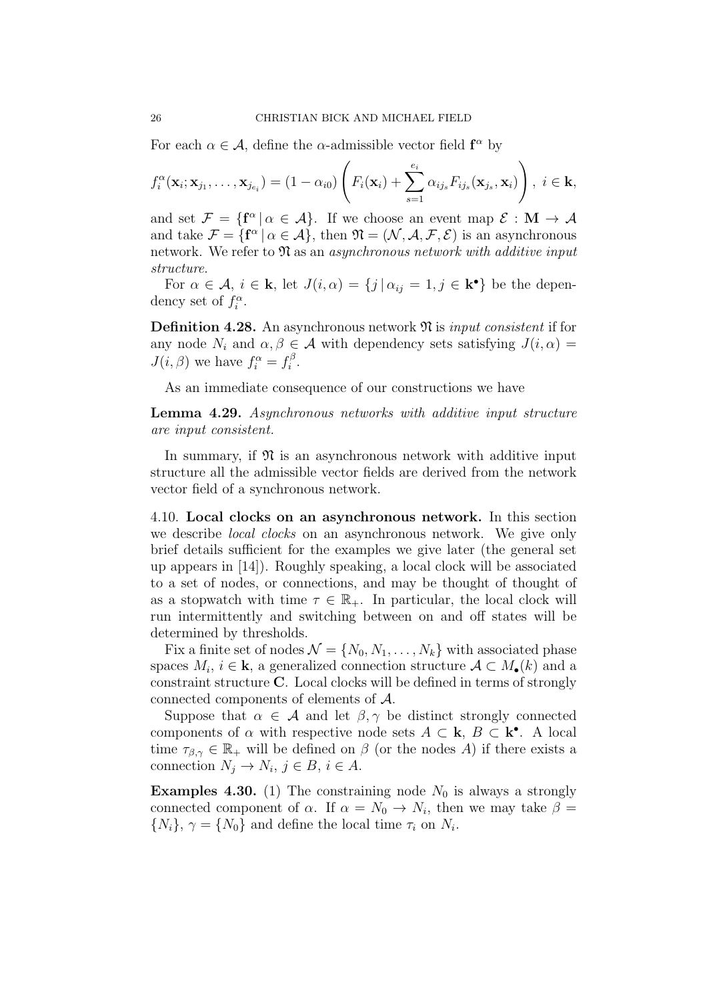For each  $\alpha \in \mathcal{A}$ , define the  $\alpha$ -admissible vector field  $f^{\alpha}$  by

$$
f_i^{\alpha}(\mathbf{x}_i;\mathbf{x}_{j_1},\ldots,\mathbf{x}_{j_{e_i}})=(1-\alpha_{i0})\left(F_i(\mathbf{x}_i)+\sum_{s=1}^{e_i}\alpha_{ijs}F_{ij_s}(\mathbf{x}_{j_s},\mathbf{x}_i)\right),\ i\in\mathbf{k},
$$

and set  $\mathcal{F} = \{ \mathbf{f}^{\alpha} \mid \alpha \in \mathcal{A} \}.$  If we choose an event map  $\mathcal{E} : \mathbf{M} \to \mathcal{A}$ and take  $\mathcal{F} = \{ \mathbf{f}^{\alpha} \mid \alpha \in \mathcal{A} \},\$  then  $\mathfrak{N} = (\mathcal{N}, \mathcal{A}, \mathcal{F}, \mathcal{E})$  is an asynchronous network. We refer to  $\mathfrak{N}$  as an asynchronous network with additive input structure.

For  $\alpha \in \mathcal{A}, i \in \mathbf{k}$ , let  $J(i, \alpha) = \{j \mid \alpha_{ij} = 1, j \in \mathbf{k}^{\bullet}\}\$  be the dependency set of  $f_i^{\alpha}$ .

**Definition 4.28.** An asynchronous network  $\mathfrak{N}$  is *input consistent* if for any node  $N_i$  and  $\alpha, \beta \in \mathcal{A}$  with dependency sets satisfying  $J(i, \alpha) =$  $J(i, \beta)$  we have  $f_i^{\alpha} = f_i^{\beta}$  $i^{\beta}$ .

As an immediate consequence of our constructions we have

Lemma 4.29. Asynchronous networks with additive input structure are input consistent.

In summary, if  $\mathfrak{N}$  is an asynchronous network with additive input structure all the admissible vector fields are derived from the network vector field of a synchronous network.

4.10. Local clocks on an asynchronous network. In this section we describe *local clocks* on an asynchronous network. We give only brief details sufficient for the examples we give later (the general set up appears in [14]). Roughly speaking, a local clock will be associated to a set of nodes, or connections, and may be thought of thought of as a stopwatch with time  $\tau \in \mathbb{R}_+$ . In particular, the local clock will run intermittently and switching between on and off states will be determined by thresholds.

Fix a finite set of nodes  $\mathcal{N} = \{N_0, N_1, \ldots, N_k\}$  with associated phase spaces  $M_i$ ,  $i \in \mathbf{k}$ , a generalized connection structure  $\mathcal{A} \subset M_{\bullet}(k)$  and a constraint structure C. Local clocks will be defined in terms of strongly connected components of elements of A.

Suppose that  $\alpha \in \mathcal{A}$  and let  $\beta, \gamma$  be distinct strongly connected components of  $\alpha$  with respective node sets  $A \subset \mathbf{k}$ ,  $B \subset \mathbf{k}^{\bullet}$ . A local time  $\tau_{\beta,\gamma} \in \mathbb{R}_+$  will be defined on  $\beta$  (or the nodes A) if there exists a connection  $N_j \to N_i$ ,  $j \in B$ ,  $i \in A$ .

**Examples 4.30.** (1) The constraining node  $N_0$  is always a strongly connected component of  $\alpha$ . If  $\alpha = N_0 \rightarrow N_i$ , then we may take  $\beta =$  $\{N_i\}, \gamma = \{N_0\}$  and define the local time  $\tau_i$  on  $N_i$ .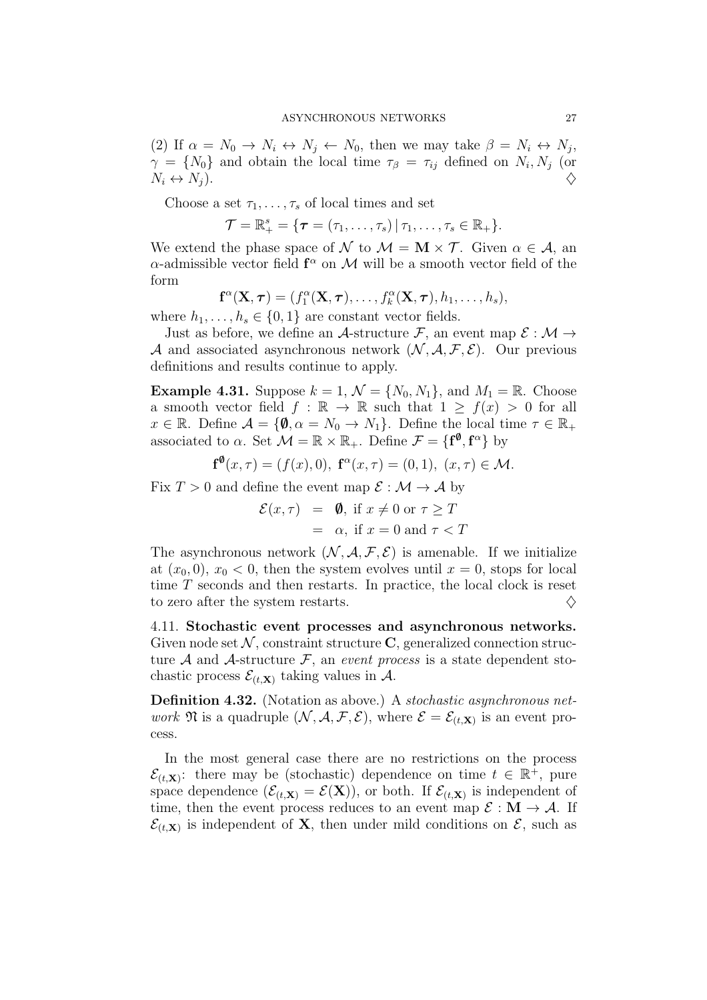(2) If  $\alpha = N_0 \to N_i \leftrightarrow N_j \leftarrow N_0$ , then we may take  $\beta = N_i \leftrightarrow N_j$ ,  $\gamma = \{N_0\}$  and obtain the local time  $\tau_\beta = \tau_{ij}$  defined on  $N_i, N_j$  (or  $N_i \leftrightarrow N_j$ .

Choose a set  $\tau_1, \ldots, \tau_s$  of local times and set

$$
\mathcal{T} = \mathbb{R}^s_+ = \{ \boldsymbol{\tau} = (\tau_1, \ldots, \tau_s) \, | \, \tau_1, \ldots, \tau_s \in \mathbb{R}_+ \}.
$$

We extend the phase space of N to  $\mathcal{M} = \mathbf{M} \times \mathcal{T}$ . Given  $\alpha \in \mathcal{A}$ , and  $\alpha$ -admissible vector field  $f^{\alpha}$  on  $\mathcal M$  will be a smooth vector field of the form

$$
\mathbf{f}^{\alpha}(\mathbf{X},\boldsymbol{\tau})=(f_1^{\alpha}(\mathbf{X},\boldsymbol{\tau}),\ldots,f_k^{\alpha}(\mathbf{X},\boldsymbol{\tau}),h_1,\ldots,h_s),
$$

where  $h_1, \ldots, h_s \in \{0, 1\}$  are constant vector fields.

Just as before, we define an A-structure F, an event map  $\mathcal{E}: \mathcal{M} \to$ A and associated asynchronous network  $(N, A, \mathcal{F}, \mathcal{E})$ . Our previous definitions and results continue to apply.

**Example 4.31.** Suppose  $k = 1$ ,  $\mathcal{N} = \{N_0, N_1\}$ , and  $M_1 = \mathbb{R}$ . Choose a smooth vector field  $f : \mathbb{R} \to \mathbb{R}$  such that  $1 \geq f(x) > 0$  for all  $x \in \mathbb{R}$ . Define  $\mathcal{A} = {\emptyset, \alpha = N_0 \to N_1}.$  Define the local time  $\tau \in \mathbb{R}_+$ associated to  $\alpha$ . Set  $\mathcal{M} = \mathbb{R} \times \mathbb{R}_+$ . Define  $\mathcal{F} = {\{\mathbf{f}^{\emptyset}, \mathbf{f}^{\alpha}\}\}\$ 

$$
\mathbf{f}^{\mathbf{0}}(x,\tau) = (f(x),0), \ \mathbf{f}^{\alpha}(x,\tau) = (0,1), \ (x,\tau) \in \mathcal{M}.
$$

Fix  $T > 0$  and define the event map  $\mathcal{E} : \mathcal{M} \to \mathcal{A}$  by

$$
\mathcal{E}(x,\tau) = \emptyset, \text{ if } x \neq 0 \text{ or } \tau \geq T
$$
  
=  $\alpha, \text{ if } x = 0 \text{ and } \tau < T$ 

The asynchronous network  $(N, A, F, \mathcal{E})$  is amenable. If we initialize at  $(x_0, 0)$ ,  $x_0 < 0$ , then the system evolves until  $x = 0$ , stops for local time T seconds and then restarts. In practice, the local clock is reset to zero after the system restarts.  $\Diamond$ 

4.11. Stochastic event processes and asynchronous networks. Given node set  $N$ , constraint structure C, generalized connection structure  $A$  and  $A$ -structure  $F$ , an event process is a state dependent stochastic process  $\mathcal{E}_{(t,\mathbf{X})}$  taking values in A.

**Definition 4.32.** (Notation as above.) A *stochastic asynchronous network*  $\mathfrak{N}$  is a quadruple  $(\mathcal{N}, \mathcal{A}, \mathcal{F}, \mathcal{E})$ , where  $\mathcal{E} = \mathcal{E}_{(t,\mathbf{X})}$  is an event process.

In the most general case there are no restrictions on the process  $\mathcal{E}_{(t,\mathbf{X})}$ : there may be (stochastic) dependence on time  $t \in \mathbb{R}^+$ , pure space dependence  $(\mathcal{E}_{(t,\mathbf{X})} = \mathcal{E}(\mathbf{X}))$ , or both. If  $\mathcal{E}_{(t,\mathbf{X})}$  is independent of time, then the event process reduces to an event map  $\mathcal{E}: \mathbf{M} \to \mathcal{A}$ . If  $\mathcal{E}_{(t,\mathbf{X})}$  is independent of **X**, then under mild conditions on  $\mathcal{E}$ , such as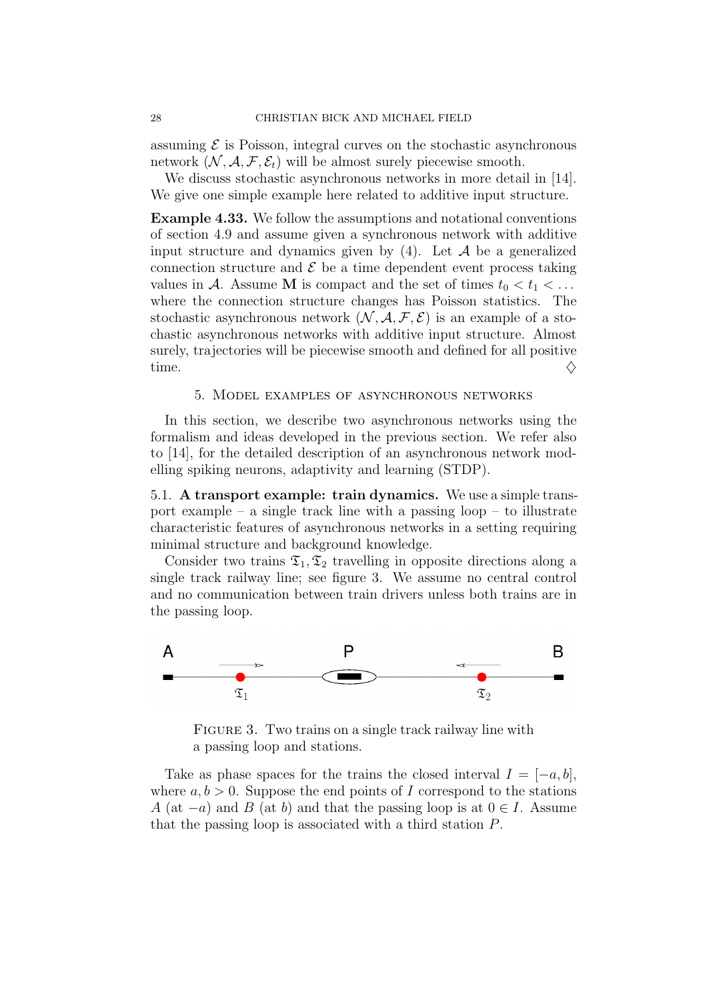assuming  $\mathcal E$  is Poisson, integral curves on the stochastic asynchronous network  $(N, \mathcal{A}, \mathcal{F}, \mathcal{E}_t)$  will be almost surely piecewise smooth.

We discuss stochastic asynchronous networks in more detail in [14]. We give one simple example here related to additive input structure.

Example 4.33. We follow the assumptions and notational conventions of section 4.9 and assume given a synchronous network with additive input structure and dynamics given by  $(4)$ . Let  $A$  be a generalized connection structure and  $\mathcal E$  be a time dependent event process taking values in A. Assume M is compact and the set of times  $t_0 < t_1 < \ldots$ where the connection structure changes has Poisson statistics. The stochastic asynchronous network  $(N, \mathcal{A}, \mathcal{F}, \mathcal{E})$  is an example of a stochastic asynchronous networks with additive input structure. Almost surely, trajectories will be piecewise smooth and defined for all positive time.  $\diamondsuit$ 

### 5. Model examples of asynchronous networks

In this section, we describe two asynchronous networks using the formalism and ideas developed in the previous section. We refer also to [14], for the detailed description of an asynchronous network modelling spiking neurons, adaptivity and learning (STDP).

5.1. A transport example: train dynamics. We use a simple transport example – a single track line with a passing loop – to illustrate characteristic features of asynchronous networks in a setting requiring minimal structure and background knowledge.

Consider two trains  $\mathfrak{T}_1, \mathfrak{T}_2$  travelling in opposite directions along a single track railway line; see figure 3. We assume no central control and no communication between train drivers unless both trains are in the passing loop.



FIGURE 3. Two trains on a single track railway line with a passing loop and stations.

Take as phase spaces for the trains the closed interval  $I = [-a, b]$ , where  $a, b > 0$ . Suppose the end points of I correspond to the stations A (at  $-a$ ) and B (at b) and that the passing loop is at  $0 \in I$ . Assume that the passing loop is associated with a third station P.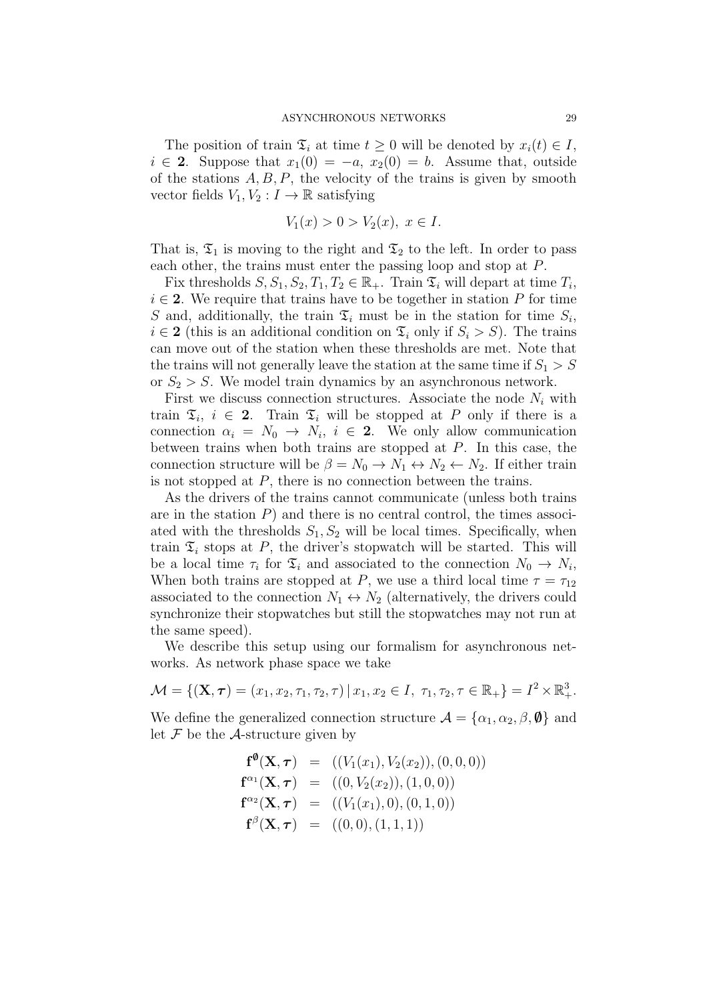The position of train  $\mathfrak{T}_i$  at time  $t \geq 0$  will be denoted by  $x_i(t) \in I$ ,  $i \in 2$ . Suppose that  $x_1(0) = -a$ ,  $x_2(0) = b$ . Assume that, outside of the stations  $A, B, P$ , the velocity of the trains is given by smooth vector fields  $V_1, V_2 : I \to \mathbb{R}$  satisfying

$$
V_1(x) > 0 > V_2(x), \ x \in I.
$$

That is,  $\mathfrak{T}_1$  is moving to the right and  $\mathfrak{T}_2$  to the left. In order to pass each other, the trains must enter the passing loop and stop at P.

Fix thresholds  $S, S_1, S_2, T_1, T_2 \in \mathbb{R}_+$ . Train  $\mathfrak{T}_i$  will depart at time  $T_i$ ,  $i \in 2$ . We require that trains have to be together in station P for time S and, additionally, the train  $\mathfrak{T}_i$  must be in the station for time  $S_i$ ,  $i \in \mathbf{2}$  (this is an additional condition on  $\mathfrak{T}_i$  only if  $S_i > S$ ). The trains can move out of the station when these thresholds are met. Note that the trains will not generally leave the station at the same time if  $S_1 > S$ or  $S_2 > S$ . We model train dynamics by an asynchronous network.

First we discuss connection structures. Associate the node  $N_i$  with train  $\mathfrak{T}_i, i \in \mathbb{2}$ . Train  $\mathfrak{T}_i$  will be stopped at P only if there is a connection  $\alpha_i = N_0 \rightarrow N_i$ ,  $i \in \mathbf{2}$ . We only allow communication between trains when both trains are stopped at P. In this case, the connection structure will be  $\beta = N_0 \rightarrow N_1 \leftrightarrow N_2 \leftarrow N_2$ . If either train is not stopped at P, there is no connection between the trains.

As the drivers of the trains cannot communicate (unless both trains are in the station  $P$ ) and there is no central control, the times associated with the thresholds  $S_1, S_2$  will be local times. Specifically, when train  $\mathfrak{T}_i$  stops at P, the driver's stopwatch will be started. This will be a local time  $\tau_i$  for  $\mathfrak{T}_i$  and associated to the connection  $N_0 \to N_i$ , When both trains are stopped at P, we use a third local time  $\tau = \tau_{12}$ associated to the connection  $N_1 \leftrightarrow N_2$  (alternatively, the drivers could synchronize their stopwatches but still the stopwatches may not run at the same speed).

We describe this setup using our formalism for asynchronous networks. As network phase space we take

$$
\mathcal{M} = \{ (\mathbf{X}, \boldsymbol{\tau}) = (x_1, x_2, \tau_1, \tau_2, \tau) \, | \, x_1, x_2 \in I, \, \tau_1, \tau_2, \tau \in \mathbb{R}_+ \} = I^2 \times \mathbb{R}_+^3.
$$

We define the generalized connection structure  $\mathcal{A} = {\alpha_1, \alpha_2, \beta, \emptyset}$  and let  $\mathcal F$  be the A-structure given by

$$
\mathbf{f}^{\mathbf{\emptyset}}(\mathbf{X}, \boldsymbol{\tau}) = ((V_1(x_1), V_2(x_2)), (0, 0, 0))
$$
  
\n
$$
\mathbf{f}^{\alpha_1}(\mathbf{X}, \boldsymbol{\tau}) = ((0, V_2(x_2)), (1, 0, 0))
$$
  
\n
$$
\mathbf{f}^{\alpha_2}(\mathbf{X}, \boldsymbol{\tau}) = ((V_1(x_1), 0), (0, 1, 0))
$$
  
\n
$$
\mathbf{f}^{\beta}(\mathbf{X}, \boldsymbol{\tau}) = ((0, 0), (1, 1, 1))
$$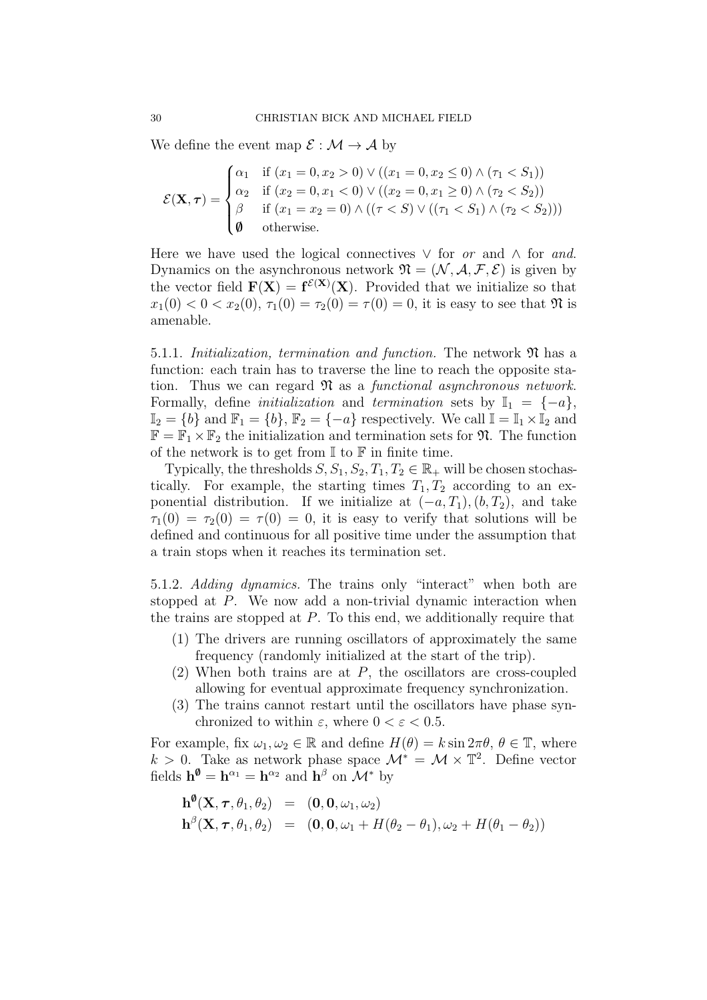We define the event map  $\mathcal{E} : \mathcal{M} \to \mathcal{A}$  by

$$
\mathcal{E}(\mathbf{X}, \tau) = \begin{cases} \alpha_1 & \text{if } (x_1 = 0, x_2 > 0) \lor ((x_1 = 0, x_2 \le 0) \land (\tau_1 < S_1)) \\ \alpha_2 & \text{if } (x_2 = 0, x_1 < 0) \lor ((x_2 = 0, x_1 \ge 0) \land (\tau_2 < S_2)) \\ \beta & \text{if } (x_1 = x_2 = 0) \land ((\tau < S) \lor ((\tau_1 < S_1) \land (\tau_2 < S_2))) \\ \emptyset & \text{otherwise.} \end{cases}
$$

Here we have used the logical connectives  $\vee$  for or and  $\wedge$  for and. Dynamics on the asynchronous network  $\mathfrak{N} = (\mathcal{N}, \mathcal{A}, \mathcal{F}, \mathcal{E})$  is given by the vector field  $\mathbf{F}(\mathbf{X}) = \mathbf{f}^{\mathcal{E}(\mathbf{X})}(\mathbf{X})$ . Provided that we initialize so that  $x_1(0) < 0 < x_2(0), \tau_1(0) = \tau_2(0) = \tau(0) = 0$ , it is easy to see that  $\Re$  is amenable.

5.1.1. Initialization, termination and function. The network  $\mathfrak{N}$  has a function: each train has to traverse the line to reach the opposite station. Thus we can regard  $\mathfrak{N}$  as a *functional asynchronous network*. Formally, define *initialization* and *termination* sets by  $\mathbb{I}_1 = \{-a\}$ ,  $\mathbb{I}_2 = \{b\}$  and  $\mathbb{F}_1 = \{b\}, \mathbb{F}_2 = \{-a\}$  respectively. We call  $\mathbb{I} = \mathbb{I}_1 \times \mathbb{I}_2$  and  $\mathbb{F} = \mathbb{F}_1 \times \mathbb{F}_2$  the initialization and termination sets for  $\mathfrak{N}$ . The function of the network is to get from  $\mathbb I$  to  $\mathbb F$  in finite time.

Typically, the thresholds  $S, S_1, S_2, T_1, T_2 \in \mathbb{R}_+$  will be chosen stochastically. For example, the starting times  $T_1, T_2$  according to an exponential distribution. If we initialize at  $(-a, T_1), (b, T_2)$ , and take  $\tau_1(0) = \tau_2(0) = \tau(0) = 0$ , it is easy to verify that solutions will be defined and continuous for all positive time under the assumption that a train stops when it reaches its termination set.

5.1.2. Adding dynamics. The trains only "interact" when both are stopped at P. We now add a non-trivial dynamic interaction when the trains are stopped at  $P$ . To this end, we additionally require that

- (1) The drivers are running oscillators of approximately the same frequency (randomly initialized at the start of the trip).
- $(2)$  When both trains are at P, the oscillators are cross-coupled allowing for eventual approximate frequency synchronization.
- (3) The trains cannot restart until the oscillators have phase synchronized to within  $\varepsilon$ , where  $0 < \varepsilon < 0.5$ .

For example, fix  $\omega_1, \omega_2 \in \mathbb{R}$  and define  $H(\theta) = k \sin 2\pi \theta$ ,  $\theta \in \mathbb{T}$ , where  $k > 0$ . Take as network phase space  $\mathcal{M}^* = \mathcal{M} \times \mathbb{T}^2$ . Define vector fields  $\mathbf{h}^{\boldsymbol{\emptyset}} = \mathbf{h}^{\alpha_1} = \mathbf{h}^{\alpha_2}$  and  $\mathbf{h}^{\beta}$  on  $\mathcal{M}^*$  by

$$
\mathbf{h}^{\emptyset}(\mathbf{X}, \tau, \theta_1, \theta_2) = (0, 0, \omega_1, \omega_2) \mathbf{h}^{\beta}(\mathbf{X}, \tau, \theta_1, \theta_2) = (0, 0, \omega_1 + H(\theta_2 - \theta_1), \omega_2 + H(\theta_1 - \theta_2))
$$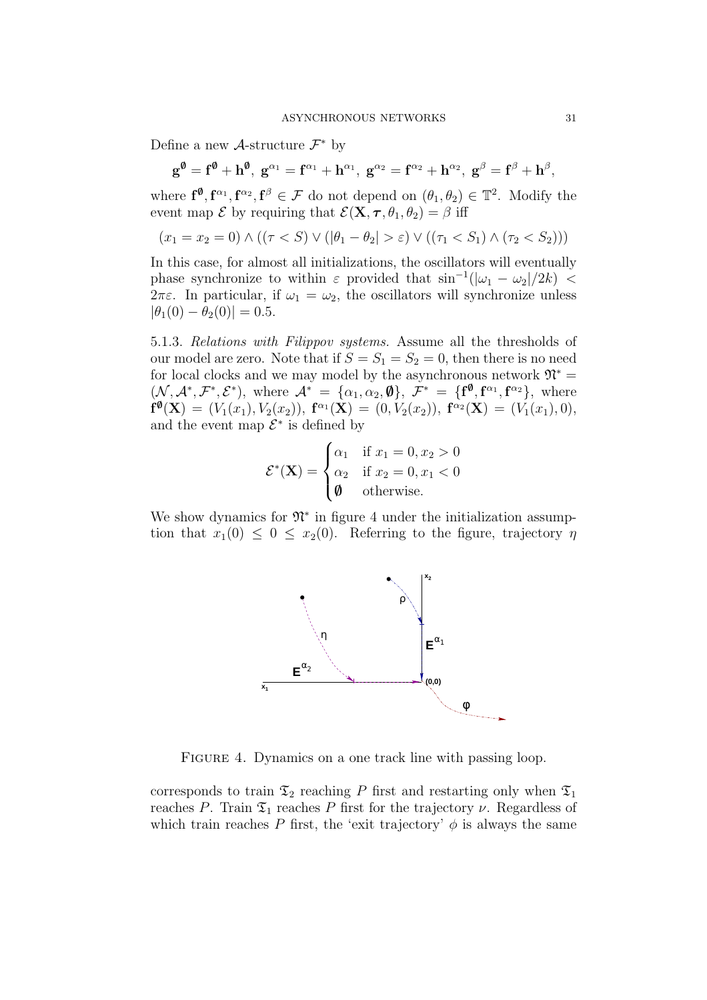Define a new  $\mathcal{A}$ -structure  $\mathcal{F}^*$  by

$$
g^{\emptyset}=f^{\emptyset}+h^{\emptyset},\; g^{\alpha_{1}}=f^{\alpha_{1}}+h^{\alpha_{1}},\; g^{\alpha_{2}}=f^{\alpha_{2}}+h^{\alpha_{2}},\; g^{\beta}=f^{\beta}+h^{\beta},
$$

where  $f^{\emptyset}, f^{\alpha_1}, f^{\alpha_2}, f^{\beta} \in \mathcal{F}$  do not depend on  $(\theta_1, \theta_2) \in \mathbb{T}^2$ . Modify the event map  $\mathcal E$  by requiring that  $\mathcal E(\mathbf X, \tau, \theta_1, \theta_2) = \beta$  iff

$$
(x_1 = x_2 = 0) \land ((\tau < S) \lor ((\theta_1 - \theta_2) > \varepsilon) \lor ((\tau_1 < S_1) \land (\tau_2 < S_2)))
$$

In this case, for almost all initializations, the oscillators will eventually phase synchronize to within  $\varepsilon$  provided that  $\sin^{-1}(|\omega_1 - \omega_2|/2k)$  <  $2\pi\varepsilon$ . In particular, if  $\omega_1 = \omega_2$ , the oscillators will synchronize unless  $|\theta_1(0) - \theta_2(0)| = 0.5.$ 

5.1.3. Relations with Filippov systems. Assume all the thresholds of our model are zero. Note that if  $S = S_1 = S_2 = 0$ , then there is no need for local clocks and we may model by the asynchronous network  $\mathfrak{N}^* =$  $(\mathcal{N}, \mathcal{A}^*, \mathcal{F}^*, \mathcal{E}^*)$ , where  $\mathcal{A}^* = {\alpha_1, \alpha_2, \emptyset}$ ,  $\mathcal{F}^* = {\{\mathbf{f}^{\emptyset}, \mathbf{f}^{\alpha_1}, \mathbf{f}^{\alpha_2}\}}$ , where  ${\bf f}^{\pmb{\theta}}({\bf X}) \, = \, (V_1(x_1), V_2(x_2)), \; {\bf f}^{\alpha_1}({\bf X}) \, = \, (0, V_2(x_2)), \; {\bf f}^{\alpha_2}({\bf X}) \, = \, (V_1(x_1), 0),$ and the event map  $\mathcal{E}^*$  is defined by

$$
\mathcal{E}^*(\mathbf{X}) = \begin{cases} \alpha_1 & \text{if } x_1 = 0, x_2 > 0 \\ \alpha_2 & \text{if } x_2 = 0, x_1 < 0 \\ \emptyset & \text{otherwise.} \end{cases}
$$

We show dynamics for  $\mathfrak{N}^*$  in figure 4 under the initialization assumption that  $x_1(0) \leq 0 \leq x_2(0)$ . Referring to the figure, trajectory  $\eta$ 



FIGURE 4. Dynamics on a one track line with passing loop.

corresponds to train  $\mathfrak{T}_2$  reaching P first and restarting only when  $\mathfrak{T}_1$ reaches P. Train  $\mathfrak{T}_1$  reaches P first for the trajectory  $\nu$ . Regardless of which train reaches P first, the 'exit trajectory'  $\phi$  is always the same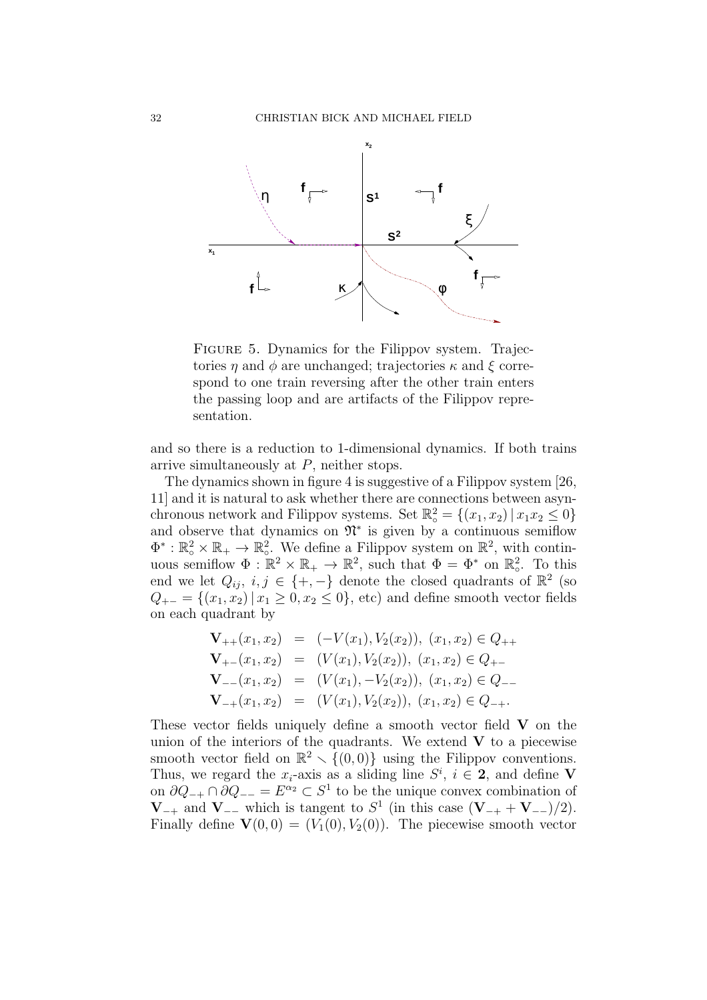

Figure 5. Dynamics for the Filippov system. Trajectories  $\eta$  and  $\phi$  are unchanged; trajectories  $\kappa$  and  $\xi$  correspond to one train reversing after the other train enters the passing loop and are artifacts of the Filippov representation.

and so there is a reduction to 1-dimensional dynamics. If both trains arrive simultaneously at P, neither stops.

The dynamics shown in figure 4 is suggestive of a Filippov system [26, 11] and it is natural to ask whether there are connections between asynchronous network and Filippov systems. Set  $\mathbb{R}^2$  =  $\{(x_1, x_2) | x_1x_2 \leq 0\}$ and observe that dynamics on  $\mathfrak{N}^*$  is given by a continuous semiflow  $\Phi^*: \mathbb{R}^2_\circ \times \mathbb{R}_+ \to \mathbb{R}^2_\circ$ . We define a Filippov system on  $\mathbb{R}^2$ , with continuous semiflow  $\Phi : \mathbb{R}^2 \times \mathbb{R}_+ \to \mathbb{R}^2$ , such that  $\Phi = \Phi^*$  on  $\mathbb{R}^2$ . To this end we let  $Q_{ij}$ ,  $i, j \in \{+, -\}$  denote the closed quadrants of  $\mathbb{R}^2$  (so  $Q_{+-} = \{(x_1, x_2) | x_1 \geq 0, x_2 \leq 0\}$ , etc) and define smooth vector fields on each quadrant by

$$
\mathbf{V}_{++}(x_1, x_2) = (-V(x_1), V_2(x_2)), (x_1, x_2) \in Q_{++}
$$
\n
$$
\mathbf{V}_{+-}(x_1, x_2) = (V(x_1), V_2(x_2)), (x_1, x_2) \in Q_{+-}
$$
\n
$$
\mathbf{V}_{--}(x_1, x_2) = (V(x_1), -V_2(x_2)), (x_1, x_2) \in Q_{--}
$$
\n
$$
\mathbf{V}_{-+}(x_1, x_2) = (V(x_1), V_2(x_2)), (x_1, x_2) \in Q_{-+}.
$$

These vector fields uniquely define a smooth vector field  $V$  on the union of the interiors of the quadrants. We extend  $V$  to a piecewise smooth vector field on  $\mathbb{R}^2 \setminus \{(0,0)\}$  using the Filippov conventions. Thus, we regard the  $x_i$ -axis as a sliding line  $S^i$ ,  $i \in \mathbf{2}$ , and define V on  $\partial Q_{-+} \cap \partial Q_{--} = E^{\alpha_2} \subset S^1$  to be the unique convex combination of  $V_{-+}$  and  $V_{--}$  which is tangent to  $S^1$  (in this case  $(V_{-+} + V_{--})/2$ ). Finally define  $\mathbf{V}(0,0) = (V_1(0), V_2(0))$ . The piecewise smooth vector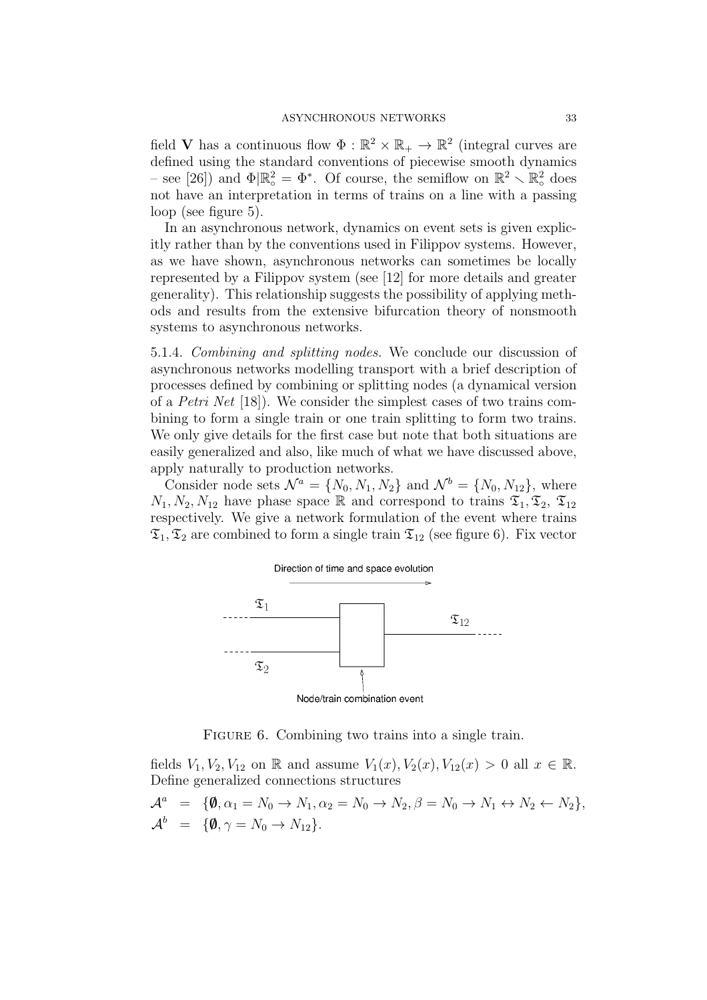field **V** has a continuous flow  $\Phi : \mathbb{R}^2 \times \mathbb{R}_+ \to \mathbb{R}^2$  (integral curves are defined using the standard conventions of piecewise smooth dynamics – see [26]) and  $\Phi|\mathbb{R}_{\circ}^{2} = \Phi^*$ . Of course, the semiflow on  $\mathbb{R}^{2} \setminus \mathbb{R}_{\circ}^{2}$  does not have an interpretation in terms of trains on a line with a passing loop (see figure 5).

In an asynchronous network, dynamics on event sets is given explicitly rather than by the conventions used in Filippov systems. However, as we have shown, asynchronous networks can sometimes be locally represented by a Filippov system (see [12] for more details and greater generality). This relationship suggests the possibility of applying methods and results from the extensive bifurcation theory of nonsmooth systems to asynchronous networks.

5.1.4. Combining and splitting nodes. We conclude our discussion of asynchronous networks modelling transport with a brief description of processes defined by combining or splitting nodes (a dynamical version of a Petri Net [18]). We consider the simplest cases of two trains combining to form a single train or one train splitting to form two trains. We only give details for the first case but note that both situations are easily generalized and also, like much of what we have discussed above, apply naturally to production networks.

Consider node sets  $\mathcal{N}^a = \{N_0, N_1, N_2\}$  and  $\mathcal{N}^b = \{N_0, N_{12}\}$ , where  $N_1, N_2, N_{12}$  have phase space R and correspond to trains  $\mathfrak{T}_1, \mathfrak{T}_2, \mathfrak{T}_{12}$ respectively. We give a network formulation of the event where trains  $\mathfrak{T}_1,\mathfrak{T}_2$  are combined to form a single train  $\mathfrak{T}_{12}$  (see figure 6). Fix vector



FIGURE 6. Combining two trains into a single train.

fields  $V_1, V_2, V_{12}$  on R and assume  $V_1(x), V_2(x), V_{12}(x) > 0$  all  $x \in \mathbb{R}$ . Define generalized connections structures

$$
\mathcal{A}^a = \{ \emptyset, \alpha_1 = N_0 \rightarrow N_1, \alpha_2 = N_0 \rightarrow N_2, \beta = N_0 \rightarrow N_1 \leftrightarrow N_2 \leftarrow N_2 \},
$$
  

$$
\mathcal{A}^b = \{ \emptyset, \gamma = N_0 \rightarrow N_{12} \}.
$$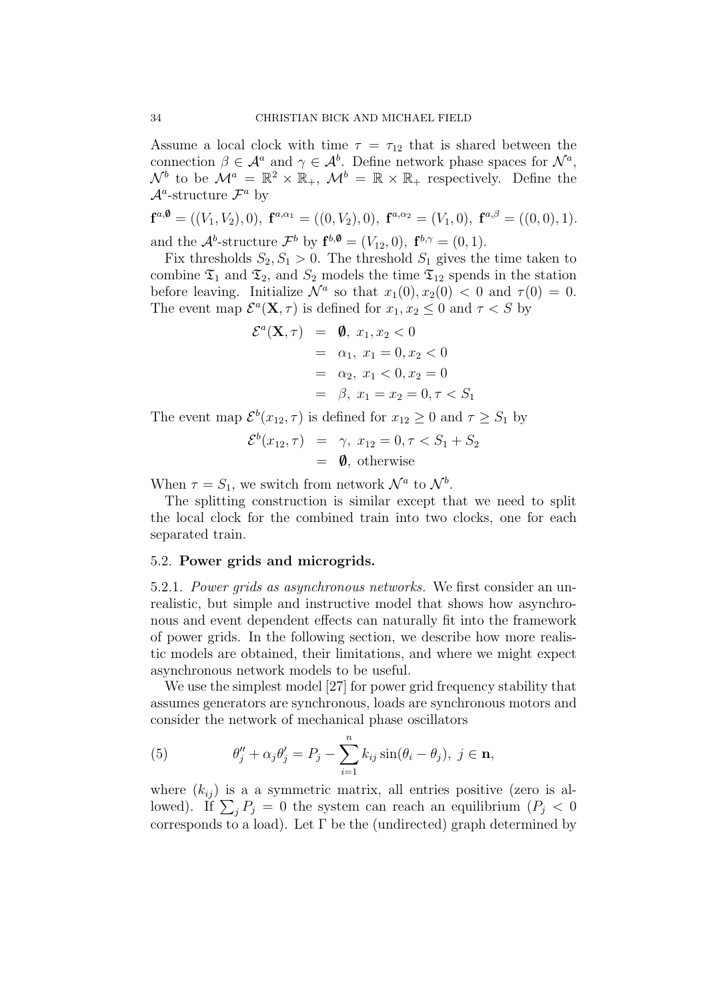Assume a local clock with time  $\tau = \tau_{12}$  that is shared between the connection  $\beta \in \mathcal{A}^a$  and  $\gamma \in \mathcal{A}^b$ . Define network phase spaces for  $\mathcal{N}^a$ ,  $\mathcal{N}^b$  to be  $\mathcal{M}^a = \mathbb{R}^2 \times \mathbb{R}_+$ ,  $\mathcal{M}^b = \mathbb{R} \times \mathbb{R}_+$  respectively. Define the  $\mathcal{A}^a$ -structure  $\mathcal{F}^a$  by

$$
\mathbf{f}^{a,\emptyset} = ((V_1, V_2), 0), \ \mathbf{f}^{a,\alpha_1} = ((0, V_2), 0), \ \mathbf{f}^{a,\alpha_2} = (V_1, 0), \ \mathbf{f}^{a,\beta} = ((0, 0), 1).
$$

and the  $\mathcal{A}^b$ -structure  $\mathcal{F}^b$  by  $\mathbf{f}^{b,\emptyset} = (V_{12}, 0), \ \mathbf{f}^{b,\gamma} = (0,1)$ .

Fix thresholds  $S_2, S_1 > 0$ . The threshold  $S_1$  gives the time taken to combine  $\mathfrak{T}_1$  and  $\mathfrak{T}_2$ , and  $S_2$  models the time  $\mathfrak{T}_{12}$  spends in the station before leaving. Initialize  $\mathcal{N}^a$  so that  $x_1(0), x_2(0) < 0$  and  $\tau(0) = 0$ . The event map  $\mathcal{E}^a(\mathbf{X}, \tau)$  is defined for  $x_1, x_2 \leq 0$  and  $\tau < S$  by

$$
\mathcal{E}^{a}(\mathbf{X}, \tau) = \emptyset, x_{1}, x_{2} < 0
$$
  
=  $\alpha_{1}, x_{1} = 0, x_{2} < 0$   
=  $\alpha_{2}, x_{1} < 0, x_{2} = 0$   
=  $\beta, x_{1} = x_{2} = 0, \tau < S_{1}$ 

The event map  $\mathcal{E}^b(x_{12}, \tau)$  is defined for  $x_{12} \geq 0$  and  $\tau \geq S_1$  by

$$
\mathcal{E}^{b}(x_{12}, \tau) = \gamma, x_{12} = 0, \tau < S_1 + S_2
$$
\n
$$
= \emptyset, \text{ otherwise}
$$

When  $\tau = S_1$ , we switch from network  $\mathcal{N}^a$  to  $\mathcal{N}^b$ .

The splitting construction is similar except that we need to split the local clock for the combined train into two clocks, one for each separated train.

#### 5.2. Power grids and microgrids.

5.2.1. Power grids as asynchronous networks. We first consider an unrealistic, but simple and instructive model that shows how asynchronous and event dependent effects can naturally fit into the framework of power grids. In the following section, we describe how more realistic models are obtained, their limitations, and where we might expect asynchronous network models to be useful.

We use the simplest model [27] for power grid frequency stability that assumes generators are synchronous, loads are synchronous motors and consider the network of mechanical phase oscillators

(5) 
$$
\theta''_j + \alpha_j \theta'_j = P_j - \sum_{i=1}^n k_{ij} \sin(\theta_i - \theta_j), \ j \in \mathbf{n},
$$

where  $(k_{ij})$  is a a symmetric matrix, all entries positive (zero is allowed). If  $\sum_j P_j = 0$  the system can reach an equilibrium  $(P_j < 0)$ corresponds to a load). Let  $\Gamma$  be the (undirected) graph determined by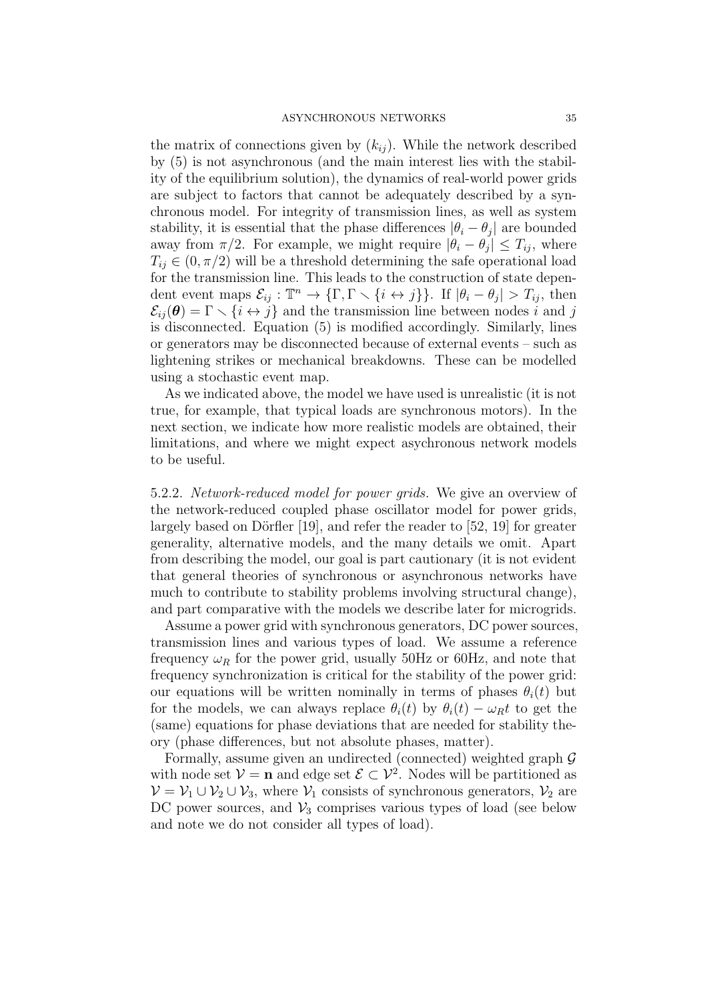the matrix of connections given by  $(k_{ij})$ . While the network described by (5) is not asynchronous (and the main interest lies with the stability of the equilibrium solution), the dynamics of real-world power grids are subject to factors that cannot be adequately described by a synchronous model. For integrity of transmission lines, as well as system stability, it is essential that the phase differences  $|\theta_i - \theta_j|$  are bounded away from  $\pi/2$ . For example, we might require  $|\theta_i - \theta_j| \leq T_{ij}$ , where  $T_{ij} \in (0, \pi/2)$  will be a threshold determining the safe operational load for the transmission line. This leads to the construction of state dependent event maps  $\mathcal{E}_{ij} : \mathbb{T}^n \to \{\Gamma, \Gamma \setminus \{i \leftrightarrow j\}\}\.$  If  $|\theta_i - \theta_j| > T_{ij}$ , then  $\mathcal{E}_{ii}(\theta) = \Gamma \setminus \{i \leftrightarrow j\}$  and the transmission line between nodes i and j is disconnected. Equation (5) is modified accordingly. Similarly, lines or generators may be disconnected because of external events – such as lightening strikes or mechanical breakdowns. These can be modelled using a stochastic event map.

As we indicated above, the model we have used is unrealistic (it is not true, for example, that typical loads are synchronous motors). In the next section, we indicate how more realistic models are obtained, their limitations, and where we might expect asychronous network models to be useful.

5.2.2. Network-reduced model for power grids. We give an overview of the network-reduced coupled phase oscillator model for power grids, largely based on Dörfler  $[19]$ , and refer the reader to  $[52, 19]$  for greater generality, alternative models, and the many details we omit. Apart from describing the model, our goal is part cautionary (it is not evident that general theories of synchronous or asynchronous networks have much to contribute to stability problems involving structural change), and part comparative with the models we describe later for microgrids.

Assume a power grid with synchronous generators, DC power sources, transmission lines and various types of load. We assume a reference frequency  $\omega_R$  for the power grid, usually 50Hz or 60Hz, and note that frequency synchronization is critical for the stability of the power grid: our equations will be written nominally in terms of phases  $\theta_i(t)$  but for the models, we can always replace  $\theta_i(t)$  by  $\theta_i(t) - \omega_R t$  to get the (same) equations for phase deviations that are needed for stability theory (phase differences, but not absolute phases, matter).

Formally, assume given an undirected (connected) weighted graph  $\mathcal G$ with node set  $\mathcal{V} = \mathbf{n}$  and edge set  $\mathcal{E} \subset \mathcal{V}^2$ . Nodes will be partitioned as  $V = V_1 \cup V_2 \cup V_3$ , where  $V_1$  consists of synchronous generators,  $V_2$  are DC power sources, and  $\mathcal{V}_3$  comprises various types of load (see below and note we do not consider all types of load).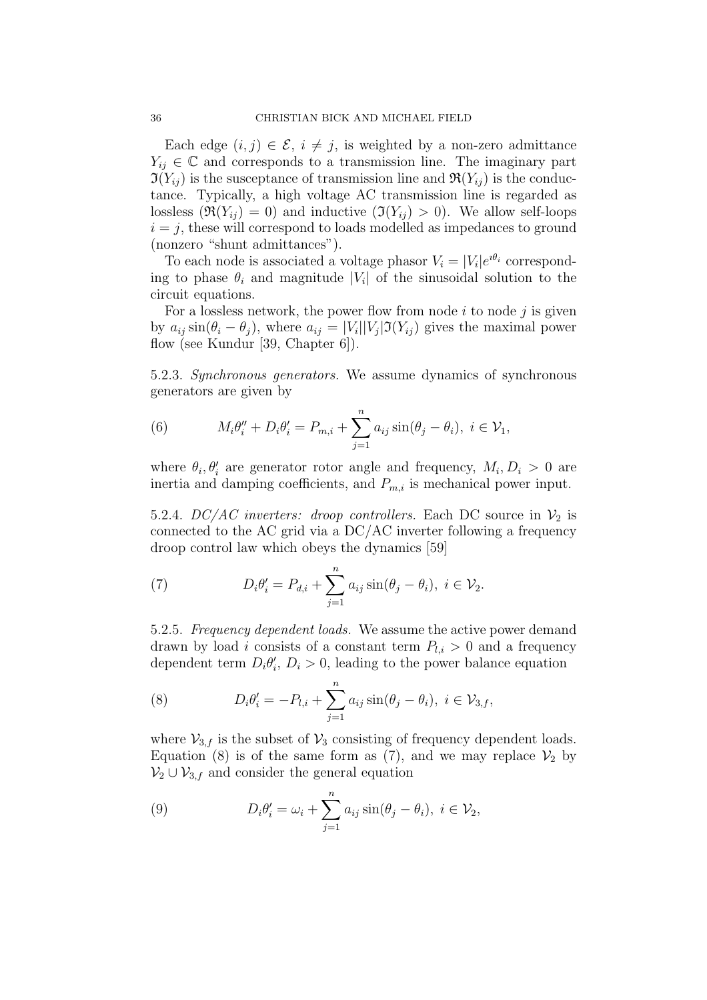Each edge  $(i, j) \in \mathcal{E}$ ,  $i \neq j$ , is weighted by a non-zero admittance  $Y_{ij} \in \mathbb{C}$  and corresponds to a transmission line. The imaginary part  $\mathfrak{I}(Y_{ii})$  is the susceptance of transmission line and  $\mathfrak{R}(Y_{ii})$  is the conductance. Typically, a high voltage AC transmission line is regarded as lossless  $(\Re(Y_{ij}) = 0)$  and inductive  $(\Im(Y_{ij}) > 0)$ . We allow self-loops  $i = j$ , these will correspond to loads modelled as impedances to ground (nonzero "shunt admittances").

To each node is associated a voltage phasor  $V_i = |V_i|e^{i\theta_i}$  corresponding to phase  $\theta_i$  and magnitude |V<sub>i</sub>| of the sinusoidal solution to the circuit equations.

For a lossless network, the power flow from node  $i$  to node  $j$  is given by  $a_{ij} \sin(\theta_i - \theta_j)$ , where  $a_{ij} = |V_i||V_j|\mathfrak{I}(Y_{ij})$  gives the maximal power flow (see Kundur [39, Chapter 6]).

5.2.3. Synchronous generators. We assume dynamics of synchronous generators are given by

(6) 
$$
M_i \theta''_i + D_i \theta'_i = P_{m,i} + \sum_{j=1}^n a_{ij} \sin(\theta_j - \theta_i), \ i \in \mathcal{V}_1,
$$

where  $\theta_i, \theta'_i$  are generator rotor angle and frequency,  $M_i, D_i > 0$  are inertia and damping coefficients, and  $P_{m,i}$  is mechanical power input.

5.2.4. DC/AC inverters: droop controllers. Each DC source in  $\mathcal{V}_2$  is connected to the AC grid via a DC/AC inverter following a frequency droop control law which obeys the dynamics [59]

(7) 
$$
D_i \theta'_i = P_{d,i} + \sum_{j=1}^n a_{ij} \sin(\theta_j - \theta_i), \ i \in \mathcal{V}_2.
$$

5.2.5. Frequency dependent loads. We assume the active power demand drawn by load i consists of a constant term  $P_{l,i} > 0$  and a frequency dependent term  $D_i \theta'_i$ ,  $D_i > 0$ , leading to the power balance equation

(8) 
$$
D_i \theta'_i = -P_{l,i} + \sum_{j=1}^n a_{ij} \sin(\theta_j - \theta_i), \ i \in \mathcal{V}_{3,f},
$$

where  $\mathcal{V}_{3,f}$  is the subset of  $\mathcal{V}_3$  consisting of frequency dependent loads. Equation (8) is of the same form as (7), and we may replace  $\mathcal{V}_2$  by  $\mathcal{V}_2 \cup \mathcal{V}_{3,f}$  and consider the general equation

(9) 
$$
D_i \theta'_i = \omega_i + \sum_{j=1}^n a_{ij} \sin(\theta_j - \theta_i), \ i \in \mathcal{V}_2,
$$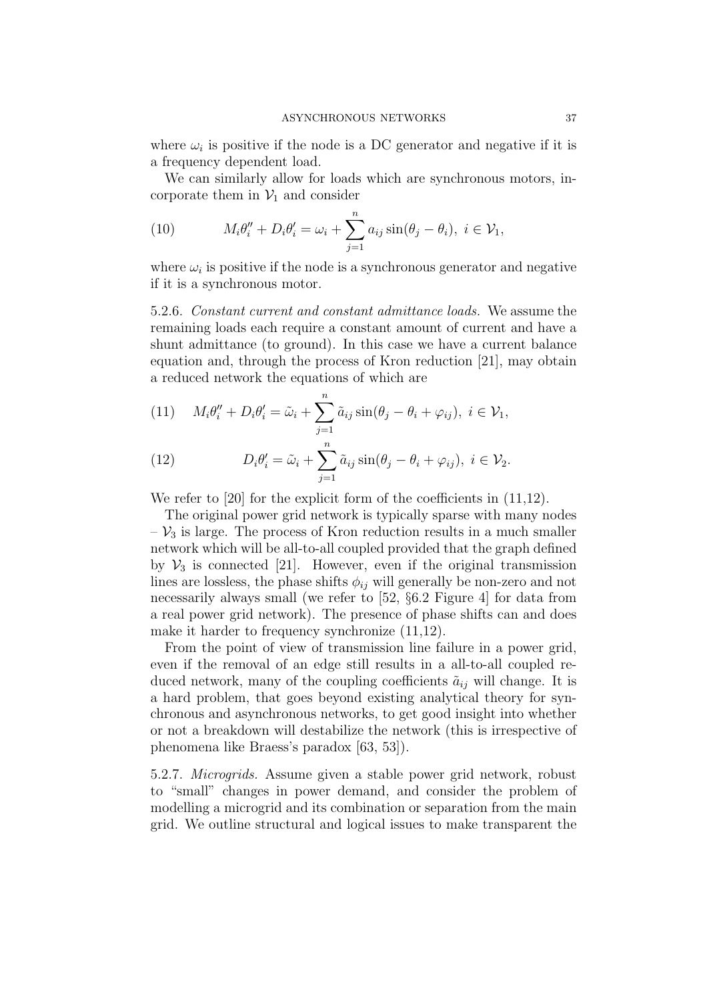where  $\omega_i$  is positive if the node is a DC generator and negative if it is a frequency dependent load.

We can similarly allow for loads which are synchronous motors, incorporate them in  $\mathcal{V}_1$  and consider

(10) 
$$
M_i \theta''_i + D_i \theta'_i = \omega_i + \sum_{j=1}^n a_{ij} \sin(\theta_j - \theta_i), \ i \in \mathcal{V}_1,
$$

where  $\omega_i$  is positive if the node is a synchronous generator and negative if it is a synchronous motor.

5.2.6. Constant current and constant admittance loads. We assume the remaining loads each require a constant amount of current and have a shunt admittance (to ground). In this case we have a current balance equation and, through the process of Kron reduction [21], may obtain a reduced network the equations of which are

(11) 
$$
M_i \theta''_i + D_i \theta'_i = \tilde{\omega}_i + \sum_{j=1}^n \tilde{a}_{ij} \sin(\theta_j - \theta_i + \varphi_{ij}), \ i \in \mathcal{V}_1,
$$

(12) 
$$
D_i \theta'_i = \tilde{\omega}_i + \sum_{j=1}^n \tilde{a}_{ij} \sin(\theta_j - \theta_i + \varphi_{ij}), \ i \in \mathcal{V}_2.
$$

We refer to [20] for the explicit form of the coefficients in  $(11,12)$ .

The original power grid network is typically sparse with many nodes  $-\mathcal{V}_3$  is large. The process of Kron reduction results in a much smaller network which will be all-to-all coupled provided that the graph defined by  $V_3$  is connected [21]. However, even if the original transmission lines are lossless, the phase shifts  $\phi_{ij}$  will generally be non-zero and not necessarily always small (we refer to [52, §6.2 Figure 4] for data from a real power grid network). The presence of phase shifts can and does make it harder to frequency synchronize (11,12).

From the point of view of transmission line failure in a power grid, even if the removal of an edge still results in a all-to-all coupled reduced network, many of the coupling coefficients  $\tilde{a}_{ij}$  will change. It is a hard problem, that goes beyond existing analytical theory for synchronous and asynchronous networks, to get good insight into whether or not a breakdown will destabilize the network (this is irrespective of phenomena like Braess's paradox [63, 53]).

5.2.7. Microgrids. Assume given a stable power grid network, robust to "small" changes in power demand, and consider the problem of modelling a microgrid and its combination or separation from the main grid. We outline structural and logical issues to make transparent the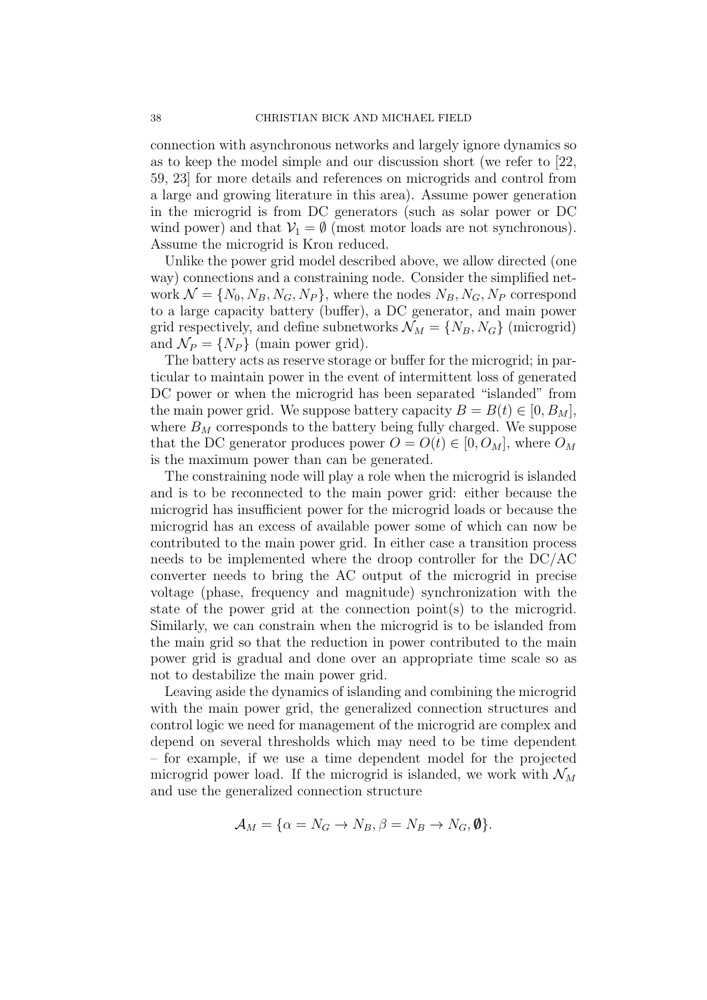connection with asynchronous networks and largely ignore dynamics so as to keep the model simple and our discussion short (we refer to [22, 59, 23] for more details and references on microgrids and control from a large and growing literature in this area). Assume power generation in the microgrid is from DC generators (such as solar power or DC wind power) and that  $V_1 = \emptyset$  (most motor loads are not synchronous). Assume the microgrid is Kron reduced.

Unlike the power grid model described above, we allow directed (one way) connections and a constraining node. Consider the simplified network  $\mathcal{N} = \{N_0, N_B, N_G, N_P\}$ , where the nodes  $N_B, N_G, N_P$  correspond to a large capacity battery (buffer), a DC generator, and main power grid respectively, and define subnetworks  $\mathcal{N}_M = \{N_B, N_G\}$  (microgrid) and  $\mathcal{N}_P = \{N_P\}$  (main power grid).

The battery acts as reserve storage or buffer for the microgrid; in particular to maintain power in the event of intermittent loss of generated DC power or when the microgrid has been separated "islanded" from the main power grid. We suppose battery capacity  $B = B(t) \in [0, B<sub>M</sub>]$ , where  $B_M$  corresponds to the battery being fully charged. We suppose that the DC generator produces power  $O = O(t) \in [0, O_M]$ , where  $O_M$ is the maximum power than can be generated.

The constraining node will play a role when the microgrid is islanded and is to be reconnected to the main power grid: either because the microgrid has insufficient power for the microgrid loads or because the microgrid has an excess of available power some of which can now be contributed to the main power grid. In either case a transition process needs to be implemented where the droop controller for the DC/AC converter needs to bring the AC output of the microgrid in precise voltage (phase, frequency and magnitude) synchronization with the state of the power grid at the connection point(s) to the microgrid. Similarly, we can constrain when the microgrid is to be islanded from the main grid so that the reduction in power contributed to the main power grid is gradual and done over an appropriate time scale so as not to destabilize the main power grid.

Leaving aside the dynamics of islanding and combining the microgrid with the main power grid, the generalized connection structures and control logic we need for management of the microgrid are complex and depend on several thresholds which may need to be time dependent – for example, if we use a time dependent model for the projected microgrid power load. If the microgrid is islanded, we work with  $\mathcal{N}_M$ and use the generalized connection structure

$$
\mathcal{A}_M = \{ \alpha = N_G \to N_B, \beta = N_B \to N_G, \emptyset \}.
$$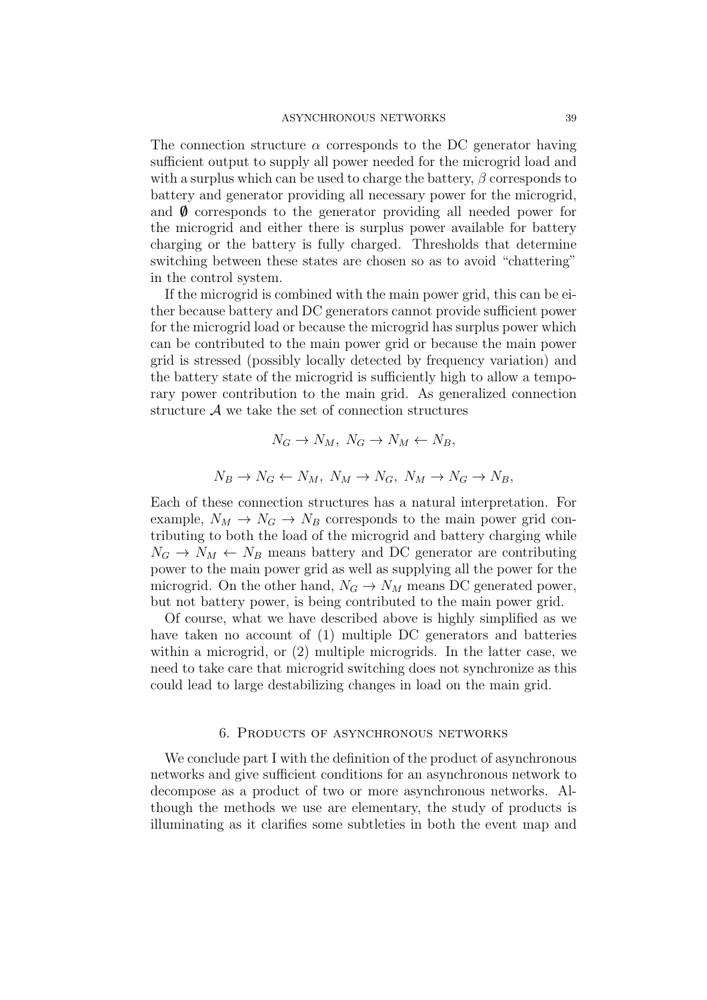The connection structure  $\alpha$  corresponds to the DC generator having sufficient output to supply all power needed for the microgrid load and with a surplus which can be used to charge the battery,  $\beta$  corresponds to battery and generator providing all necessary power for the microgrid, and  $\emptyset$  corresponds to the generator providing all needed power for the microgrid and either there is surplus power available for battery charging or the battery is fully charged. Thresholds that determine switching between these states are chosen so as to avoid "chattering" in the control system.

If the microgrid is combined with the main power grid, this can be either because battery and DC generators cannot provide sufficient power for the microgrid load or because the microgrid has surplus power which can be contributed to the main power grid or because the main power grid is stressed (possibly locally detected by frequency variation) and the battery state of the microgrid is sufficiently high to allow a temporary power contribution to the main grid. As generalized connection structure  $A$  we take the set of connection structures

$$
N_G \to N_M, \ N_G \to N_M \leftarrow N_B,
$$
  

$$
N_B \to N_G \leftarrow N_M, \ N_M \to N_G, \ N_M \to N_G \to N_B,
$$

Each of these connection structures has a natural interpretation. For example,  $N_M \rightarrow N_G \rightarrow N_B$  corresponds to the main power grid contributing to both the load of the microgrid and battery charging while  $N_G \rightarrow N_M \leftarrow N_B$  means battery and DC generator are contributing power to the main power grid as well as supplying all the power for the microgrid. On the other hand,  $N_G \rightarrow N_M$  means DC generated power, but not battery power, is being contributed to the main power grid.

Of course, what we have described above is highly simplified as we have taken no account of (1) multiple DC generators and batteries within a microgrid, or (2) multiple microgrids. In the latter case, we need to take care that microgrid switching does not synchronize as this could lead to large destabilizing changes in load on the main grid.

## 6. Products of asynchronous networks

We conclude part I with the definition of the product of asynchronous networks and give sufficient conditions for an asynchronous network to decompose as a product of two or more asynchronous networks. Although the methods we use are elementary, the study of products is illuminating as it clarifies some subtleties in both the event map and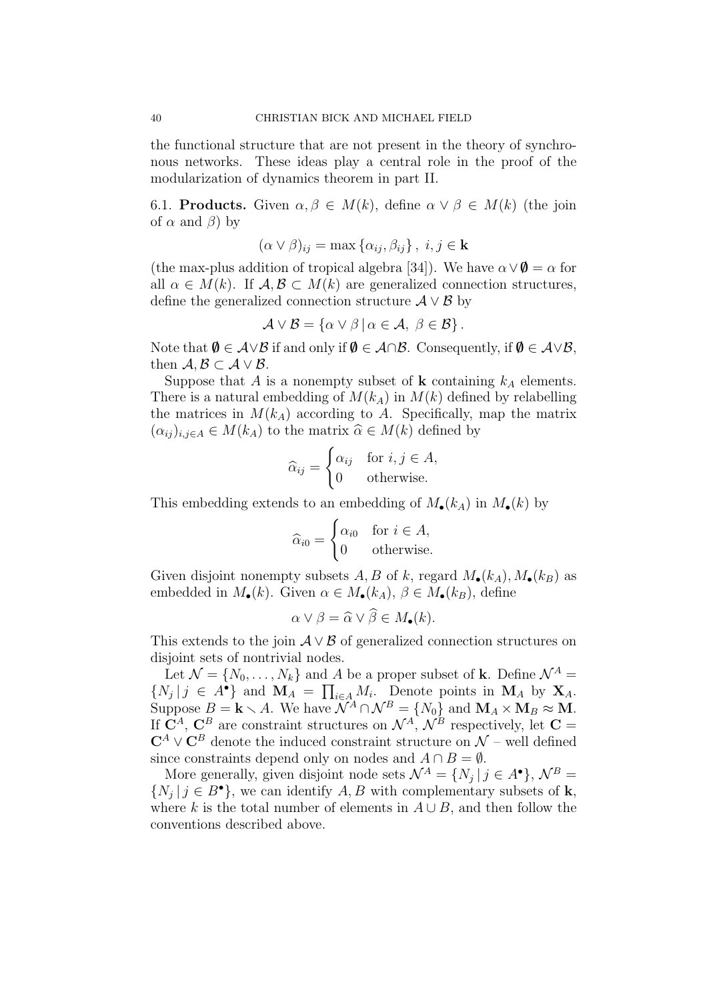the functional structure that are not present in the theory of synchronous networks. These ideas play a central role in the proof of the modularization of dynamics theorem in part II.

6.1. **Products.** Given  $\alpha, \beta \in M(k)$ , define  $\alpha \vee \beta \in M(k)$  (the join of  $\alpha$  and  $\beta$ ) by

$$
(\alpha \vee \beta)_{ij} = \max \{ \alpha_{ij}, \beta_{ij} \}, i, j \in \mathbf{k}
$$

(the max-plus addition of tropical algebra [34]). We have  $\alpha \vee \mathbf{0} = \alpha$  for all  $\alpha \in M(k)$ . If  $\mathcal{A}, \mathcal{B} \subset M(k)$  are generalized connection structures, define the generalized connection structure  $\mathcal{A} \vee \mathcal{B}$  by

$$
\mathcal{A} \vee \mathcal{B} = \{ \alpha \vee \beta \, | \, \alpha \in \mathcal{A}, \ \beta \in \mathcal{B} \}.
$$

Note that  $\emptyset \in \mathcal{A} \vee \mathcal{B}$  if and only if  $\emptyset \in \mathcal{A} \cap \mathcal{B}$ . Consequently, if  $\emptyset \in \mathcal{A} \vee \mathcal{B}$ , then  $\mathcal{A}, \mathcal{B} \subset \mathcal{A} \vee \mathcal{B}$ .

Suppose that A is a nonempty subset of **k** containing  $k_A$  elements. There is a natural embedding of  $M(k_A)$  in  $M(k)$  defined by relabelling the matrices in  $M(k_A)$  according to A. Specifically, map the matrix  $(\alpha_{ij})_{i,j\in A}\in M(k_A)$  to the matrix  $\widehat{\alpha}\in M(k)$  defined by

$$
\widehat{\alpha}_{ij} = \begin{cases} \alpha_{ij} & \text{for } i, j \in A, \\ 0 & \text{otherwise.} \end{cases}
$$

This embedding extends to an embedding of  $M_{\bullet}(k_A)$  in  $M_{\bullet}(k)$  by

$$
\widehat{\alpha}_{i0} = \begin{cases} \alpha_{i0} & \text{for } i \in A, \\ 0 & \text{otherwise.} \end{cases}
$$

Given disjoint nonempty subsets A, B of k, regard  $M_{\bullet}(k_A)$ ,  $M_{\bullet}(k_B)$  as embedded in  $M_{\bullet}(k)$ . Given  $\alpha \in M_{\bullet}(k_A)$ ,  $\beta \in M_{\bullet}(k_B)$ , define

$$
\alpha \vee \beta = \widehat{\alpha} \vee \widehat{\beta} \in M_{\bullet}(k).
$$

This extends to the join  $A \vee B$  of generalized connection structures on disjoint sets of nontrivial nodes.

Let  $\mathcal{N} = \{N_0, \ldots, N_k\}$  and A be a proper subset of **k**. Define  $\mathcal{N}^A$  =  $\{N_j | j \in A^{\bullet}\}\$ and  $\mathbf{M}_A = \prod_{i \in A} M_i$ . Denote points in  $\mathbf{M}_A$  by  $\mathbf{X}_A$ . Suppose  $B = \mathbf{k} \setminus A$ . We have  $\widetilde{\mathcal{N}}^A \cap \mathcal{N}^B = \{N_0\}$  and  $\mathbf{M}_A \times \mathbf{M}_B \approx \mathbf{M}$ . If  $\mathbf{C}^A$ ,  $\mathbf{C}^B$  are constraint structures on  $\mathcal{N}^A$ ,  $\mathcal{N}^B$  respectively, let  $\mathbf{C} =$  $\mathbb{C}^A \vee \mathbb{C}^B$  denote the induced constraint structure on  $\mathcal{N}$  – well defined since constraints depend only on nodes and  $A \cap B = \emptyset$ .

More generally, given disjoint node sets  $\mathcal{N}^A = \{N_j | j \in A^{\bullet}\}, \mathcal{N}^B =$  $\{N_j \mid j \in B^{\bullet}\}\$ , we can identify A, B with complementary subsets of **k**, where k is the total number of elements in  $A \cup B$ , and then follow the conventions described above.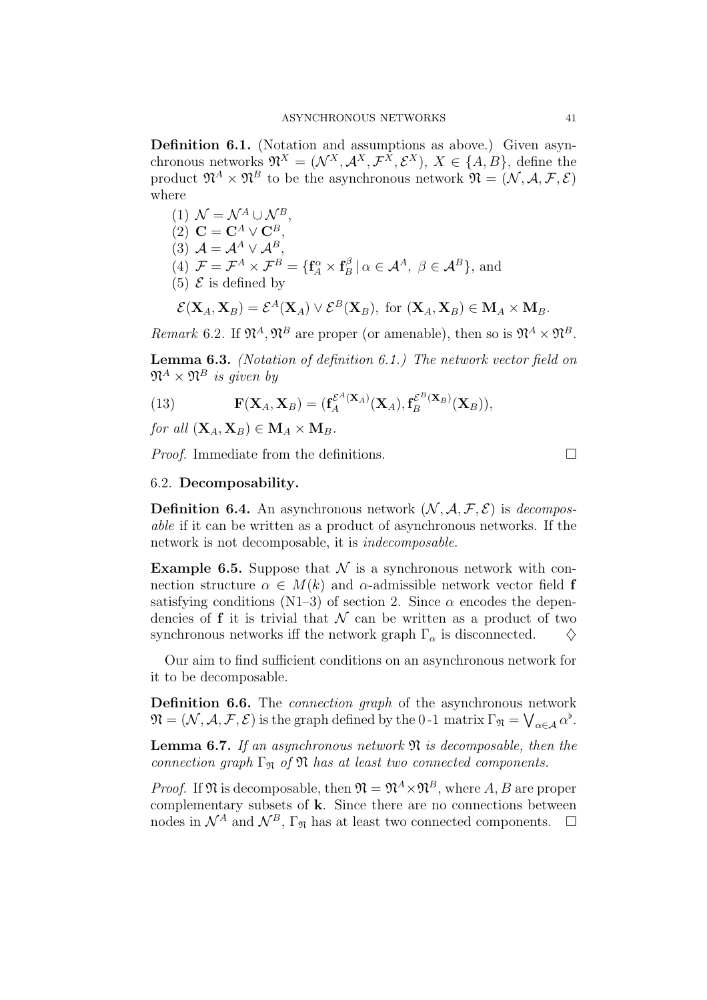Definition 6.1. (Notation and assumptions as above.) Given asynchronous networks  $\mathfrak{N}^X = (\mathcal{N}^X, \mathcal{A}^X, \mathcal{F}^X, \mathcal{E}^X), X \in \{A, B\}$ , define the product  $\mathfrak{N}^A \times \mathfrak{N}^B$  to be the asynchronous network  $\mathfrak{N} = (\mathcal{N}, \mathcal{A}, \mathcal{F}, \mathcal{E})$ where

\n- (1) 
$$
\mathcal{N} = \mathcal{N}^A \cup \mathcal{N}^B
$$
,
\n- (2)  $\mathbf{C} = \mathbf{C}^A \vee \mathbf{C}^B$ ,
\n- (3)  $\mathcal{A} = \mathcal{A}^A \vee \mathcal{A}^B$ ,
\n- (4)  $\mathcal{F} = \mathcal{F}^A \times \mathcal{F}^B = \{ \mathbf{f}_A^\alpha \times \mathbf{f}_B^\beta \mid \alpha \in \mathcal{A}^A, \ \beta \in \mathcal{A}^B \}$ , and
\n- (5)  $\mathcal{E}$  is defined by
\n

$$
\mathcal{E}(\mathbf{X}_A, \mathbf{X}_B) = \mathcal{E}^A(\mathbf{X}_A) \vee \mathcal{E}^B(\mathbf{X}_B)
$$
, for  $(\mathbf{X}_A, \mathbf{X}_B) \in \mathbf{M}_A \times \mathbf{M}_B$ .

Remark 6.2. If  $\mathfrak{N}^A$ ,  $\mathfrak{N}^B$  are proper (or amenable), then so is  $\mathfrak{N}^A \times \mathfrak{N}^B$ .

Lemma 6.3. (Notation of definition 6.1.) The network vector field on  $\mathfrak{N}^A \times \mathfrak{N}^B$  is given by

(13) 
$$
\mathbf{F}(\mathbf{X}_A, \mathbf{X}_B) = (\mathbf{f}_A^{\mathcal{E}^A(\mathbf{X}_A)}(\mathbf{X}_A), \mathbf{f}_B^{\mathcal{E}^B(\mathbf{X}_B)}(\mathbf{X}_B)),
$$

for all  $(\mathbf{X}_A, \mathbf{X}_B) \in \mathbf{M}_A \times \mathbf{M}_B$ .

*Proof.* Immediate from the definitions.  $\Box$ 

### 6.2. Decomposability.

**Definition 6.4.** An asynchronous network  $(N, \mathcal{A}, \mathcal{F}, \mathcal{E})$  is *decompos*able if it can be written as a product of asynchronous networks. If the network is not decomposable, it is indecomposable.

**Example 6.5.** Suppose that  $\mathcal N$  is a synchronous network with connection structure  $\alpha \in M(k)$  and  $\alpha$ -admissible network vector field f satisfying conditions (N1–3) of section 2. Since  $\alpha$  encodes the dependencies of  $f$  it is trivial that  $\mathcal N$  can be written as a product of two synchronous networks iff the network graph  $\Gamma_{\alpha}$  is disconnected.  $\diamondsuit$ 

Our aim to find sufficient conditions on an asynchronous network for it to be decomposable.

Definition 6.6. The *connection graph* of the asynchronous network  $\mathfrak{N} = (\mathcal{N}, \mathcal{A}, \mathcal{F}, \mathcal{E})$  is the graph defined by the 0-1 matrix  $\Gamma_{\mathfrak{N}} = \bigvee_{\alpha \in \mathcal{A}} \alpha^{\flat}$ .

**Lemma 6.7.** If an asynchronous network  $\mathfrak{N}$  is decomposable, then the connection graph  $\Gamma_{\mathfrak{N}}$  of  $\mathfrak{N}$  has at least two connected components.

*Proof.* If  $\mathfrak{N}$  is decomposable, then  $\mathfrak{N} = \mathfrak{N}^A \times \mathfrak{N}^B$ , where A, B are proper complementary subsets of k. Since there are no connections between nodes in  $\mathcal{N}^A$  and  $\mathcal{N}^B$ ,  $\Gamma_{\mathfrak{N}}$  has at least two connected components.  $\Box$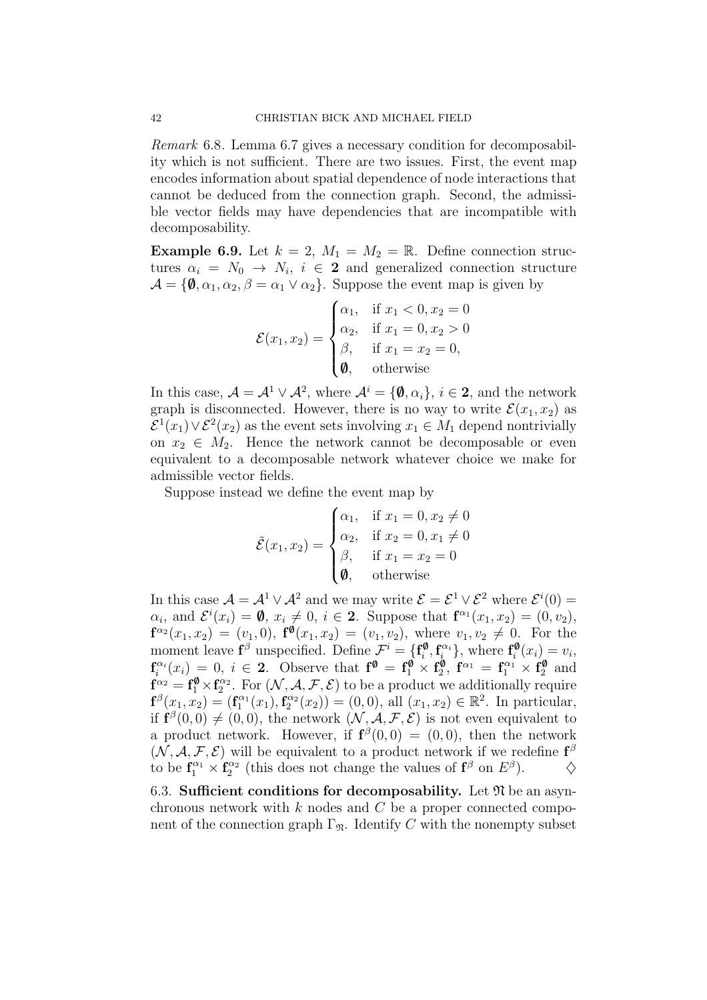Remark 6.8. Lemma 6.7 gives a necessary condition for decomposability which is not sufficient. There are two issues. First, the event map encodes information about spatial dependence of node interactions that cannot be deduced from the connection graph. Second, the admissible vector fields may have dependencies that are incompatible with decomposability.

**Example 6.9.** Let  $k = 2$ ,  $M_1 = M_2 = \mathbb{R}$ . Define connection structures  $\alpha_i = N_0 \rightarrow N_i$ ,  $i \in \mathbf{2}$  and generalized connection structure  $\mathcal{A} = \{\emptyset, \alpha_1, \alpha_2, \beta = \alpha_1 \vee \alpha_2\}.$  Suppose the event map is given by

$$
\mathcal{E}(x_1, x_2) = \begin{cases} \alpha_1, & \text{if } x_1 < 0, x_2 = 0 \\ \alpha_2, & \text{if } x_1 = 0, x_2 > 0 \\ \beta, & \text{if } x_1 = x_2 = 0, \\ \emptyset, & \text{otherwise} \end{cases}
$$

In this case,  $\mathcal{A} = \mathcal{A}^1 \vee \mathcal{A}^2$ , where  $\mathcal{A}^i = \{\emptyset, \alpha_i\}, i \in \mathbf{2}$ , and the network graph is disconnected. However, there is no way to write  $\mathcal{E}(x_1, x_2)$  as  $\mathcal{E}^1(x_1) \vee \mathcal{E}^2(x_2)$  as the event sets involving  $x_1 \in M_1$  depend nontrivially on  $x_2 \in M_2$ . Hence the network cannot be decomposable or even equivalent to a decomposable network whatever choice we make for admissible vector fields.

Suppose instead we define the event map by

$$
\tilde{\mathcal{E}}(x_1, x_2) = \begin{cases} \alpha_1, & \text{if } x_1 = 0, x_2 \neq 0 \\ \alpha_2, & \text{if } x_2 = 0, x_1 \neq 0 \\ \beta, & \text{if } x_1 = x_2 = 0 \\ \emptyset, & \text{otherwise} \end{cases}
$$

In this case  $\mathcal{A} = \mathcal{A}^1 \vee \mathcal{A}^2$  and we may write  $\mathcal{E} = \mathcal{E}^1 \vee \mathcal{E}^2$  where  $\mathcal{E}^i(0) =$  $\alpha_i$ , and  $\mathcal{E}^i(x_i) = \emptyset$ ,  $x_i \neq 0$ ,  $i \in \mathbf{2}$ . Suppose that  $\mathbf{f}^{\alpha_1}(x_1, x_2) = (0, v_2)$ ,  ${\bf f}^{\alpha_2}(x_1, x_2) = (v_1, 0), {\bf f}^{\emptyset}(x_1, x_2) = (v_1, v_2),$  where  $v_1, v_2 \neq 0$ . For the moment leave  $\mathbf{f}^{\beta}$  unspecified. Define  $\mathcal{F}^i = \{ \mathbf{f}^{\phi}_i \}$  $\{\mathbf{f}^{\alpha_i}_i\}$ , where  $\mathbf{f}^{\boldsymbol{\varnothing}}_i$  $\mathbf{v}_i^{\mathbf{v}}(x_i) = v_i,$  $\mathbf{f}_{i}^{\alpha_{i}}(x_{i})=0, i \in \mathbf{2}.$  Observe that  $\mathbf{f}^{\emptyset}=\mathbf{f}_{1}^{\emptyset} \times \mathbf{f}_{2}^{\emptyset}$  $\frac{\tilde{\phi}}{2}, \; \mathbf{f}^{\alpha_1} \, = \, \mathbf{f}_1^{\alpha_1} \times \mathbf{f}_2^{\text{\O}}$  $\frac{y}{2}$  and  ${\bf f}^{\alpha_2}={\bf f}^{\boldsymbol{\emptyset}}_1\!\times\!{\bf f}^{\alpha_2}_2$  $\mathbb{C}_2^{\alpha_2}$ . For  $(\mathcal{N}, \mathcal{A}, \mathcal{F}, \mathcal{E})$  to be a product we additionally require  ${\bf f}^\beta(x_1,x_2)=({\bf f}_1^{\alpha_1})$  ${\bf f}_1^{\alpha_1}(x_1), {\bf f}_2^{\alpha_2}$  $\mathcal{L}_2^{\alpha_2}(x_2)$  = (0,0), all  $(x_1, x_2) \in \mathbb{R}^2$ . In particular, if  $f^{\beta}(0,0) \neq (0,0)$ , the network  $(N, \mathcal{A}, \mathcal{F}, \mathcal{E})$  is not even equivalent to a product network. However, if  $f^{\beta}(0,0) = (0,0)$ , then the network  $(N, \mathcal{A}, \mathcal{F}, \mathcal{E})$  will be equivalent to a product network if we redefine  $f^{\beta}$ to be  $\mathbf{f}_1^{\alpha_1} \times \mathbf{f}_2^{\alpha_2}$  $2^{\alpha_2}$  (this does not change the values of  $f^{\beta}$  on  $E^{\beta}$ ).  $\diamondsuit$ 

6.3. Sufficient conditions for decomposability. Let  $\mathfrak N$  be an asynchronous network with  $k$  nodes and  $C$  be a proper connected component of the connection graph  $\Gamma_{\mathfrak{N}}$ . Identify C with the nonempty subset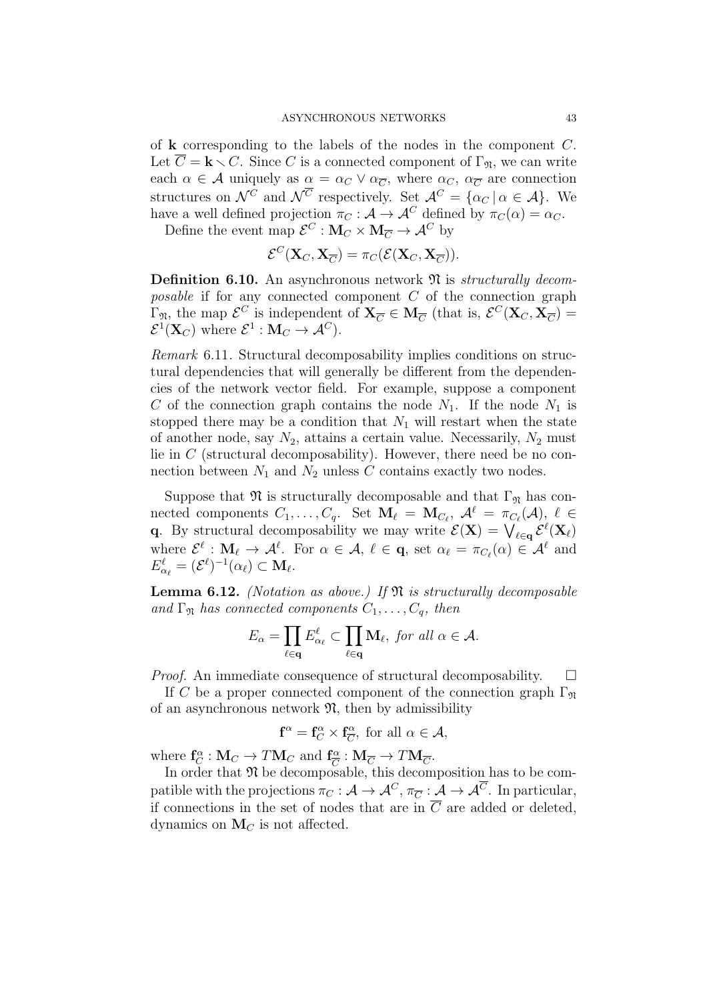of **k** corresponding to the labels of the nodes in the component  $C$ . Let  $C = \mathbf{k} \setminus C$ . Since C is a connected component of  $\Gamma_{\mathfrak{N}}$ , we can write each  $\alpha \in \mathcal{A}$  uniquely as  $\alpha = \alpha_C \vee \alpha_{\overline{C}}$ , where  $\alpha_C$ ,  $\alpha_{\overline{C}}$  are connection structures on  $\mathcal{N}^C$  and  $\mathcal{N}^{\overline{C}}$  respectively. Set  $\mathcal{A}^C = {\alpha_C | \alpha \in \mathcal{A}}$ . We have a well defined projection  $\pi_C : A \to A^C$  defined by  $\pi_C(\alpha) = \alpha_C$ .

Define the event map  $\mathcal{E}^C : M_C \times M_{\overline{C}} \to \mathcal{A}^C$  by

$$
\mathcal{E}^C(\mathbf{X}_C,\mathbf{X}_{\overline{C}})=\pi_C(\mathcal{E}(\mathbf{X}_C,\mathbf{X}_{\overline{C}})).
$$

**Definition 6.10.** An asynchronous network  $\mathfrak{N}$  is *structurally decom*posable if for any connected component  $C$  of the connection graph  $\Gamma_{\mathfrak{N}}$ , the map  $\mathcal{E}^C$  is independent of  $\mathbf{X}_{\overline{C}} \in \mathbf{M}_{\overline{C}}$  (that is,  $\mathcal{E}^C(\mathbf{X}_C, \mathbf{X}_{\overline{C}})$ )  $\mathcal{E}^1(\mathbf{X}_C)$  where  $\mathcal{E}^1: \mathbf{M}_C \to \mathcal{A}^C$ .

Remark 6.11. Structural decomposability implies conditions on structural dependencies that will generally be different from the dependencies of the network vector field. For example, suppose a component C of the connection graph contains the node  $N_1$ . If the node  $N_1$  is stopped there may be a condition that  $N_1$  will restart when the state of another node, say  $N_2$ , attains a certain value. Necessarily,  $N_2$  must lie in  $C$  (structural decomposability). However, there need be no connection between  $N_1$  and  $N_2$  unless C contains exactly two nodes.

Suppose that  $\mathfrak N$  is structurally decomposable and that  $\Gamma_{\mathfrak N}$  has connected components  $C_1, \ldots, C_q$ . Set  $\mathbf{M}_{\ell} = \mathbf{M}_{C_{\ell}}, \ \mathcal{A}^{\ell} = \pi_{C_{\ell}}(\mathcal{A}), \ \ell \in$ q. By structural decomposability we may write  $\mathcal{E}(\mathbf{X}) = \bigvee_{\ell \in \mathbf{q}} \mathcal{E}^{\ell}(\mathbf{X}_{\ell})$ where  $\mathcal{E}^{\ell}: \mathbf{M}_{\ell} \to \mathcal{A}^{\ell}$ . For  $\alpha \in \mathcal{A}, \ell \in \mathbf{q}$ , set  $\alpha_{\ell} = \pi_{C_{\ell}}(\alpha) \in \mathcal{A}^{\ell}$  and  $E_{\alpha_{\ell}}^{\ell} = (\mathcal{E}^{\ell})^{-1}(\alpha_{\ell}) \subset \mathbf{M}_{\ell}.$ 

**Lemma 6.12.** (Notation as above.) If  $\mathfrak{N}$  is structurally decomposable and  $\Gamma_{\mathfrak{N}}$  has connected components  $C_1, \ldots, C_q$ , then

$$
E_{\alpha} = \prod_{\ell \in \mathbf{q}} E_{\alpha_{\ell}}^{\ell} \subset \prod_{\ell \in \mathbf{q}} \mathbf{M}_{\ell}, \text{ for all } \alpha \in \mathcal{A}.
$$

*Proof.* An immediate consequence of structural decomposability.  $\square$ 

If C be a proper connected component of the connection graph  $\Gamma_{\mathfrak{N}}$ of an asynchronous network  $\mathfrak{N}$ , then by admissibility

$$
\mathbf{f}^{\alpha} = \mathbf{f}_{C}^{\alpha} \times \mathbf{f}_{\overline{C}}^{\alpha}, \text{ for all } \alpha \in \mathcal{A},
$$

where  $f_C^{\alpha} : M_C \to T M_C$  and  $f_{\overline{C}}^{\alpha}$  $\frac{\partial \alpha}{\partial} : \mathbf{M}_{\overline{C}} \to T\mathbf{M}_{\overline{C}}.$ 

In order that  $\mathfrak N$  be decomposable, this decomposition has to be compatible with the projections  $\pi_C : A \to \mathcal{A}^C$ ,  $\pi_{\overline{C}} : A \to \mathcal{A}^C$ . In particular, if connections in the set of nodes that are in  $\overline{C}$  are added or deleted, dynamics on  $\mathbf{M}_C$  is not affected.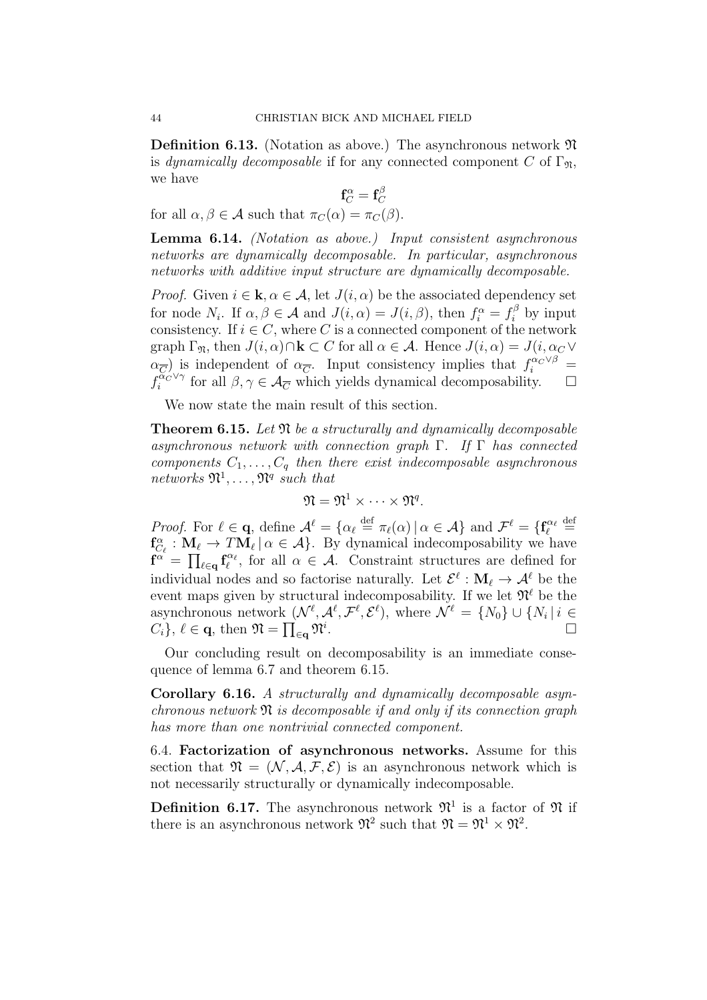**Definition 6.13.** (Notation as above.) The asynchronous network  $\mathfrak{N}$ is dynamically decomposable if for any connected component C of  $\Gamma_{\mathfrak{R}}$ , we have

$$
\mathbf{f}_C^{\alpha} = \mathbf{f}_C^{\beta}
$$

for all  $\alpha, \beta \in \mathcal{A}$  such that  $\pi_C(\alpha) = \pi_C(\beta)$ .

Lemma 6.14. (Notation as above.) Input consistent asynchronous networks are dynamically decomposable. In particular, asynchronous networks with additive input structure are dynamically decomposable.

*Proof.* Given  $i \in \mathbf{k}, \alpha \in \mathcal{A}$ , let  $J(i, \alpha)$  be the associated dependency set for node  $N_i$ . If  $\alpha, \beta \in \mathcal{A}$  and  $J(i, \alpha) = J(i, \beta)$ , then  $f_i^{\alpha} = f_i^{\beta}$  by input consistency. If  $i \in C$ , where C is a connected component of the network graph  $\Gamma_{\mathfrak{N}}$ , then  $J(i, \alpha) \cap \mathbf{k} \subset C$  for all  $\alpha \in \mathcal{A}$ . Hence  $J(i, \alpha) = J(i, \alpha_C \vee \mathcal{A})$  $\alpha_{\overline{C}}$  is independent of  $\alpha_{\overline{C}}$ . Input consistency implies that  $f_i^{\alpha_C \vee \beta}$  =  $f_i^{\alpha_C \vee \gamma}$  for all  $\beta, \gamma \in \mathcal{A}_{\overline{C}}$  which yields dynamical decomposability.  $\Box$ 

We now state the main result of this section.

**Theorem 6.15.** Let  $\mathfrak{N}$  be a structurally and dynamically decomposable asynchronous network with connection graph  $\Gamma$ . If  $\Gamma$  has connected components  $C_1, \ldots, C_q$  then there exist indecomposable asynchronous networks  $\mathfrak{N}^1, \ldots, \mathfrak{N}^q$  such that

$$
\mathfrak{N}=\mathfrak{N}^1\times\cdots\times\mathfrak{N}^q.
$$

*Proof.* For  $\ell \in \mathbf{q}$ , define  $\mathcal{A}^{\ell} = {\alpha_{\ell} \stackrel{\text{def}}{=} \pi_{\ell}(\alpha) | \alpha \in \mathcal{A}}$  and  $\mathcal{F}^{\ell} = {\mathbf{f}_{\ell}^{\alpha_{\ell}} \stackrel{\text{def}}{=}$  $f_{C_{\ell}}^{\alpha}: M_{\ell} \to TM_{\ell} \,|\, \alpha \in \mathcal{A}$ . By dynamical indecomposability we have  $f^{\alpha} = \prod_{\ell \in \mathbf{q}} f_{\ell}^{\alpha_{\ell}}$ , for all  $\alpha \in \mathcal{A}$ . Constraint structures are defined for individual nodes and so factorise naturally. Let  $\mathcal{E}^{\ell}: \mathbf{M}_{\ell} \to \mathcal{A}^{\ell}$  be the event maps given by structural indecomposability. If we let  $\mathfrak{N}^{\ell}$  be the asynchronous network  $(\mathcal{N}^{\ell}, \mathcal{A}^{\ell}, \mathcal{F}^{\ell}, \mathcal{E}^{\ell})$ , where  $\mathcal{N}^{\ell} = \{N_0\} \cup \{N_i | i \in$  $(C_i$ ,  $\ell \in \mathbf{q}$ , then  $\mathfrak{N} = \prod_{i \in \mathbf{q}} \mathfrak{N}^i$ .

Our concluding result on decomposability is an immediate consequence of lemma 6.7 and theorem 6.15.

Corollary 6.16. A structurally and dynamically decomposable asynchronous network  $\mathfrak N$  is decomposable if and only if its connection graph has more than one nontrivial connected component.

6.4. Factorization of asynchronous networks. Assume for this section that  $\mathfrak{N} = (\mathcal{N}, \mathcal{A}, \mathcal{F}, \mathcal{E})$  is an asynchronous network which is not necessarily structurally or dynamically indecomposable.

**Definition 6.17.** The asynchronous network  $\mathfrak{N}^1$  is a factor of  $\mathfrak{N}$  if there is an asynchronous network  $\mathfrak{N}^2$  such that  $\mathfrak{N} = \mathfrak{N}^1 \times \mathfrak{N}^2$ .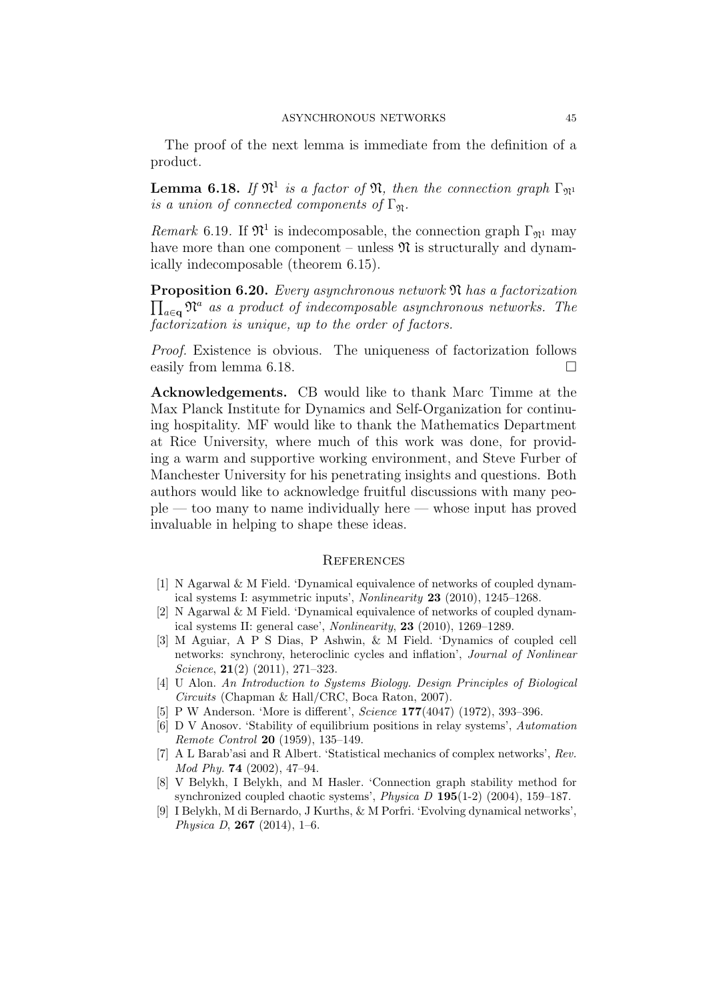The proof of the next lemma is immediate from the definition of a product.

**Lemma 6.18.** If  $\mathfrak{N}^1$  is a factor of  $\mathfrak{N}$ , then the connection graph  $\Gamma_{\mathfrak{N}^1}$ is a union of connected components of  $\Gamma_{\mathfrak{m}}$ .

Remark 6.19. If  $\mathfrak{N}^1$  is indecomposable, the connection graph  $\Gamma_{\mathfrak{N}^1}$  may have more than one component – unless  $\mathfrak{N}$  is structurally and dynamically indecomposable (theorem 6.15).

 $\prod_{a\in\mathbf{q}}\mathfrak{N}^a$  as a product of indecomposable asynchronous networks. The **Proposition 6.20.** Every asynchronous network  $\mathfrak{N}$  has a factorization factorization is unique, up to the order of factors.

Proof. Existence is obvious. The uniqueness of factorization follows easily from lemma 6.18.  $\Box$ 

Acknowledgements. CB would like to thank Marc Timme at the Max Planck Institute for Dynamics and Self-Organization for continuing hospitality. MF would like to thank the Mathematics Department at Rice University, where much of this work was done, for providing a warm and supportive working environment, and Steve Furber of Manchester University for his penetrating insights and questions. Both authors would like to acknowledge fruitful discussions with many people — too many to name individually here — whose input has proved invaluable in helping to shape these ideas.

#### **REFERENCES**

- [1] N Agarwal & M Field. 'Dynamical equivalence of networks of coupled dynamical systems I: asymmetric inputs', Nonlinearity 23 (2010), 1245–1268.
- [2] N Agarwal & M Field. 'Dynamical equivalence of networks of coupled dynamical systems II: general case', Nonlinearity, 23 (2010), 1269–1289.
- [3] M Aguiar, A P S Dias, P Ashwin, & M Field. 'Dynamics of coupled cell networks: synchrony, heteroclinic cycles and inflation', Journal of Nonlinear Science, **21**(2) (2011), 271-323.
- [4] U Alon. An Introduction to Systems Biology. Design Principles of Biological Circuits (Chapman & Hall/CRC, Boca Raton, 2007).
- [5] P W Anderson. 'More is different', Science 177(4047) (1972), 393-396.
- [6] D V Anosov. 'Stability of equilibrium positions in relay systems', Automation Remote Control 20 (1959), 135–149.
- [7] A L Barab'asi and R Albert. 'Statistical mechanics of complex networks', Rev. Mod Phy. 74 (2002), 47–94.
- [8] V Belykh, I Belykh, and M Hasler. 'Connection graph stability method for synchronized coupled chaotic systems', Physica D 195(1-2) (2004), 159-187.
- [9] I Belykh, M di Bernardo, J Kurths, & M Porfri. 'Evolving dynamical networks', Physica D, 267 (2014), 1–6.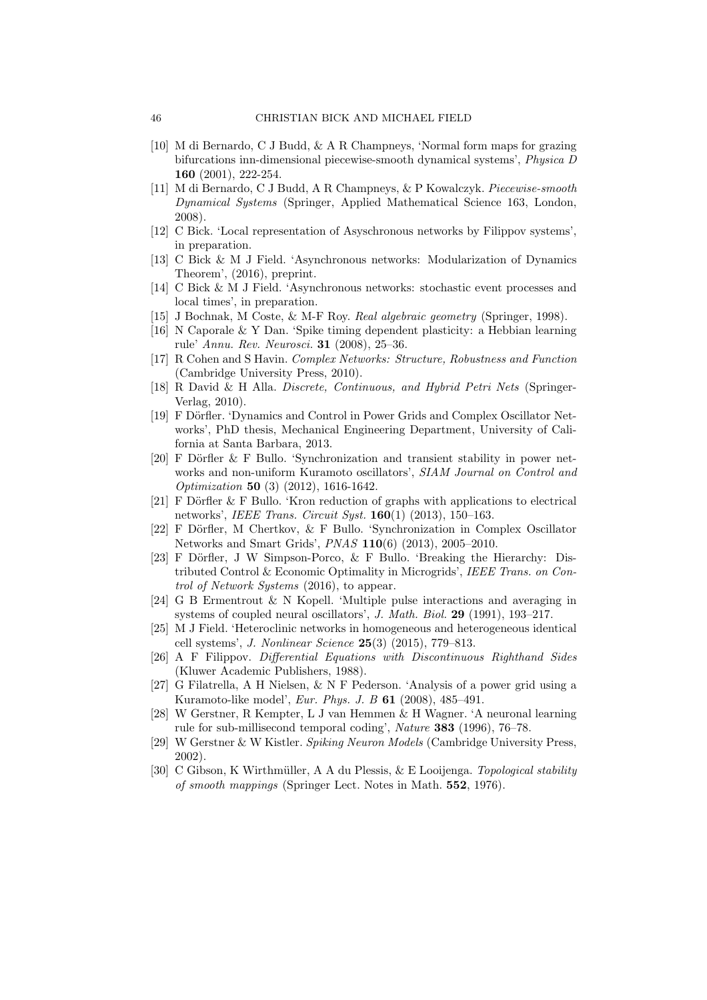- [10] M di Bernardo, C J Budd, & A R Champneys, 'Normal form maps for grazing bifurcations inn-dimensional piecewise-smooth dynamical systems', Physica D 160 (2001), 222-254.
- [11] M di Bernardo, C J Budd, A R Champneys, & P Kowalczyk. Piecewise-smooth Dynamical Systems (Springer, Applied Mathematical Science 163, London, 2008).
- [12] C Bick. 'Local representation of Asyschronous networks by Filippov systems', in preparation.
- [13] C Bick & M J Field. 'Asynchronous networks: Modularization of Dynamics Theorem', (2016), preprint.
- [14] C Bick & M J Field. 'Asynchronous networks: stochastic event processes and local times', in preparation.
- [15] J Bochnak, M Coste, & M-F Roy. Real algebraic geometry (Springer, 1998).
- [16] N Caporale & Y Dan. 'Spike timing dependent plasticity: a Hebbian learning rule' Annu. Rev. Neurosci. 31 (2008), 25–36.
- [17] R Cohen and S Havin. Complex Networks: Structure, Robustness and Function (Cambridge University Press, 2010).
- [18] R David & H Alla. Discrete, Continuous, and Hybrid Petri Nets (Springer-Verlag, 2010).
- [19] F Dörfler. 'Dynamics and Control in Power Grids and Complex Oscillator Networks', PhD thesis, Mechanical Engineering Department, University of California at Santa Barbara, 2013.
- [20] F Dörfler & F Bullo. 'Synchronization and transient stability in power networks and non-uniform Kuramoto oscillators', SIAM Journal on Control and Optimization 50 (3) (2012), 1616-1642.
- [21] F Dörfler  $&$  F Bullo. 'Kron reduction of graphs with applications to electrical networks', *IEEE Trans. Circuit Syst.* **160**(1) (2013), 150–163.
- [22] F Dörfler, M Chertkov, & F Bullo. 'Synchronization in Complex Oscillator Networks and Smart Grids', PNAS 110(6) (2013), 2005–2010.
- [23] F Dörfler, J W Simpson-Porco,  $\&$  F Bullo. 'Breaking the Hierarchy: Distributed Control & Economic Optimality in Microgrids', IEEE Trans. on Control of Network Systems (2016), to appear.
- [24] G B Ermentrout & N Kopell. 'Multiple pulse interactions and averaging in systems of coupled neural oscillators', J. Math. Biol. 29 (1991), 193-217.
- [25] M J Field. 'Heteroclinic networks in homogeneous and heterogeneous identical cell systems', J. Nonlinear Science 25(3) (2015), 779–813.
- [26] A F Filippov. Differential Equations with Discontinuous Righthand Sides (Kluwer Academic Publishers, 1988).
- [27] G Filatrella, A H Nielsen, & N F Pederson. 'Analysis of a power grid using a Kuramoto-like model', Eur. Phys. J. B 61 (2008), 485–491.
- [28] W Gerstner, R Kempter, L J van Hemmen & H Wagner. 'A neuronal learning rule for sub-millisecond temporal coding', Nature 383 (1996), 76–78.
- [29] W Gerstner & W Kistler. Spiking Neuron Models (Cambridge University Press, 2002).
- [30] C Gibson, K Wirthmüller, A A du Plessis, & E Looijenga. Topological stability of smooth mappings (Springer Lect. Notes in Math. 552, 1976).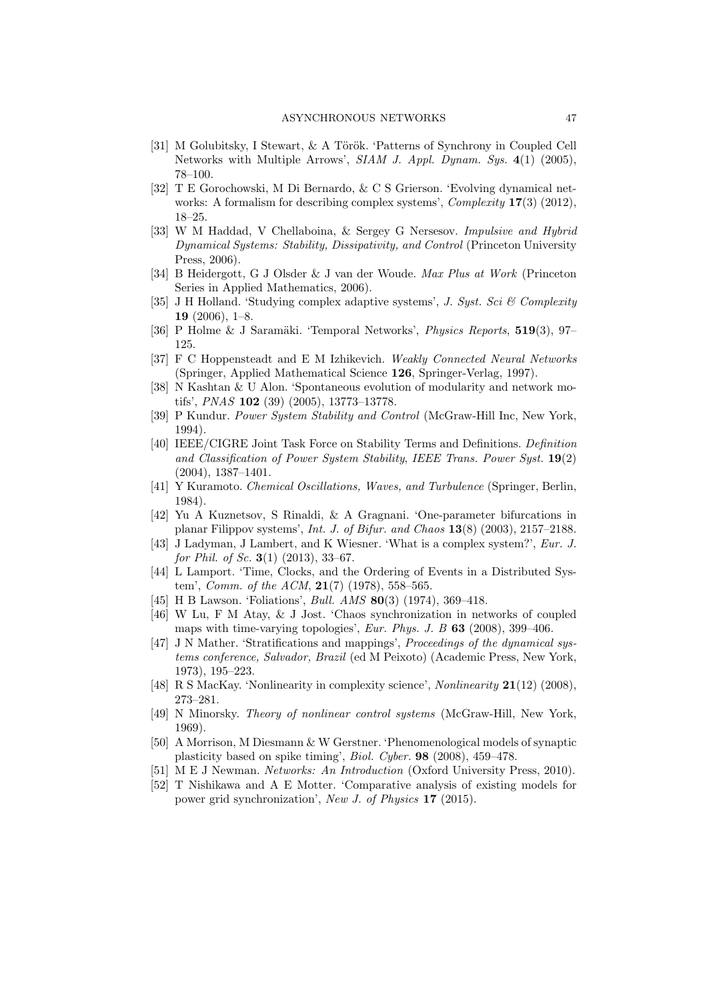- [31] M Golubitsky, I Stewart, & A Török. 'Patterns of Synchrony in Coupled Cell Networks with Multiple Arrows', SIAM J. Appl. Dynam. Sys. 4(1) (2005), 78–100.
- [32] T E Gorochowski, M Di Bernardo, & C S Grierson. 'Evolving dynamical networks: A formalism for describing complex systems',  $Complexity$  **17**(3) (2012), 18–25.
- [33] W M Haddad, V Chellaboina, & Sergey G Nersesov. Impulsive and Hybrid Dynamical Systems: Stability, Dissipativity, and Control (Princeton University Press, 2006).
- [34] B Heidergott, G J Olsder & J van der Woude. Max Plus at Work (Princeton Series in Applied Mathematics, 2006).
- [35] J H Holland. 'Studying complex adaptive systems', J. Syst. Sci  $\mathcal C$  Complexity 19 (2006), 1–8.
- [36] P Holme & J Saramäki. 'Temporal Networks', *Physics Reports*,  $519(3)$ , 97– 125.
- [37] F C Hoppensteadt and E M Izhikevich. Weakly Connected Neural Networks (Springer, Applied Mathematical Science 126, Springer-Verlag, 1997).
- [38] N Kashtan & U Alon. 'Spontaneous evolution of modularity and network motifs', PNAS 102 (39) (2005), 13773–13778.
- [39] P Kundur. Power System Stability and Control (McGraw-Hill Inc, New York, 1994).
- [40] IEEE/CIGRE Joint Task Force on Stability Terms and Definitions. Definition and Classification of Power System Stability, IEEE Trans. Power Syst. 19(2) (2004), 1387–1401.
- [41] Y Kuramoto. Chemical Oscillations, Waves, and Turbulence (Springer, Berlin, 1984).
- [42] Yu A Kuznetsov, S Rinaldi, & A Gragnani. 'One-parameter bifurcations in planar Filippov systems', Int. J. of Bifur. and Chaos 13(8) (2003), 2157–2188.
- [43] J Ladyman, J Lambert, and K Wiesner. 'What is a complex system?', Eur. J. for Phil. of Sc.  $3(1)$  (2013), 33–67.
- [44] L Lamport. 'Time, Clocks, and the Ordering of Events in a Distributed System', *Comm. of the ACM*,  $21(7)$  (1978), 558-565.
- [45] H B Lawson. 'Foliations', *Bull. AMS* **80**(3) (1974), 369–418.
- [46] W Lu, F M Atay, & J Jost. 'Chaos synchronization in networks of coupled maps with time-varying topologies', Eur. Phys. J. B 63 (2008), 399-406.
- [47] J N Mather. 'Stratifications and mappings', Proceedings of the dynamical systems conference, Salvador, Brazil (ed M Peixoto) (Academic Press, New York, 1973), 195–223.
- [48] R S MacKay. 'Nonlinearity in complexity science', *Nonlinearity* 21(12) (2008), 273–281.
- [49] N Minorsky. Theory of nonlinear control systems (McGraw-Hill, New York, 1969).
- [50] A Morrison, M Diesmann & W Gerstner. 'Phenomenological models of synaptic plasticity based on spike timing', Biol. Cyber. 98 (2008), 459–478.
- [51] M E J Newman. Networks: An Introduction (Oxford University Press, 2010).
- [52] T Nishikawa and A E Motter. 'Comparative analysis of existing models for power grid synchronization', New J. of Physics 17 (2015).